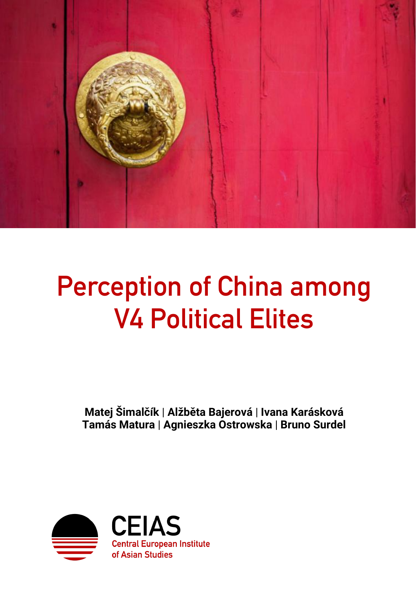

# **Perception of China among V4 Political Elites**

**Matej Šimalčík** | **Alžběta Bajerová** | **Ivana Karásková Tamás Matura** | **Agnieszka Ostrowska** | **Bruno Surdel**

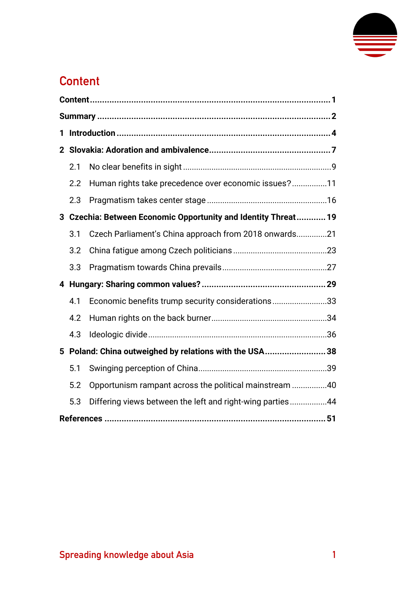

## <span id="page-1-0"></span>**Content**

| 1                                                      |                                                                |                                                           |  |  |
|--------------------------------------------------------|----------------------------------------------------------------|-----------------------------------------------------------|--|--|
|                                                        |                                                                |                                                           |  |  |
|                                                        | 2.1                                                            |                                                           |  |  |
|                                                        | 2.2                                                            | Human rights take precedence over economic issues?11      |  |  |
|                                                        | 2.3                                                            |                                                           |  |  |
|                                                        | 3 Czechia: Between Economic Opportunity and Identity Threat 19 |                                                           |  |  |
|                                                        | 3.1                                                            | Czech Parliament's China approach from 2018 onwards21     |  |  |
|                                                        | 3.2                                                            |                                                           |  |  |
|                                                        | 3.3                                                            |                                                           |  |  |
|                                                        |                                                                |                                                           |  |  |
|                                                        | 4.1                                                            | Economic benefits trump security considerations33         |  |  |
|                                                        | 4.2                                                            |                                                           |  |  |
|                                                        | 4.3                                                            |                                                           |  |  |
| 5 Poland: China outweighed by relations with the USA38 |                                                                |                                                           |  |  |
|                                                        | 5.1                                                            |                                                           |  |  |
|                                                        | 5.2                                                            | Opportunism rampant across the political mainstream 40    |  |  |
|                                                        | 5.3                                                            | Differing views between the left and right-wing parties44 |  |  |
|                                                        |                                                                |                                                           |  |  |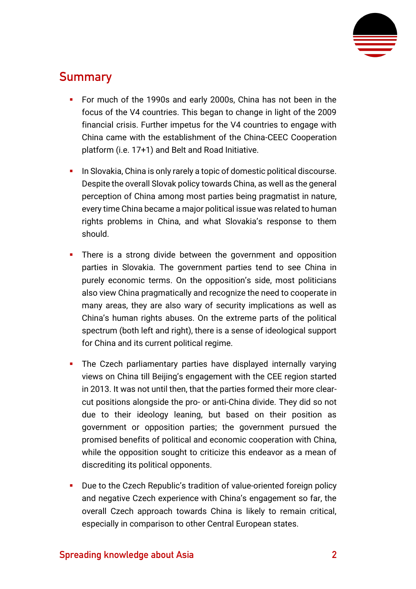

## <span id="page-2-0"></span>**Summary**

- **•** For much of the 1990s and early 2000s, China has not been in the focus of the V4 countries. This began to change in light of the 2009 financial crisis. Further impetus for the V4 countries to engage with China came with the establishment of the China-CEEC Cooperation platform (i.e. 17+1) and Belt and Road Initiative.
- **•** In Slovakia, China is only rarely a topic of domestic political discourse. Despite the overall Slovak policy towards China, as well as the general perception of China among most parties being pragmatist in nature, every time China became a major political issue was related to human rights problems in China, and what Slovakia's response to them should.
- **.** There is a strong divide between the government and opposition parties in Slovakia. The government parties tend to see China in purely economic terms. On the opposition's side, most politicians also view China pragmatically and recognize the need to cooperate in many areas, they are also wary of security implications as well as China's human rights abuses. On the extreme parts of the political spectrum (both left and right), there is a sense of ideological support for China and its current political regime.
- **•** The Czech parliamentary parties have displayed internally varying views on China till Beijing's engagement with the CEE region started in 2013. It was not until then, that the parties formed their more clearcut positions alongside the pro- or anti-China divide. They did so not due to their ideology leaning, but based on their position as government or opposition parties; the government pursued the promised benefits of political and economic cooperation with China, while the opposition sought to criticize this endeavor as a mean of discrediting its political opponents.
- Due to the Czech Republic's tradition of value-oriented foreign policy and negative Czech experience with China's engagement so far, the overall Czech approach towards China is likely to remain critical, especially in comparison to other Central European states.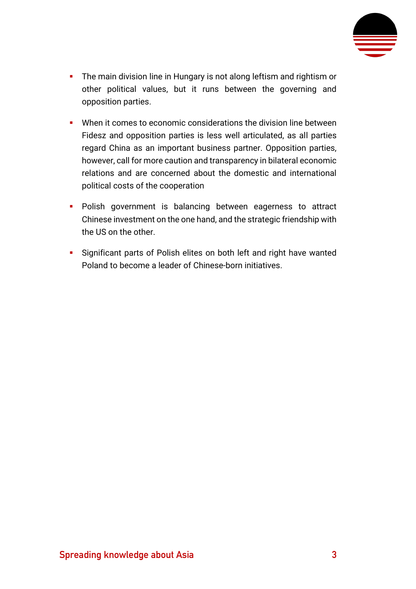

- **•** The main division line in Hungary is not along leftism and rightism or other political values, but it runs between the governing and opposition parties.
- When it comes to economic considerations the division line between Fidesz and opposition parties is less well articulated, as all parties regard China as an important business partner. Opposition parties, however, call for more caution and transparency in bilateral economic relations and are concerned about the domestic and international political costs of the cooperation
- **·** Polish government is balancing between eagerness to attract Chinese investment on the one hand, and the strategic friendship with the US on the other.
- **EXECT** Significant parts of Polish elites on both left and right have wanted Poland to become a leader of Chinese-born initiatives.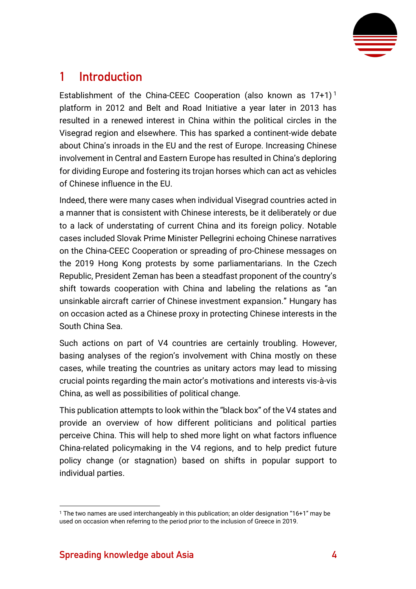

## <span id="page-4-0"></span>**1 Introduction**

Establishment of the China-CEEC Cooperation (also known as  $17+1$ )<sup>1</sup> platform in 2012 and Belt and Road Initiative a year later in 2013 has resulted in a renewed interest in China within the political circles in the Visegrad region and elsewhere. This has sparked a continent-wide debate about China's inroads in the EU and the rest of Europe. Increasing Chinese involvement in Central and Eastern Europe has resulted in China's deploring for dividing Europe and fostering its trojan horses which can act as vehicles of Chinese influence in the EU.

Indeed, there were many cases when individual Visegrad countries acted in a manner that is consistent with Chinese interests, be it deliberately or due to a lack of understating of current China and its foreign policy. Notable cases included Slovak Prime Minister Pellegrini echoing Chinese narratives on the China-CEEC Cooperation or spreading of pro-Chinese messages on the 2019 Hong Kong protests by some parliamentarians. In the Czech Republic, President Zeman has been a steadfast proponent of the country's shift towards cooperation with China and labeling the relations as "an unsinkable aircraft carrier of Chinese investment expansion." Hungary has on occasion acted as a Chinese proxy in protecting Chinese interests in the South China Sea.

Such actions on part of V4 countries are certainly troubling. However, basing analyses of the region's involvement with China mostly on these cases, while treating the countries as unitary actors may lead to missing crucial points regarding the main actor's motivations and interests vis-à-vis China, as well as possibilities of political change.

This publication attempts to look within the "black box" of the V4 states and provide an overview of how different politicians and political parties perceive China. This will help to shed more light on what factors influence China-related policymaking in the V4 regions, and to help predict future policy change (or stagnation) based on shifts in popular support to individual parties.

<sup>1</sup> The two names are used interchangeably in this publication; an older designation "16+1" may be used on occasion when referring to the period prior to the inclusion of Greece in 2019.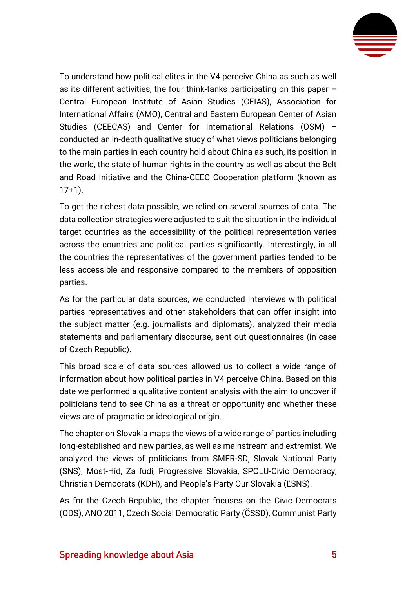

To understand how political elites in the V4 perceive China as such as well as its different activities, the four think-tanks participating on this paper – Central European Institute of Asian Studies (CEIAS), Association for International Affairs (AMO), Central and Eastern European Center of Asian Studies (CEECAS) and Center for International Relations (OSM) – conducted an in-depth qualitative study of what views politicians belonging to the main parties in each country hold about China as such, its position in the world, the state of human rights in the country as well as about the Belt and Road Initiative and the China-CEEC Cooperation platform (known as 17+1).

To get the richest data possible, we relied on several sources of data. The data collection strategies were adjusted to suit the situation in the individual target countries as the accessibility of the political representation varies across the countries and political parties significantly. Interestingly, in all the countries the representatives of the government parties tended to be less accessible and responsive compared to the members of opposition parties.

As for the particular data sources, we conducted interviews with political parties representatives and other stakeholders that can offer insight into the subject matter (e.g. journalists and diplomats), analyzed their media statements and parliamentary discourse, sent out questionnaires (in case of Czech Republic).

This broad scale of data sources allowed us to collect a wide range of information about how political parties in V4 perceive China. Based on this date we performed a qualitative content analysis with the aim to uncover if politicians tend to see China as a threat or opportunity and whether these views are of pragmatic or ideological origin.

The chapter on Slovakia maps the views of a wide range of parties including long-established and new parties, as well as mainstream and extremist. We analyzed the views of politicians from SMER-SD, Slovak National Party (SNS), Most-Híd, Za ľudí, Progressive Slovakia, SPOLU-Civic Democracy, Christian Democrats (KDH), and People's Party Our Slovakia (ĽSNS).

As for the Czech Republic, the chapter focuses on the Civic Democrats (ODS), ANO 2011, Czech Social Democratic Party (ČSSD), Communist Party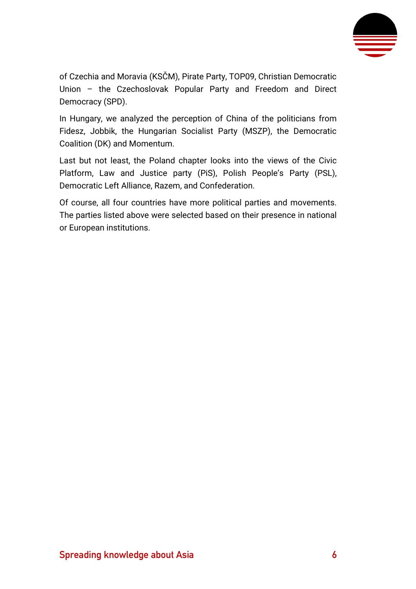

of Czechia and Moravia (KSČM), Pirate Party, TOP09, Christian Democratic Union – the Czechoslovak Popular Party and Freedom and Direct Democracy (SPD).

In Hungary, we analyzed the perception of China of the politicians from Fidesz, Jobbik, the Hungarian Socialist Party (MSZP), the Democratic Coalition (DK) and Momentum.

Last but not least, the Poland chapter looks into the views of the Civic Platform, Law and Justice party (PiS), Polish People's Party (PSL), Democratic Left Alliance, Razem, and Confederation.

Of course, all four countries have more political parties and movements. The parties listed above were selected based on their presence in national or European institutions.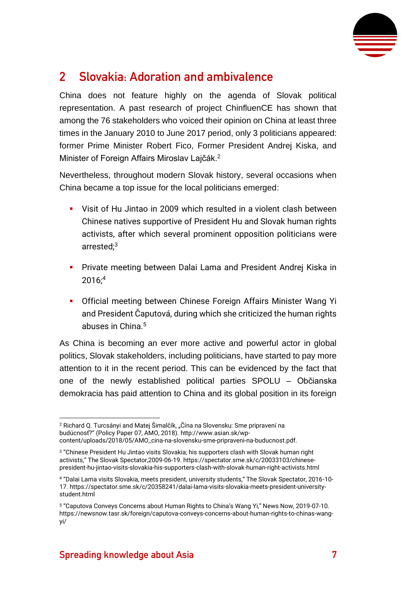

## <span id="page-7-0"></span>**2 Slovakia: Adoration and ambivalence**

China does not feature highly on the agenda of Slovak political representation. A past research of project ChinfluenCE has shown that among the 76 stakeholders who voiced their opinion on China at least three times in the January 2010 to June 2017 period, only 3 politicians appeared: former Prime Minister Robert Fico, Former President Andrej Kiska, and Minister of Foreign Affairs Miroslav Lajčák.<sup>2</sup>

Nevertheless, throughout modern Slovak history, several occasions when China became a top issue for the local politicians emerged:

- Visit of Hu Jintao in 2009 which resulted in a violent clash between Chinese natives supportive of President Hu and Slovak human rights activists, after which several prominent opposition politicians were arrested;<sup>3</sup>
- **•** Private meeting between Dalai Lama and President Andrej Kiska in 2016;<sup>4</sup>
- **Official meeting between Chinese Foreign Affairs Minister Wang Yi** and President Čaputová, during which she criticized the human rights abuses in China.<sup>5</sup>

As China is becoming an ever more active and powerful actor in global politics, Slovak stakeholders, including politicians, have started to pay more attention to it in the recent period. This can be evidenced by the fact that one of the newly established political parties SPOLU – Občianska demokracia has paid attention to China and its global position in its foreign

<sup>2</sup> Richard Q. Turcsányi and Matej Šimalčík, "Čína na Slovensku: Sme pripravení na budúcnosť?" (Policy Paper 07, AMO, 2018). [http://www.asian.sk/wp](http://www.asian.sk/wp-content/uploads/2018/05/AMO_cina-na-slovensku-sme-pripraveni-na-buducnost.pdf)[content/uploads/2018/05/AMO\\_cina-na-slovensku-sme-pripraveni-na-buducnost.pdf.](http://www.asian.sk/wp-content/uploads/2018/05/AMO_cina-na-slovensku-sme-pripraveni-na-buducnost.pdf)

<sup>3</sup> "Chinese President Hu Jintao visits Slovakia; his supporters clash with Slovak human right activists," The Slovak Spectator,2009-06-19[. https://spectator.sme.sk/c/20033103/chinese](https://spectator.sme.sk/c/20033103/chinese-president-hu-jintao-visits-slovakia-his-supporters-clash-with-slovak-human-right-activists.html)[president-hu-jintao-visits-slovakia-his-supporters-clash-with-slovak-human-right-activists.html](https://spectator.sme.sk/c/20033103/chinese-president-hu-jintao-visits-slovakia-his-supporters-clash-with-slovak-human-right-activists.html)

<sup>4</sup> "Dalai Lama visits Slovakia, meets president, university students," The Slovak Spectator, 2016-10- 17. [https://spectator.sme.sk/c/20358241/dalai-lama-visits-slovakia-meets-president-university](https://spectator.sme.sk/c/20358241/dalai-lama-visits-slovakia-meets-president-university-student.html)[student.html](https://spectator.sme.sk/c/20358241/dalai-lama-visits-slovakia-meets-president-university-student.html)

<sup>5</sup> "Caputova Conveys Concerns about Human Rights to China's Wang Yi," News Now, 2019-07-10. [https://newsnow.tasr.sk/foreign/caputova-conveys-concerns-about-human-rights-to-chinas-wang](https://newsnow.tasr.sk/foreign/caputova-conveys-concerns-about-human-rights-to-chinas-wang-yi/)[yi/](https://newsnow.tasr.sk/foreign/caputova-conveys-concerns-about-human-rights-to-chinas-wang-yi/)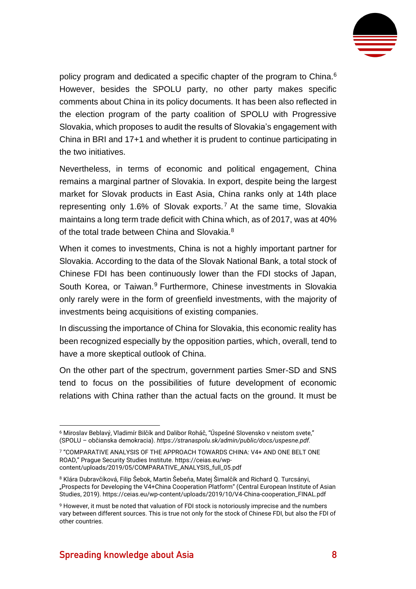

policy program and dedicated a specific chapter of the program to China.<sup>6</sup> However, besides the SPOLU party, no other party makes specific comments about China in its policy documents. It has been also reflected in the election program of the party coalition of SPOLU with Progressive Slovakia, which proposes to audit the results of Slovakia's engagement with China in BRI and 17+1 and whether it is prudent to continue participating in the two initiatives.

Nevertheless, in terms of economic and political engagement, China remains a marginal partner of Slovakia. In export, despite being the largest market for Slovak products in East Asia, China ranks only at 14th place representing only 1.6% of Slovak exports.<sup>7</sup> At the same time, Slovakia maintains a long term trade deficit with China which, as of 2017, was at 40% of the total trade between China and Slovakia.<sup>8</sup>

When it comes to investments, China is not a highly important partner for Slovakia. According to the data of the Slovak National Bank, a total stock of Chinese FDI has been continuously lower than the FDI stocks of Japan, South Korea, or Taiwan.<sup>9</sup> Furthermore, Chinese investments in Slovakia only rarely were in the form of greenfield investments, with the majority of investments being acquisitions of existing companies.

In discussing the importance of China for Slovakia, this economic reality has been recognized especially by the opposition parties, which, overall, tend to have a more skeptical outlook of China.

On the other part of the spectrum, government parties Smer-SD and SNS tend to focus on the possibilities of future development of economic relations with China rather than the actual facts on the ground. It must be

<sup>6</sup> Miroslav Beblavý, Vladimír Bilčík and Dalibor Roháč, "Úspešné Slovensko v neistom svete," (SPOLU – občianska demokracia). *[https://stranaspolu.sk/admin/public/docs/uspesne.pdf.](https://stranaspolu.sk/admin/public/docs/uspesne.pdf)* 

<sup>7</sup> "COMPARATIVE ANALYSIS OF THE APPROACH TOWARDS CHINA: V4+ AND ONE BELT ONE ROAD," Prague Security Studies Institute. [https://ceias.eu/wp](https://ceias.eu/wp-content/uploads/2019/05/COMPARATIVE_ANALYSIS_full_05.pdf)[content/uploads/2019/05/COMPARATIVE\\_ANALYSIS\\_full\\_05.pdf](https://ceias.eu/wp-content/uploads/2019/05/COMPARATIVE_ANALYSIS_full_05.pdf)

<sup>8</sup> Klára Dubravčíková, Filip Šebok, Martin Šebeňa, Matej Šimalčík and Richard Q. Turcsányi, "Prospects for Developing the V4+China Cooperation Platform" (Central European Institute of Asian Studies, 2019). [https://ceias.eu/wp-content/uploads/2019/10/V4-China-cooperation\\_FINAL.pdf](https://ceias.eu/wp-content/uploads/2019/10/V4-China-cooperation_FINAL.pdf)

<sup>9</sup> However, it must be noted that valuation of FDI stock is notoriously imprecise and the numbers vary between different sources. This is true not only for the stock of Chinese FDI, but also the FDI of other countries.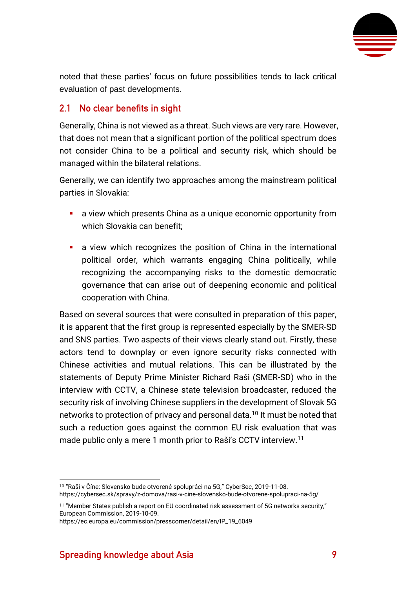

noted that these parties' focus on future possibilities tends to lack critical evaluation of past developments.

#### <span id="page-9-0"></span>**2.1 No clear benefits in sight**

Generally, China is not viewed as a threat. Such views are very rare. However, that does not mean that a significant portion of the political spectrum does not consider China to be a political and security risk, which should be managed within the bilateral relations.

Generally, we can identify two approaches among the mainstream political parties in Slovakia:

- a view which presents China as a unique economic opportunity from which Slovakia can benefit;
- **E** a view which recognizes the position of China in the international political order, which warrants engaging China politically, while recognizing the accompanying risks to the domestic democratic governance that can arise out of deepening economic and political cooperation with China.

Based on several sources that were consulted in preparation of this paper, it is apparent that the first group is represented especially by the SMER-SD and SNS parties. Two aspects of their views clearly stand out. Firstly, these actors tend to downplay or even ignore security risks connected with Chinese activities and mutual relations. This can be illustrated by the statements of Deputy Prime Minister Richard Raši (SMER-SD) who in the interview with CCTV, a Chinese state television broadcaster, reduced the security risk of involving Chinese suppliers in the development of Slovak 5G networks to protection of privacy and personal data.<sup>10</sup> It must be noted that such a reduction goes against the common EU risk evaluation that was made public only a mere 1 month prior to Raši's CCTV interview.<sup>11</sup>

<sup>10</sup> "Raši v Číne: Slovensko bude otvorené spolupráci na 5G," CyberSec, 2019-11-08. <https://cybersec.sk/spravy/z-domova/rasi-v-cine-slovensko-bude-otvorene-spolupraci-na-5g/>

<sup>&</sup>lt;sup>11</sup> "Member States publish a report on EU coordinated risk assessment of 5G networks security," European Commission, 2019-10-09.

[https://ec.europa.eu/commission/presscorner/detail/en/IP\\_19\\_6049](https://ec.europa.eu/commission/presscorner/detail/en/IP_19_6049)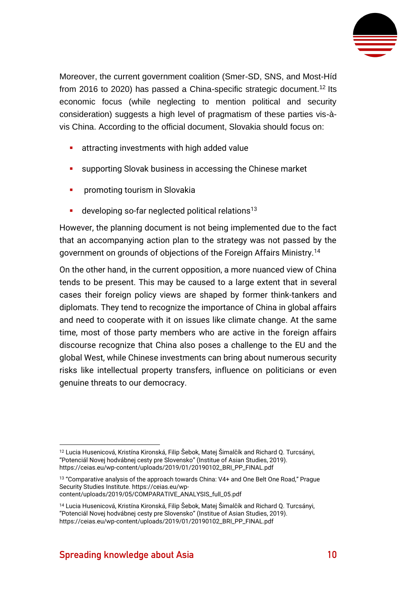

Moreover, the current government coalition (Smer-SD, SNS, and Most-Híd from 2016 to 2020) has passed a China-specific strategic document.<sup>12</sup> Its economic focus (while neglecting to mention political and security consideration) suggests a high level of pragmatism of these parties vis-àvis China. According to the official document, Slovakia should focus on:

- **EXECUTE:** attracting investments with high added value
- supporting Slovak business in accessing the Chinese market
- **•** promoting tourism in Slovakia
- **E** developing so-far neglected political relations<sup>13</sup>

However, the planning document is not being implemented due to the fact that an accompanying action plan to the strategy was not passed by the government on grounds of objections of the Foreign Affairs Ministry.<sup>14</sup>

On the other hand, in the current opposition, a more nuanced view of China tends to be present. This may be caused to a large extent that in several cases their foreign policy views are shaped by former think-tankers and diplomats. They tend to recognize the importance of China in global affairs and need to cooperate with it on issues like climate change. At the same time, most of those party members who are active in the foreign affairs discourse recognize that China also poses a challenge to the EU and the global West, while Chinese investments can bring about numerous security risks like intellectual property transfers, influence on politicians or even genuine threats to our democracy.

<sup>12</sup> Lucia Husenicová, Kristína Kironská, Filip Šebok, Matej Šimalčík and Richard Q. Turcsányi, "Potenciál Novej hodvábnej cesty pre Slovensko" (Institue of Asian Studies, 2019). [https://ceias.eu/wp-content/uploads/2019/01/20190102\\_BRI\\_PP\\_FINAL.pdf](https://ceias.eu/wp-content/uploads/2019/01/20190102_BRI_PP_FINAL.pdf)

<sup>&</sup>lt;sup>13</sup> "Comparative analysis of the approach towards China: V4+ and One Belt One Road," Prague Security Studies Institute. [https://ceias.eu/wp-](https://ceias.eu/wp-content/uploads/2019/05/COMPARATIVE_ANALYSIS_full_05.pdf)

[content/uploads/2019/05/COMPARATIVE\\_ANALYSIS\\_full\\_05.pdf](https://ceias.eu/wp-content/uploads/2019/05/COMPARATIVE_ANALYSIS_full_05.pdf)

<sup>14</sup> Lucia Husenicová, Kristína Kironská, Filip Šebok, Matej Šimalčík and Richard Q. Turcsányi, "Potenciál Novej hodvábnej cesty pre Slovensko" (Institue of Asian Studies, 2019). [https://ceias.eu/wp-content/uploads/2019/01/20190102\\_BRI\\_PP\\_FINAL.pdf](https://ceias.eu/wp-content/uploads/2019/01/20190102_BRI_PP_FINAL.pdf)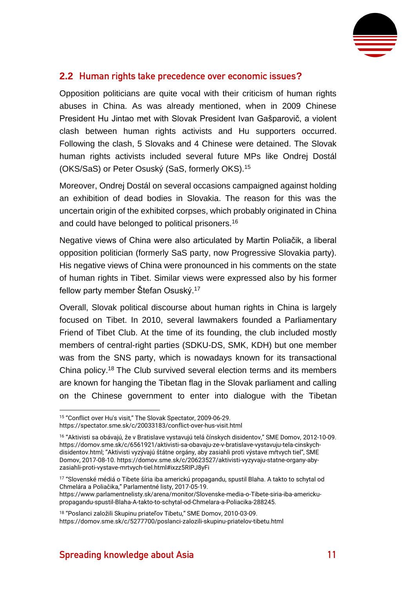

#### <span id="page-11-0"></span>**2.2 Human rights take precedence over economic issues?**

Opposition politicians are quite vocal with their criticism of human rights abuses in China. As was already mentioned, when in 2009 Chinese President Hu Jintao met with Slovak President Ivan Gašparovič, a violent clash between human rights activists and Hu supporters occurred. Following the clash, 5 Slovaks and 4 Chinese were detained. The Slovak human rights activists included several future MPs like Ondrej Dostál (OKS/SaS) or Peter Osuský (SaS, formerly OKS).<sup>15</sup>

Moreover, Ondrej Dostál on several occasions campaigned against holding an exhibition of dead bodies in Slovakia. The reason for this was the uncertain origin of the exhibited corpses, which probably originated in China and could have belonged to political prisoners.<sup>16</sup>

Negative views of China were also articulated by Martin Poliačik, a liberal opposition politician (formerly SaS party, now Progressive Slovakia party). His negative views of China were pronounced in his comments on the state of human rights in Tibet. Similar views were expressed also by his former fellow party member Štefan Osuský.<sup>17</sup>

Overall, Slovak political discourse about human rights in China is largely focused on Tibet. In 2010, several lawmakers founded a Parliamentary Friend of Tibet Club. At the time of its founding, the club included mostly members of central-right parties (SDKU-DS, SMK, KDH) but one member was from the SNS party, which is nowadays known for its transactional China policy.<sup>18</sup> The Club survived several election terms and its members are known for hanging the Tibetan flag in the Slovak parliament and calling on the Chinese government to enter into dialogue with the Tibetan

[propagandu-spustil-Blaha-A-takto-to-schytal-od-Chmelara-a-Poliacika-288245.](https://www.parlamentnelisty.sk/arena/monitor/Slovenske-media-o-Tibete-siria-iba-americku-propagandu-spustil-Blaha-A-takto-to-schytal-od-Chmelara-a-Poliacika-288245)

<sup>15</sup> "Conflict over Hu's visit," The Slovak Spectator, 2009-06-29.

<https://spectator.sme.sk/c/20033183/conflict-over-hus-visit.html>

<sup>16</sup> "Aktivisti sa obávajú, že v Bratislave vystavujú telá čínskych disidentov," SME Domov, 2012-10-09. [https://domov.sme.sk/c/6561921/aktivisti-sa-obavaju-ze-v-bratislave-vystavuju-tela-cinskych](https://domov.sme.sk/c/6561921/aktivisti-sa-obavaju-ze-v-bratislave-vystavuju-tela-cinskych-disidentov.html)[disidentov.html](https://domov.sme.sk/c/6561921/aktivisti-sa-obavaju-ze-v-bratislave-vystavuju-tela-cinskych-disidentov.html); "Aktivisti vyzývajú štátne orgány, aby zasiahli proti výstave mŕtvych tiel", SME Domov, 2017-08-10[. https://domov.sme.sk/c/20623527/aktivisti-vyzyvaju-statne-organy-aby](https://domov.sme.sk/c/20623527/aktivisti-vyzyvaju-statne-organy-aby-zasiahli-proti-vystave-mrtvych-tiel.html#ixzz5RIPJ8yFi)[zasiahli-proti-vystave-mrtvych-tiel.html#ixzz5RIPJ8yFi](https://domov.sme.sk/c/20623527/aktivisti-vyzyvaju-statne-organy-aby-zasiahli-proti-vystave-mrtvych-tiel.html#ixzz5RIPJ8yFi)

<sup>17</sup> "Slovenské médiá o Tibete šíria iba americkú propagandu, spustil Blaha. A takto to schytal od Chmelára a Poliačika," Parlamentné listy, 2017-05-19. [https://www.parlamentnelisty.sk/arena/monitor/Slovenske-media-o-Tibete-siria-iba-americku-](https://www.parlamentnelisty.sk/arena/monitor/Slovenske-media-o-Tibete-siria-iba-americku-propagandu-spustil-Blaha-A-takto-to-schytal-od-Chmelara-a-Poliacika-288245)

<sup>18</sup> "Poslanci založili Skupinu priateľov Tibetu," SME Domov, 2010-03-09. <https://domov.sme.sk/c/5277700/poslanci-zalozili-skupinu-priatelov-tibetu.html>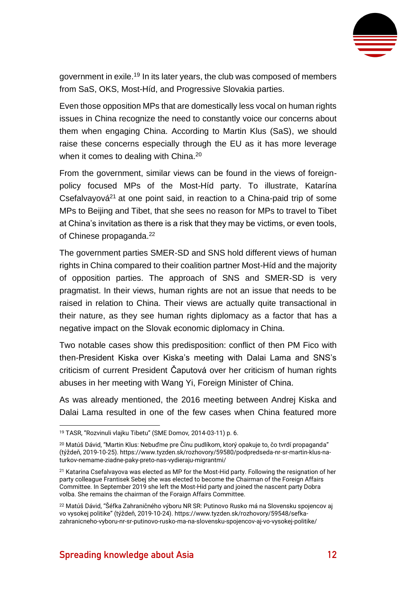

government in exile.<sup>19</sup> In its later years, the club was composed of members from SaS, OKS, Most-Híd, and Progressive Slovakia parties.

Even those opposition MPs that are domestically less vocal on human rights issues in China recognize the need to constantly voice our concerns about them when engaging China. According to Martin Klus (SaS), we should raise these concerns especially through the EU as it has more leverage when it comes to dealing with China.<sup>20</sup>

From the government, similar views can be found in the views of foreignpolicy focused MPs of the Most-Híd party. To illustrate, Katarína Csefalvayová $21$  at one point said, in reaction to a China-paid trip of some MPs to Beijing and Tibet, that she sees no reason for MPs to travel to Tibet at China's invitation as there is a risk that they may be victims, or even tools, of Chinese propaganda.<sup>22</sup>

The government parties SMER-SD and SNS hold different views of human rights in China compared to their coalition partner Most-Híd and the majority of opposition parties. The approach of SNS and SMER-SD is very pragmatist. In their views, human rights are not an issue that needs to be raised in relation to China. Their views are actually quite transactional in their nature, as they see human rights diplomacy as a factor that has a negative impact on the Slovak economic diplomacy in China.

Two notable cases show this predisposition: conflict of then PM Fico with then-President Kiska over Kiska's meeting with Dalai Lama and SNS's criticism of current President Čaputová over her criticism of human rights abuses in her meeting with Wang Yi, Foreign Minister of China.

As was already mentioned, the 2016 meeting between Andrej Kiska and Dalai Lama resulted in one of the few cases when China featured more

<sup>19</sup> TASR, "Rozvinuli vlajku Tibetu" (SME Domov*,* 2014-03-11) p. 6.

<sup>&</sup>lt;sup>20</sup> Matúš Dávid, "Martin Klus: Nebuďme pre Čínu pudlíkom, ktorý opakuje to, čo tvrdí propaganda" (týždeň, 2019-10-25)[. https://www.tyzden.sk/rozhovory/59580/podpredseda-nr-sr-martin-klus-na](https://www.tyzden.sk/rozhovory/59580/podpredseda-nr-sr-martin-klus-na-turkov-nemame-ziadne-paky-preto-nas-vydieraju-migrantmi/)[turkov-nemame-ziadne-paky-preto-nas-vydieraju-migrantmi/](https://www.tyzden.sk/rozhovory/59580/podpredseda-nr-sr-martin-klus-na-turkov-nemame-ziadne-paky-preto-nas-vydieraju-migrantmi/)

<sup>21</sup> Katarina Csefalvayova was elected as MP for the Most-Hid party. Following the resignation of her party colleague Frantisek Sebej she was elected to become the Chairman of the Foreign Affairs Committee. In September 2019 she left the Most-Hid party and joined the nascent party Dobra volba. She remains the chairman of the Foraign Affairs Committee.

<sup>22</sup> Matúš Dávid, "Šéfka Zahraničného výboru NR SR: Putinovo Rusko má na Slovensku spojencov aj vo vysokej politike" (týždeň, 2019-10-24). [https://www.tyzden.sk/rozhovory/59548/sefka](https://www.tyzden.sk/rozhovory/59548/sefka-zahranicneho-vyboru-nr-sr-putinovo-rusko-ma-na-slovensku-spojencov-aj-vo-vysokej-politike/)[zahranicneho-vyboru-nr-sr-putinovo-rusko-ma-na-slovensku-spojencov-aj-vo-vysokej-politike/](https://www.tyzden.sk/rozhovory/59548/sefka-zahranicneho-vyboru-nr-sr-putinovo-rusko-ma-na-slovensku-spojencov-aj-vo-vysokej-politike/)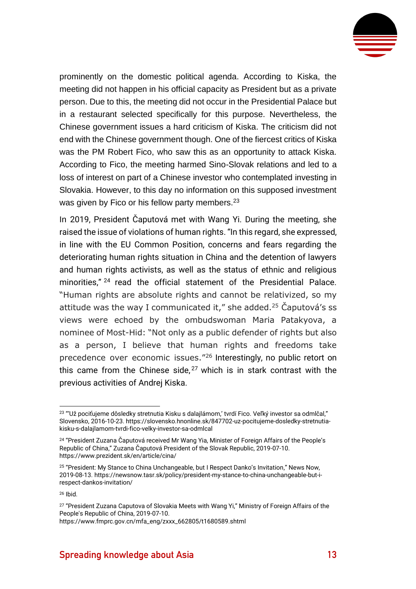

prominently on the domestic political agenda. According to Kiska, the meeting did not happen in his official capacity as President but as a private person. Due to this, the meeting did not occur in the Presidential Palace but in a restaurant selected specifically for this purpose. Nevertheless, the Chinese government issues a hard criticism of Kiska. The criticism did not end with the Chinese government though. One of the fiercest critics of Kiska was the PM Robert Fico, who saw this as an opportunity to attack Kiska. According to Fico, the meeting harmed Sino-Slovak relations and led to a loss of interest on part of a Chinese investor who contemplated investing in Slovakia. However, to this day no information on this supposed investment was given by Fico or his fellow party members.<sup>23</sup>

In 2019, President Čaputová met with Wang Yi. During the meeting, she raised the issue of violations of human rights. "In this regard, she expressed, in line with the EU Common Position, concerns and fears regarding the deteriorating human rights situation in China and the detention of lawyers and human rights activists, as well as the status of ethnic and religious minorities,"<sup>24</sup> read the official statement of the Presidential Palace. "Human rights are absolute rights and cannot be relativized, so my attitude was the way I communicated it," she added.<sup>25</sup> Caputová's ss views were echoed by the ombudswoman Maria Patakyova, a nominee of Most-Hid: "Not only as a public defender of rights but also as a person, I believe that human rights and freedoms take precedence over economic issues."<sup>26</sup> Interestingly, no public retort on this came from the Chinese side,  $27$  which is in stark contrast with the previous activities of Andrej Kiska.

<sup>&</sup>lt;sup>23</sup> "'Už pociťujeme dôsledky stretnutia Kisku s dalajlámom,' tvrdí Fico. Veľký investor sa odmlčal," Slovensko, 2016-10-23[. https://slovensko.hnonline.sk/847702-uz-pocitujeme-dosledky-stretnutia](https://slovensko.hnonline.sk/847702-uz-pocitujeme-dosledky-stretnutia-kisku-s-dalajlamom-tvrdi-fico-velky-investor-sa-odmlcal)[kisku-s-dalajlamom-tvrdi-fico-velky-investor-sa-odmlcal](https://slovensko.hnonline.sk/847702-uz-pocitujeme-dosledky-stretnutia-kisku-s-dalajlamom-tvrdi-fico-velky-investor-sa-odmlcal)

<sup>24</sup> "President Zuzana Čaputová received Mr Wang Yia, Minister of Foreign Affairs of the People's Republic of China," Zuzana Čaputová President of the Slovak Republic, 2019-07-10. <https://www.prezident.sk/en/article/cina/>

<sup>25</sup> "President: My Stance to China Unchangeable, but I Respect Danko's Invitation," News Now, 2019-08-13. [https://newsnow.tasr.sk/policy/president-my-stance-to-china-unchangeable-but-i](https://newsnow.tasr.sk/policy/president-my-stance-to-china-unchangeable-but-i-respect-dankos-invitation/)[respect-dankos-invitation/](https://newsnow.tasr.sk/policy/president-my-stance-to-china-unchangeable-but-i-respect-dankos-invitation/)

<sup>26</sup> Ibid.

<sup>&</sup>lt;sup>27</sup> "President Zuzana Caputova of Slovakia Meets with Wang Yi," Ministry of Foreign Affairs of the People's Republic of China, 2019-07-10.

[https://www.fmprc.gov.cn/mfa\\_eng/zxxx\\_662805/t1680589.shtml](https://www.fmprc.gov.cn/mfa_eng/zxxx_662805/t1680589.shtml)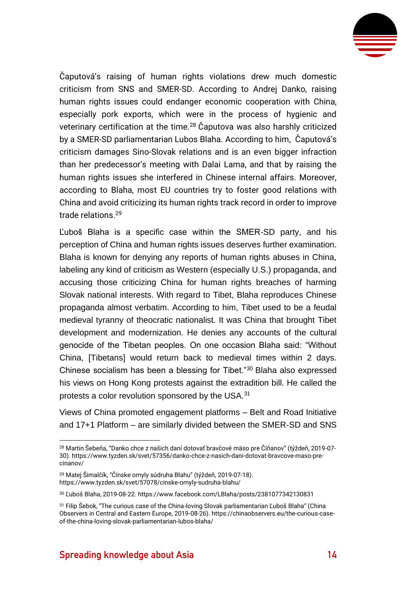

Čaputová's raising of human rights violations drew much domestic criticism from SNS and SMER-SD. According to Andrej Danko, raising human rights issues could endanger economic cooperation with China, especially pork exports, which were in the process of hygienic and veterinary certification at the time.<sup>28</sup> Čaputova was also harshly criticized by a SMER-SD parliamentarian Lubos Blaha. According to him, Čaputová's criticism damages Sino-Slovak relations and is an even bigger infraction than her predecessor's meeting with Dalai Lama, and that by raising the human rights issues she interfered in Chinese internal affairs. Moreover, according to Blaha, most EU countries try to foster good relations with China and avoid criticizing its human rights track record in order to improve trade relations.<sup>29</sup>

Ľuboš Blaha is a specific case within the SMER-SD party, and his perception of China and human rights issues deserves further examination. Blaha is known for denying any reports of human rights abuses in China, labeling any kind of criticism as Western (especially U.S.) propaganda, and accusing those criticizing China for human rights breaches of harming Slovak national interests. With regard to Tibet, Blaha reproduces Chinese propaganda almost verbatim. According to him, Tibet used to be a feudal medieval tyranny of theocratic nationalist. It was China that brought Tibet development and modernization. He denies any accounts of the cultural genocide of the Tibetan peoples. On one occasion Blaha said: "Without China, [Tibetans] would return back to medieval times within 2 days. Chinese socialism has been a blessing for Tibet."<sup>30</sup> Blaha also expressed his views on Hong Kong protests against the extradition bill. He called the protests a color revolution sponsored by the USA.<sup>31</sup>

Views of China promoted engagement platforms – Belt and Road Initiative and 17+1 Platform – are similarly divided between the SMER-SD and SNS

<sup>28</sup> Martin Šebeňa, "Danko chce z našich daní dotovať bravčové mäso pre Číňanov" (týždeň, 2019-07- 30). [https://www.tyzden.sk/svet/57356/danko-chce-z-nasich-dani-dotovat-bravcove-maso-pre](https://www.tyzden.sk/svet/57356/danko-chce-z-nasich-dani-dotovat-bravcove-maso-pre-cinanov/)[cinanov/](https://www.tyzden.sk/svet/57356/danko-chce-z-nasich-dani-dotovat-bravcove-maso-pre-cinanov/)

<sup>29</sup> Matej Šimalčík, "Čínske omyly súdruha Blahu" (týždeň, 2019-07-18). <https://www.tyzden.sk/svet/57078/cinske-omyly-sudruha-blahu/>

<sup>30</sup> Ľuboš Blaha, 2019-08-22[. https://www.facebook.com/LBlaha/posts/2381077342130831](https://www.facebook.com/LBlaha/posts/2381077342130831)

<sup>&</sup>lt;sup>31</sup> Filip Šebok, "The curious case of the China-loving Slovak parliamentarian Ľuboš Blaha" (China Observers in Central and Eastern Europe, 2019-08-26). [https://chinaobservers.eu/the-curious-case](https://chinaobservers.eu/the-curious-case-of-the-china-loving-slovak-parliamentarian-lubos-blaha/)[of-the-china-loving-slovak-parliamentarian-lubos-blaha/](https://chinaobservers.eu/the-curious-case-of-the-china-loving-slovak-parliamentarian-lubos-blaha/)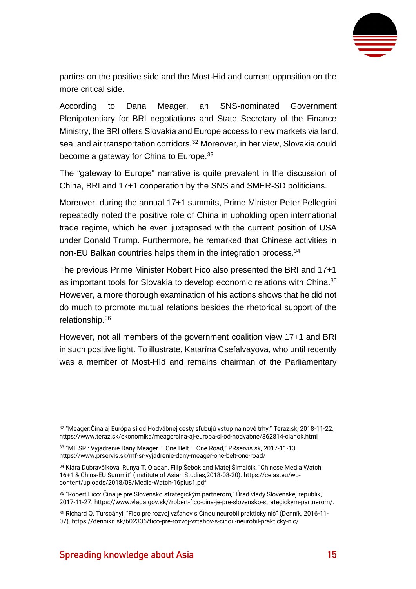

parties on the positive side and the Most-Hid and current opposition on the more critical side.

According to Dana Meager, an SNS-nominated Government Plenipotentiary for BRI negotiations and State Secretary of the Finance Ministry, the BRI offers Slovakia and Europe access to new markets via land, sea, and air transportation corridors.<sup>32</sup> Moreover, in her view, Slovakia could become a gateway for China to Europe.<sup>33</sup>

The "gateway to Europe" narrative is quite prevalent in the discussion of China, BRI and 17+1 cooperation by the SNS and SMER-SD politicians.

Moreover, during the annual 17+1 summits, Prime Minister Peter Pellegrini repeatedly noted the positive role of China in upholding open international trade regime, which he even juxtaposed with the current position of USA under Donald Trump. Furthermore, he remarked that Chinese activities in non-EU Balkan countries helps them in the integration process.<sup>34</sup>

The previous Prime Minister Robert Fico also presented the BRI and 17+1 as important tools for Slovakia to develop economic relations with China.<sup>35</sup> However, a more thorough examination of his actions shows that he did not do much to promote mutual relations besides the rhetorical support of the relationship.<sup>36</sup>

However, not all members of the government coalition view 17+1 and BRI in such positive light. To illustrate, Katarína Csefalvayova, who until recently was a member of Most-Híd and remains chairman of the Parliamentary

<sup>32</sup> "Meager:Čína aj Európa si od Hodvábnej cesty sľubujú vstup na nové trhy," Teraz.sk, 2018-11-22. <https://www.teraz.sk/ekonomika/meagercina-aj-europa-si-od-hodvabne/362814-clanok.html>

<sup>33</sup> "MF SR : Vyjadrenie Dany Meager – One Belt – One Road," PRservis.sk, 2017-11-13. <https://www.prservis.sk/mf-sr-vyjadrenie-dany-meager-one-belt-one-road/>

<sup>34</sup> Klára Dubravčíková, Runya T. Qiaoan, Filip Šebok and Matej Šimalčík, "Chinese Media Watch: 16+1 & China-EU Summit" (Institute of Asian Studies,2018-08-20)[. https://ceias.eu/wp](https://ceias.eu/wp-content/uploads/2018/08/Media-Watch-16plus1.pdf)[content/uploads/2018/08/Media-Watch-16plus1.pdf](https://ceias.eu/wp-content/uploads/2018/08/Media-Watch-16plus1.pdf)

<sup>35</sup> "Robert Fico: Čína je pre Slovensko strategickým partnerom," Úrad vlády Slovenskej republik, 2017-11-27. [https://www.vlada.gov.sk//robert-fico-cina-je-pre-slovensko-strategickym-partnerom/.](https://www.vlada.gov.sk/robert-fico-cina-je-pre-slovensko-strategickym-partnerom/)

<sup>36</sup> Richard Q. Turscányi, "Fico pre rozvoj vzťahov s Čínou neurobil prakticky nič" (Denník, 2016-11- 07).<https://dennikn.sk/602336/fico-pre-rozvoj-vztahov-s-cinou-neurobil-prakticky-nic/>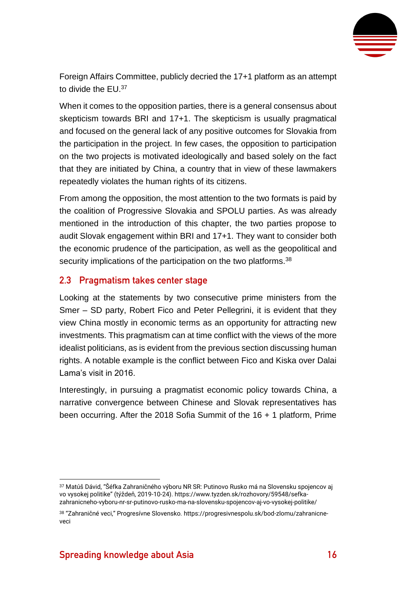

Foreign Affairs Committee, publicly decried the 17+1 platform as an attempt to divide the EU.<sup>37</sup>

When it comes to the opposition parties, there is a general consensus about skepticism towards BRI and 17+1. The skepticism is usually pragmatical and focused on the general lack of any positive outcomes for Slovakia from the participation in the project. In few cases, the opposition to participation on the two projects is motivated ideologically and based solely on the fact that they are initiated by China, a country that in view of these lawmakers repeatedly violates the human rights of its citizens.

From among the opposition, the most attention to the two formats is paid by the coalition of Progressive Slovakia and SPOLU parties. As was already mentioned in the introduction of this chapter, the two parties propose to audit Slovak engagement within BRI and 17+1. They want to consider both the economic prudence of the participation, as well as the geopolitical and security implications of the participation on the two platforms.<sup>38</sup>

#### <span id="page-16-0"></span>**2.3 Pragmatism takes center stage**

Looking at the statements by two consecutive prime ministers from the Smer – SD party, Robert Fico and Peter Pellegrini, it is evident that they view China mostly in economic terms as an opportunity for attracting new investments. This pragmatism can at time conflict with the views of the more idealist politicians, as is evident from the previous section discussing human rights. A notable example is the conflict between Fico and Kiska over Dalai Lama's visit in 2016.

Interestingly, in pursuing a pragmatist economic policy towards China, a narrative convergence between Chinese and Slovak representatives has been occurring. After the 2018 Sofia Summit of the 16 + 1 platform, Prime

<sup>37</sup> Matúš Dávid, "Šéfka Zahraničného výboru NR SR: Putinovo Rusko má na Slovensku spojencov aj vo vysokej politike" (týždeň, 2019-10-24). [https://www.tyzden.sk/rozhovory/59548/sefka](https://www.tyzden.sk/rozhovory/59548/sefka-zahranicneho-vyboru-nr-sr-putinovo-rusko-ma-na-slovensku-spojencov-aj-vo-vysokej-politike/)[zahranicneho-vyboru-nr-sr-putinovo-rusko-ma-na-slovensku-spojencov-aj-vo-vysokej-politike/](https://www.tyzden.sk/rozhovory/59548/sefka-zahranicneho-vyboru-nr-sr-putinovo-rusko-ma-na-slovensku-spojencov-aj-vo-vysokej-politike/)

<sup>38</sup> "Zahraničné veci," Progresívne Slovensko. [https://progresivnespolu.sk/bod-zlomu/zahranicne](https://progresivnespolu.sk/bod-zlomu/zahranicne-veci)[veci](https://progresivnespolu.sk/bod-zlomu/zahranicne-veci)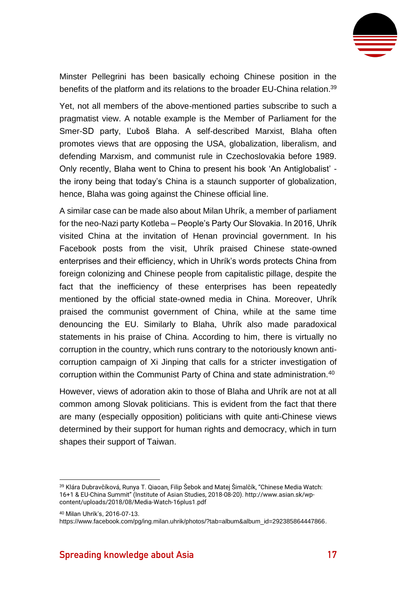

Minster Pellegrini has been basically echoing Chinese position in the benefits of the platform and its relations to the broader EU-China relation.<sup>39</sup>

Yet, not all members of the above-mentioned parties subscribe to such a pragmatist view. A notable example is the Member of Parliament for the Smer-SD party, Ľuboš Blaha. A self-described Marxist, Blaha often promotes views that are opposing the USA, globalization, liberalism, and defending Marxism, and communist rule in Czechoslovakia before 1989. Only recently, Blaha went to China to present his book 'An Antiglobalist' the irony being that today's China is a staunch supporter of globalization, hence, Blaha was going against the Chinese official line.

A similar case can be made also about Milan Uhrík, a member of parliament for the neo-Nazi party Kotleba – People's Party Our Slovakia. In 2016, Uhrík visited China at the invitation of Henan provincial government. In his Facebook posts from the visit, Uhrík praised Chinese state-owned enterprises and their efficiency, which in Uhrík's words protects China from foreign colonizing and Chinese people from capitalistic pillage, despite the fact that the inefficiency of these enterprises has been repeatedly mentioned by the official state-owned media in China. Moreover, Uhrík praised the communist government of China, while at the same time denouncing the EU. Similarly to Blaha, Uhrík also made paradoxical statements in his praise of China. According to him, there is virtually no corruption in the country, which runs contrary to the notoriously known anticorruption campaign of Xi Jinping that calls for a stricter investigation of corruption within the Communist Party of China and state administration.<sup>40</sup>

However, views of adoration akin to those of Blaha and Uhrík are not at all common among Slovak politicians. This is evident from the fact that there are many (especially opposition) politicians with quite anti-Chinese views determined by their support for human rights and democracy, which in turn shapes their support of Taiwan.

<sup>39</sup> Klára Dubravčíková, Runya T. Qiaoan, Filip Šebok and Matej Šimalčík, "Chinese Media Watch: 16+1 & EU-China Summit" (Institute of Asian Studies, 2018-08-20). [http://www.asian.sk/wp](http://www.asian.sk/wp-content/uploads/2018/08/Media-Watch-16plus1.pdf)[content/uploads/2018/08/Media-Watch-16plus1.pdf](http://www.asian.sk/wp-content/uploads/2018/08/Media-Watch-16plus1.pdf)

<sup>40</sup> Milan Uhrík's, 2016-07-13.

[https://www.facebook.com/pg/ing.milan.uhrik/photos/?tab=album&album\\_id=292385864447866.](https://www.facebook.com/pg/ing.milan.uhrik/photos/?tab=album&album_id=292385864447866)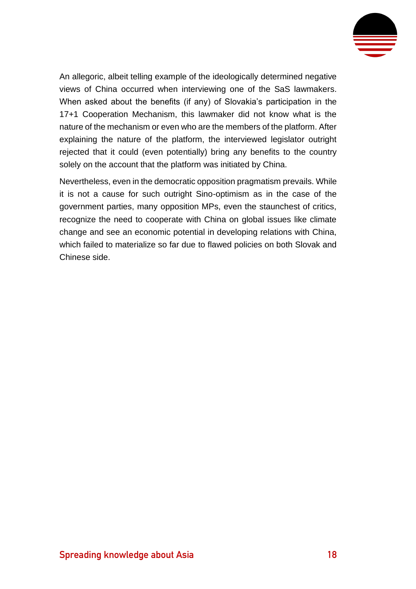

An allegoric, albeit telling example of the ideologically determined negative views of China occurred when interviewing one of the SaS lawmakers. When asked about the benefits (if any) of Slovakia's participation in the 17+1 Cooperation Mechanism, this lawmaker did not know what is the nature of the mechanism or even who are the members of the platform. After explaining the nature of the platform, the interviewed legislator outright rejected that it could (even potentially) bring any benefits to the country solely on the account that the platform was initiated by China.

Nevertheless, even in the democratic opposition pragmatism prevails. While it is not a cause for such outright Sino-optimism as in the case of the government parties, many opposition MPs, even the staunchest of critics, recognize the need to cooperate with China on global issues like climate change and see an economic potential in developing relations with China, which failed to materialize so far due to flawed policies on both Slovak and Chinese side.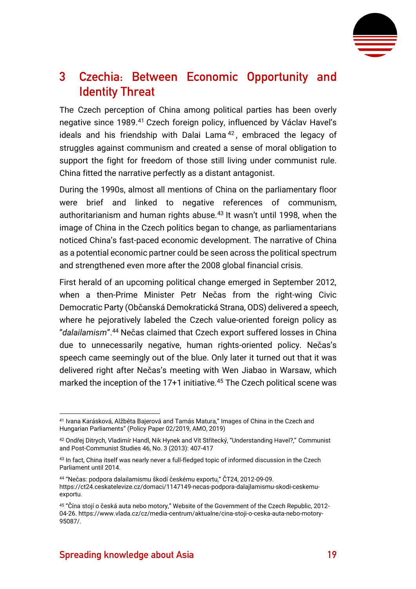

## <span id="page-19-0"></span>**3 Czechia: Between Economic Opportunity and Identity Threat**

The Czech perception of China among political parties has been overly negative since 1989.<sup>41</sup> Czech foreign policy, influenced by Václav Havel's ideals and his friendship with Dalai Lama<sup>42</sup>, embraced the legacy of struggles against communism and created a sense of moral obligation to support the fight for freedom of those still living under communist rule. China fitted the narrative perfectly as a distant antagonist.

During the 1990s, almost all mentions of China on the parliamentary floor were brief and linked to negative references of communism, authoritarianism and human rights abuse.<sup>43</sup> It wasn't until 1998, when the image of China in the Czech politics began to change, as parliamentarians noticed China's fast-paced economic development. The narrative of China as a potential economic partner could be seen across the political spectrum and strengthened even more after the 2008 global financial crisis.

First herald of an upcoming political change emerged in September 2012, when a then-Prime Minister Petr Nečas from the right-wing Civic Democratic Party (Občanská Demokratická Strana, ODS) delivered a speech, where he pejoratively labeled the Czech value-oriented foreign policy as "*dalailamism*".<sup>44</sup> Nečas claimed that Czech export suffered losses in China due to unnecessarily negative, human rights-oriented policy. Nečas's speech came seemingly out of the blue. Only later it turned out that it was delivered right after Nečas's meeting with Wen Jiabao in Warsaw, which marked the inception of the 17+1 initiative.<sup>45</sup> The Czech political scene was

<sup>41</sup> Ivana Karásková, Alžběta Bajerová and Tamás Matura," Images of China in the Czech and Hungarian Parliaments" (Policy Paper 02/2019, AMO, 2019)

<sup>42</sup> Ondřej Ditrych, Vladimír Handl, Nik Hynek and Vít Střítecký, "Understanding Havel?," Communist and Post-Communist Studies 46, No. 3 (2013): 407-417

<sup>43</sup> In fact, China itself was nearly never a full-fledged topic of informed discussion in the Czech Parliament until 2014.

<sup>44</sup> "Nečas: podpora dalailamismu škodí českému exportu," ČT24, 2012-09-09. [https://ct24.ceskatelevize.cz/domaci/1147149-necas-podpora-dalajlamismu-skodi-ceskemu](https://ct24.ceskatelevize.cz/domaci/1147149-necas-podpora-dalajlamismu-skodi-ceskemu-exportu)[exportu.](https://ct24.ceskatelevize.cz/domaci/1147149-necas-podpora-dalajlamismu-skodi-ceskemu-exportu)

<sup>45</sup> "Čína stojí o česká auta nebo motory," Website of the Government of the Czech Republic, 2012- 04-26[. https://www.vlada.cz/cz/media-centrum/aktualne/cina-stoji-o-ceska-auta-nebo-motory-](https://www.vlada.cz/cz/media-centrum/aktualne/cina-stoji-o-ceska-auta-nebo-motory-95087/)[95087/.](https://www.vlada.cz/cz/media-centrum/aktualne/cina-stoji-o-ceska-auta-nebo-motory-95087/)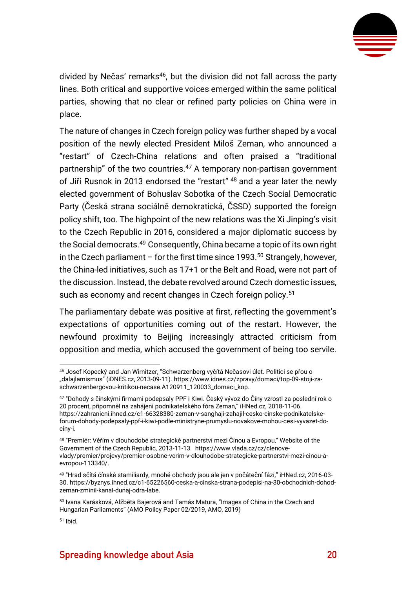

divided by Nečas' remarks<sup>46</sup>, but the division did not fall across the party lines. Both critical and supportive voices emerged within the same political parties, showing that no clear or refined party policies on China were in place.

The nature of changes in Czech foreign policy was further shaped by a vocal position of the newly elected President Miloš Zeman, who announced a "restart" of Czech-China relations and often praised a "traditional partnership" of the two countries.<sup>47</sup> A temporary non-partisan government of Jiří Rusnok in 2013 endorsed the "restart" <sup>48</sup> and a year later the newly elected government of Bohuslav Sobotka of the Czech Social Democratic Party (Česká strana sociálně demokratická, ČSSD) supported the foreign policy shift, too. The highpoint of the new relations was the Xi Jinping's visit to the Czech Republic in 2016, considered a major diplomatic success by the Social democrats.<sup>49</sup> Consequently, China became a topic of its own right in the Czech parliament – for the first time since 1993.<sup>50</sup> Strangely, however, the China-led initiatives, such as 17+1 or the Belt and Road, were not part of the discussion. Instead, the debate revolved around Czech domestic issues, such as economy and recent changes in Czech foreign policy.<sup>51</sup>

The parliamentary debate was positive at first, reflecting the government's expectations of opportunities coming out of the restart. However, the newfound proximity to Beijing increasingly attracted criticism from opposition and media, which accused the government of being too servile.

<sup>51</sup> Ibid.

<sup>46</sup> Josef Kopecký and Jan Wirnitzer, "Schwarzenberg vyčítá Nečasovi úlet. Politici se přou o "dalajlamismus" (iDNES.cz, 2013-09-11)[. https://www.idnes.cz/zpravy/domaci/top-09-stoji-za](https://www.idnes.cz/zpravy/domaci/top-09-stoji-za-schwarzenbergovou-kritikou-necase.A120911_120033_domaci_kop)[schwarzenbergovou-kritikou-necase.A120911\\_120033\\_domaci\\_kop.](https://www.idnes.cz/zpravy/domaci/top-09-stoji-za-schwarzenbergovou-kritikou-necase.A120911_120033_domaci_kop)

<sup>47</sup> "Dohody s čínskými firmami podepsaly PPF i Kiwi. Český vývoz do Číny vzrostl za poslední rok o 20 procent, připomněl na zahájení podnikatelského fóra Zeman," iHNed.cz, 2018-11-06. [https://zahranicni.ihned.cz/c1-66328380-zeman-v-sanghaji-zahajil-cesko-cinske-podnikatelske](https://zahranicni.ihned.cz/c1-66328380-zeman-v-sanghaji-zahajil-cesko-cinske-podnikatelske-forum-dohody-podepsaly-ppf-i-kiwi-podle-ministryne-prumyslu-novakove-mohou-cesi-vyvazet-do-ciny-i)[forum-dohody-podepsaly-ppf-i-kiwi-podle-ministryne-prumyslu-novakove-mohou-cesi-vyvazet-do](https://zahranicni.ihned.cz/c1-66328380-zeman-v-sanghaji-zahajil-cesko-cinske-podnikatelske-forum-dohody-podepsaly-ppf-i-kiwi-podle-ministryne-prumyslu-novakove-mohou-cesi-vyvazet-do-ciny-i)[ciny-i.](https://zahranicni.ihned.cz/c1-66328380-zeman-v-sanghaji-zahajil-cesko-cinske-podnikatelske-forum-dohody-podepsaly-ppf-i-kiwi-podle-ministryne-prumyslu-novakove-mohou-cesi-vyvazet-do-ciny-i)

<sup>48</sup> "Premiér: Věřím v dlouhodobé strategické partnerství mezi Čínou a Evropou," Website of the Government of the Czech Republic, 2013-11-13. [https://www.vlada.cz/cz/clenove](https://www.vlada.cz/cz/clenove-vlady/premier/projevy/premier-osobne-verim-v-dlouhodobe-strategicke-partnerstvi-mezi-cinou-a-evropou-113340/)[vlady/premier/projevy/premier-osobne-verim-v-dlouhodobe-strategicke-partnerstvi-mezi-cinou-a](https://www.vlada.cz/cz/clenove-vlady/premier/projevy/premier-osobne-verim-v-dlouhodobe-strategicke-partnerstvi-mezi-cinou-a-evropou-113340/)[evropou-113340/.](https://www.vlada.cz/cz/clenove-vlady/premier/projevy/premier-osobne-verim-v-dlouhodobe-strategicke-partnerstvi-mezi-cinou-a-evropou-113340/)

<sup>49</sup> "Hrad sčítá čínské stamiliardy, mnohé obchody jsou ale jen v počáteční fázi," iHNed.cz, 2016-03- 30. [https://byznys.ihned.cz/c1-65226560-ceska-a-cinska-strana-podepisi-na-30-obchodnich-dohod](https://byznys.ihned.cz/c1-65226560-ceska-a-cinska-strana-podepisi-na-30-obchodnich-dohod-zeman-zminil-kanal-dunaj-odra-labe)[zeman-zminil-kanal-dunaj-odra-labe.](https://byznys.ihned.cz/c1-65226560-ceska-a-cinska-strana-podepisi-na-30-obchodnich-dohod-zeman-zminil-kanal-dunaj-odra-labe)

<sup>50</sup> Ivana Karásková, Alžběta Bajerová and Tamás Matura, "Images of China in the Czech and Hungarian Parliaments" (AMO Policy Paper 02/2019, AMO, 2019)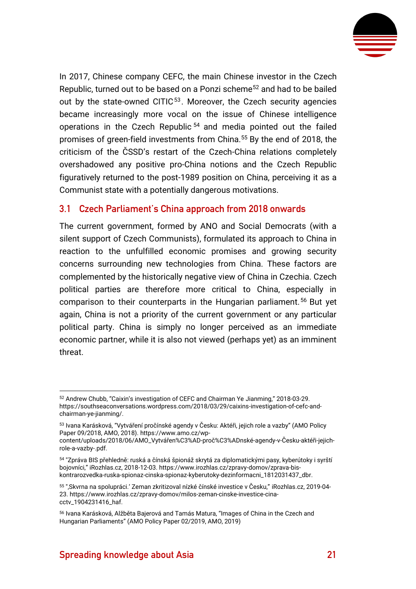

In 2017, Chinese company CEFC, the main Chinese investor in the Czech Republic, turned out to be based on a Ponzi scheme<sup>52</sup> and had to be bailed out by the state-owned CITIC<sup>53</sup>. Moreover, the Czech security agencies became increasingly more vocal on the issue of Chinese intelligence operations in the Czech Republic <sup>54</sup> and media pointed out the failed promises of green-field investments from China.<sup>55</sup> By the end of 2018, the criticism of the ČSSD's restart of the Czech-China relations completely overshadowed any positive pro-China notions and the Czech Republic figuratively returned to the post-1989 position on China, perceiving it as a Communist state with a potentially dangerous motivations.

#### <span id="page-21-0"></span>**3.1 Czech Parliament's China approach from 2018 onwards**

The current government, formed by ANO and Social Democrats (with a silent support of Czech Communists), formulated its approach to China in reaction to the unfulfilled economic promises and growing security concerns surrounding new technologies from China. These factors are complemented by the historically negative view of China in Czechia. Czech political parties are therefore more critical to China, especially in comparison to their counterparts in the Hungarian parliament.<sup>56</sup> But yet again, China is not a priority of the current government or any particular political party. China is simply no longer perceived as an immediate economic partner, while it is also not viewed (perhaps yet) as an imminent threat.

<sup>52</sup> Andrew Chubb, "Caixin's investigation of CEFC and Chairman Ye Jianming," 2018-03-29. [https://southseaconversations.wordpress.com/2018/03/29/caixins-investigation-of-cefc-and](https://southseaconversations.wordpress.com/2018/03/29/caixins-investigation-of-cefc-and-chairman-ye-jianming/)[chairman-ye-jianming/.](https://southseaconversations.wordpress.com/2018/03/29/caixins-investigation-of-cefc-and-chairman-ye-jianming/)

<sup>53</sup> Ivana Karásková, "Vytváření pročínské agendy v Česku: Aktéři, jejich role a vazby" (AMO Policy Paper 09/2018, AMO, 2018)[. https://www.amo.cz/wp-](https://www.amo.cz/wp-content/uploads/2018/06/AMO_Vytv%2525C3%2525A1%2525C5%252599en%2525C3%2525AD-pro%2525C4%25258D%2525C3%2525ADnsk%2525C3%2525A9-agendy-v-%2525C4%25258Cesku-akt%2525C3%2525A9%2525C5%252599i-jejich-role-a-vazby-.pdf)

[content/uploads/2018/06/AMO\\_Vytvářen%C3%AD](https://www.amo.cz/wp-content/uploads/2018/06/AMO_Vytv%2525C3%2525A1%2525C5%252599en%2525C3%2525AD-pro%2525C4%25258D%2525C3%2525ADnsk%2525C3%2525A9-agendy-v-%2525C4%25258Cesku-akt%2525C3%2525A9%2525C5%252599i-jejich-role-a-vazby-.pdf)-proč%C3%ADnské-agendy-v-Česku-aktéři-jejich[role-a-vazby-.pdf.](https://www.amo.cz/wp-content/uploads/2018/06/AMO_Vytv%2525C3%2525A1%2525C5%252599en%2525C3%2525AD-pro%2525C4%25258D%2525C3%2525ADnsk%2525C3%2525A9-agendy-v-%2525C4%25258Cesku-akt%2525C3%2525A9%2525C5%252599i-jejich-role-a-vazby-.pdf)

<sup>54</sup> "Zpráva BIS přehledně: ruská a čínská špionáž skrytá za diplomatickými pasy, kyberútoky i syrští bojovníci," iRozhlas.cz, 2018-12-03[. https://www.irozhlas.cz/zpravy-domov/zprava-bis](https://www.irozhlas.cz/zpravy-domov/zprava-bis-kontrarozvedka-ruska-spionaz-cinska-spionaz-kyberutoky-dezinformacni_1812031437_dbr)[kontrarozvedka-ruska-spionaz-cinska-spionaz-kyberutoky-dezinformacni\\_1812031437\\_dbr.](https://www.irozhlas.cz/zpravy-domov/zprava-bis-kontrarozvedka-ruska-spionaz-cinska-spionaz-kyberutoky-dezinformacni_1812031437_dbr)

<sup>55</sup> "'Skvrna na spolupráci.' Zeman zkritizoval nízké čínské investice v Česku," iRozhlas.cz, 2019-04- 23. [https://www.irozhlas.cz/zpravy-domov/milos-zeman-cinske-investice-cina](https://www.irozhlas.cz/zpravy-domov/milos-zeman-cinske-investice-cina-cctv_1904231416_haf)[cctv\\_1904231416\\_haf.](https://www.irozhlas.cz/zpravy-domov/milos-zeman-cinske-investice-cina-cctv_1904231416_haf)

<sup>56</sup> Ivana Karásková, Alžběta Bajerová and Tamás Matura, "Images of China in the Czech and Hungarian Parliaments" (AMO Policy Paper 02/2019, AMO, 2019)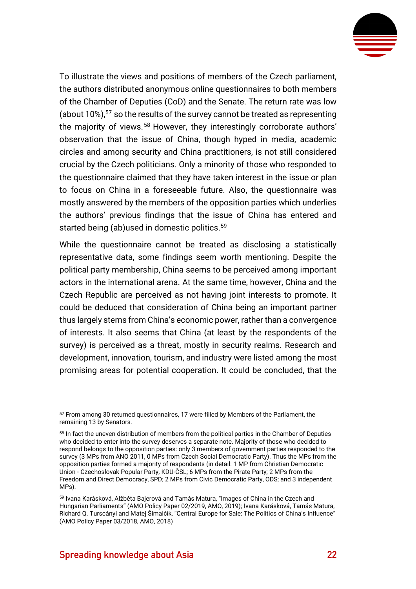

To illustrate the views and positions of members of the Czech parliament, the authors distributed anonymous online questionnaires to both members of the Chamber of Deputies (CoD) and the Senate. The return rate was low (about 10%), <sup>57</sup> so the results of the survey cannot be treated as representing the majority of views.<sup>58</sup> However, they interestingly corroborate authors' observation that the issue of China, though hyped in media, academic circles and among security and China practitioners, is not still considered crucial by the Czech politicians. Only a minority of those who responded to the questionnaire claimed that they have taken interest in the issue or plan to focus on China in a foreseeable future. Also, the questionnaire was mostly answered by the members of the opposition parties which underlies the authors' previous findings that the issue of China has entered and started being (ab)used in domestic politics.<sup>59</sup>

While the questionnaire cannot be treated as disclosing a statistically representative data, some findings seem worth mentioning. Despite the political party membership, China seems to be perceived among important actors in the international arena. At the same time, however, China and the Czech Republic are perceived as not having joint interests to promote. It could be deduced that consideration of China being an important partner thus largely stems from China's economic power, rather than a convergence of interests. It also seems that China (at least by the respondents of the survey) is perceived as a threat, mostly in security realms. Research and development, innovation, tourism, and industry were listed among the most promising areas for potential cooperation. It could be concluded, that the

<sup>57</sup> From among 30 returned questionnaires, 17 were filled by Members of the Parliament, the remaining 13 by Senators.

<sup>58</sup> In fact the uneven distribution of members from the political parties in the Chamber of Deputies who decided to enter into the survey deserves a separate note. Majority of those who decided to respond belongs to the opposition parties: only 3 members of government parties responded to the survey (3 MPs from ANO 2011, 0 MPs from Czech Social Democratic Party). Thus the MPs from the opposition parties formed a majority of respondents (in detail: 1 MP from Christian Democratic Union - Czechoslovak Popular Party, KDU-ČSL; 6 MPs from the Pirate Party; 2 MPs from the Freedom and Direct Democracy, SPD; 2 MPs from Civic Democratic Party, ODS; and 3 independent MPs).

<sup>59</sup> Ivana Karásková, Alžběta Bajerová and Tamás Matura, "Images of China in the Czech and Hungarian Parliaments" (AMO Policy Paper 02/2019, AMO, 2019); Ivana Karásková, Tamás Matura, Richard Q. Turscányi and Matej Šimalčík, "Central Europe for Sale: The Politics of China's Influence" (AMO Policy Paper 03/2018, AMO, 2018)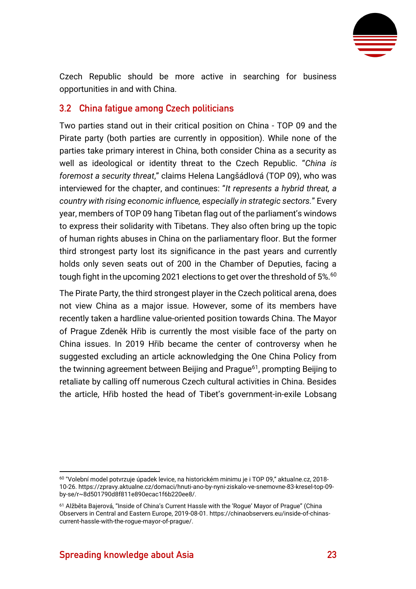

Czech Republic should be more active in searching for business opportunities in and with China.

#### <span id="page-23-0"></span>**3.2 China fatigue among Czech politicians**

Two parties stand out in their critical position on China - TOP 09 and the Pirate party (both parties are currently in opposition). While none of the parties take primary interest in China, both consider China as a security as well as ideological or identity threat to the Czech Republic. "*China is foremost a security threat*," claims Helena Langšádlová (TOP 09), who was interviewed for the chapter, and continues: "*It represents a hybrid threat, a country with rising economic influence, especially in strategic sectors.*" Every year, members of TOP 09 hang Tibetan flag out of the parliament's windows to express their solidarity with Tibetans. They also often bring up the topic of human rights abuses in China on the parliamentary floor. But the former third strongest party lost its significance in the past years and currently holds only seven seats out of 200 in the Chamber of Deputies, facing a tough fight in the upcoming 2021 elections to get over the threshold of 5%.<sup>60</sup>

The Pirate Party, the third strongest player in the Czech political arena, does not view China as a major issue. However, some of its members have recently taken a hardline value-oriented position towards China. The Mayor of Prague Zdeněk Hřib is currently the most visible face of the party on China issues. In 2019 Hřib became the center of controversy when he suggested excluding an article acknowledging the One China Policy from the twinning agreement between Beijing and Prague<sup>61</sup>, prompting Beijing to retaliate by calling off numerous Czech cultural activities in China. Besides the article, Hřib hosted the head of Tibet's government-in-exile Lobsang

<sup>60</sup> "Volební model potvrzuje úpadek levice, na historickém minimu je i TOP 09," aktualne.cz, 2018- 10-26[. https://zpravy.aktualne.cz/domaci/hnuti-ano-by-nyni-ziskalo-ve-snemovne-83-kresel-top-09](https://zpravy.aktualne.cz/domaci/hnuti-ano-by-nyni-ziskalo-ve-snemovne-83-kresel-top-09-by-se/r~8d501790d8f811e890ecac1f6b220ee8/) [by-se/r~8d501790d8f811e890ecac1f6b220ee8/.](https://zpravy.aktualne.cz/domaci/hnuti-ano-by-nyni-ziskalo-ve-snemovne-83-kresel-top-09-by-se/r~8d501790d8f811e890ecac1f6b220ee8/)

<sup>61</sup> Alžběta Bajerová, "Inside of China's Current Hassle with the 'Rogue' Mayor of Prague" (China Observers in Central and Eastern Europe, 2019-08-01. [https://chinaobservers.eu/inside-of-chinas](https://chinaobservers.eu/inside-of-chinas-current-hassle-with-the-rogue-mayor-of-prague/)[current-hassle-with-the-rogue-mayor-of-prague/.](https://chinaobservers.eu/inside-of-chinas-current-hassle-with-the-rogue-mayor-of-prague/)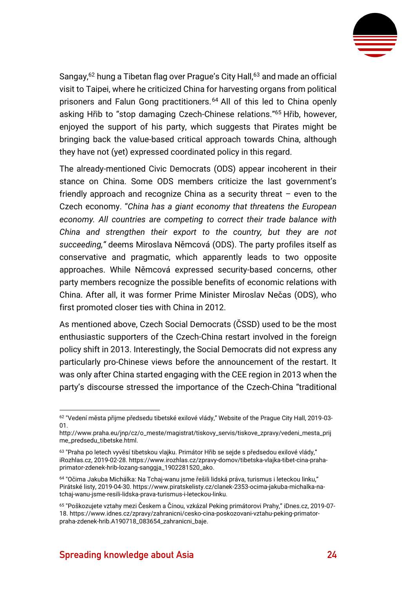

Sangay,<sup>62</sup> hung a Tibetan flag over Prague's City Hall,<sup>63</sup> and made an official visit to Taipei, where he criticized China for harvesting organs from political prisoners and Falun Gong practitioners.<sup>64</sup> All of this led to China openly asking Hřib to "stop damaging Czech-Chinese relations."<sup>65</sup> Hřib, however, enjoyed the support of his party, which suggests that Pirates might be bringing back the value-based critical approach towards China, although they have not (yet) expressed coordinated policy in this regard.

The already-mentioned Civic Democrats (ODS) appear incoherent in their stance on China. Some ODS members criticize the last government's friendly approach and recognize China as a security threat – even to the Czech economy. "*China has a giant economy that threatens the European economy. All countries are competing to correct their trade balance with China and strengthen their export to the country, but they are not succeeding,"* deems Miroslava Němcová (ODS). The party profiles itself as conservative and pragmatic, which apparently leads to two opposite approaches. While Němcová expressed security-based concerns, other party members recognize the possible benefits of economic relations with China. After all, it was former Prime Minister Miroslav Nečas (ODS), who first promoted closer ties with China in 2012.

As mentioned above, Czech Social Democrats (ČSSD) used to be the most enthusiastic supporters of the Czech-China restart involved in the foreign policy shift in 2013. Interestingly, the Social Democrats did not express any particularly pro-Chinese views before the announcement of the restart. It was only after China started engaging with the CEE region in 2013 when the party's discourse stressed the importance of the Czech-China "traditional

<sup>62</sup> "Vedení města přijme předsedu tibetské exilové vlády," Website of the Prague City Hall, 2019-03- 01.

[http://www.praha.eu/jnp/cz/o\\_meste/magistrat/tiskovy\\_servis/tiskove\\_zpravy/vedeni\\_mesta\\_prij](http://www.praha.eu/jnp/cz/o_meste/magistrat/tiskovy_servis/tiskove_zpravy/vedeni_mesta_prijme_predsedu_tibetske.html) [me\\_predsedu\\_tibetske.html.](http://www.praha.eu/jnp/cz/o_meste/magistrat/tiskovy_servis/tiskove_zpravy/vedeni_mesta_prijme_predsedu_tibetske.html)

<sup>&</sup>lt;sup>63</sup> "Praha po letech vyvěsí tibetskou vlajku. Primátor Hřib se sejde s předsedou exilové vlády," iRozhlas.cz, 2019-02-28[. https://www.irozhlas.cz/zpravy-domov/tibetska-vlajka-tibet-cina-praha](https://www.irozhlas.cz/zpravy-domov/tibetska-vlajka-tibet-cina-praha-primator-zdenek-hrib-lozang-sanggja_1902281520_ako)[primator-zdenek-hrib-lozang-sanggja\\_1902281520\\_ako.](https://www.irozhlas.cz/zpravy-domov/tibetska-vlajka-tibet-cina-praha-primator-zdenek-hrib-lozang-sanggja_1902281520_ako)

<sup>64</sup> "Očima Jakuba Michálka: Na Tchaj-wanu jsme řešili lidská práva, turismus i leteckou linku," Pirátské listy, 2019-04-30[. https://www.piratskelisty.cz/clanek-2353-ocima-jakuba-michalka-na](https://www.piratskelisty.cz/clanek-2353-ocima-jakuba-michalka-na-tchaj-wanu-jsme-resili-lidska-prava-turismus-i-leteckou-linku)[tchaj-wanu-jsme-resili-lidska-prava-turismus-i-leteckou-linku.](https://www.piratskelisty.cz/clanek-2353-ocima-jakuba-michalka-na-tchaj-wanu-jsme-resili-lidska-prava-turismus-i-leteckou-linku)

<sup>65</sup> "Poškozujete vztahy mezi Českem a Čínou, vzkázal Peking primátorovi Prahy," iDnes.cz, 2019-07- 18. [https://www.idnes.cz/zpravy/zahranicni/cesko-cina-poskozovani-vztahu-peking-primator](https://www.idnes.cz/zpravy/zahranicni/cesko-cina-poskozovani-vztahu-peking-primator-praha-zdenek-hrib.A190718_083654_zahranicni_baje)[praha-zdenek-hrib.A190718\\_083654\\_zahranicni\\_baje.](https://www.idnes.cz/zpravy/zahranicni/cesko-cina-poskozovani-vztahu-peking-primator-praha-zdenek-hrib.A190718_083654_zahranicni_baje)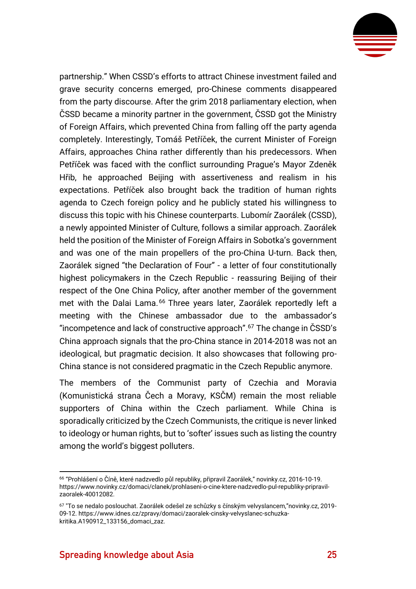

partnership." When CSSD's efforts to attract Chinese investment failed and grave security concerns emerged, pro-Chinese comments disappeared from the party discourse. After the grim 2018 parliamentary election, when ČSSD became a minority partner in the government, ČSSD got the Ministry of Foreign Affairs, which prevented China from falling off the party agenda completely. Interestingly, Tomáš Petříček, the current Minister of Foreign Affairs, approaches China rather differently than his predecessors. When Petříček was faced with the conflict surrounding Prague's Mayor Zdeněk Hřib, he approached Beijing with assertiveness and realism in his expectations. Petříček also brought back the tradition of human rights agenda to Czech foreign policy and he publicly stated his willingness to discuss this topic with his Chinese counterparts. Lubomír Zaorálek (CSSD), a newly appointed Minister of Culture, follows a similar approach. Zaorálek held the position of the Minister of Foreign Affairs in Sobotka's government and was one of the main propellers of the pro-China U-turn. Back then, Zaorálek signed "the Declaration of Four" - a letter of four constitutionally highest policymakers in the Czech Republic - reassuring Beijing of their respect of the One China Policy, after another member of the government met with the Dalai Lama.<sup>66</sup> Three years later, Zaorálek reportedly left a meeting with the Chinese ambassador due to the ambassador's "incompetence and lack of constructive approach". <sup>67</sup> The change in ČSSD's China approach signals that the pro-China stance in 2014-2018 was not an ideological, but pragmatic decision. It also showcases that following pro-China stance is not considered pragmatic in the Czech Republic anymore.

The members of the Communist party of Czechia and Moravia (Komunistická strana Čech a Moravy, KSČM) remain the most reliable supporters of China within the Czech parliament. While China is sporadically criticized by the Czech Communists, the critique is never linked to ideology or human rights, but to 'softer' issues such as listing the country among the world's biggest polluters.

<sup>66</sup> "Prohlášení o Číně, které nadzvedlo půl republiky, připravil Zaorálek," novinky.cz, 2016-10-19. [https://www.novinky.cz/domaci/clanek/prohlaseni-o-cine-ktere-nadzvedlo-pul-republiky-pripravil](https://www.novinky.cz/domaci/clanek/prohlaseni-o-cine-ktere-nadzvedlo-pul-republiky-pripravil-zaoralek-40012082)[zaoralek-40012082.](https://www.novinky.cz/domaci/clanek/prohlaseni-o-cine-ktere-nadzvedlo-pul-republiky-pripravil-zaoralek-40012082)

<sup>67</sup> "To se nedalo poslouchat. Zaorálek odešel ze schůzky s čínským velvyslancem,"novinky.cz, 2019- 09-12[. https://www.idnes.cz/zpravy/domaci/zaoralek-cinsky-velvyslanec-schuzka](https://www.idnes.cz/zpravy/domaci/zaoralek-cinsky-velvyslanec-schuzka-kritika.A190912_133156_domaci_zaz)[kritika.A190912\\_133156\\_domaci\\_zaz.](https://www.idnes.cz/zpravy/domaci/zaoralek-cinsky-velvyslanec-schuzka-kritika.A190912_133156_domaci_zaz)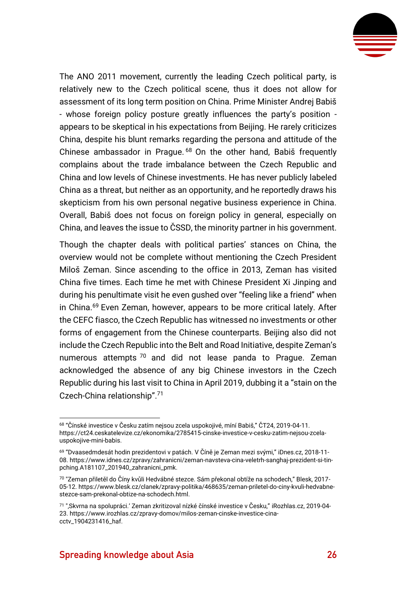

The ANO 2011 movement, currently the leading Czech political party, is relatively new to the Czech political scene, thus it does not allow for assessment of its long term position on China. Prime Minister Andrej Babiš - whose foreign policy posture greatly influences the party's position appears to be skeptical in his expectations from Beijing. He rarely criticizes China, despite his blunt remarks regarding the persona and attitude of the Chinese ambassador in Prague. <sup>68</sup> On the other hand, Babiš frequently complains about the trade imbalance between the Czech Republic and China and low levels of Chinese investments. He has never publicly labeled China as a threat, but neither as an opportunity, and he reportedly draws his skepticism from his own personal negative business experience in China. Overall, Babiš does not focus on foreign policy in general, especially on China, and leaves the issue to ČSSD, the minority partner in his government.

Though the chapter deals with political parties' stances on China, the overview would not be complete without mentioning the Czech President Miloš Zeman. Since ascending to the office in 2013, Zeman has visited China five times. Each time he met with Chinese President Xi Jinping and during his penultimate visit he even gushed over "feeling like a friend" when in China.<sup>69</sup> Even Zeman, however, appears to be more critical lately. After the CEFC fiasco, the Czech Republic has witnessed no investments or other forms of engagement from the Chinese counterparts. Beijing also did not include the Czech Republic into the Belt and Road Initiative, despite Zeman's numerous attempts  $70$  and did not lease panda to Prague. Zeman acknowledged the absence of any big Chinese investors in the Czech Republic during his last visit to China in April 2019, dubbing it a "stain on the Czech-China relationship".<sup>71</sup>

<sup>68</sup> "Čínské investice v Česku zatím nejsou zcela uspokojivé, míní Babiš," ČT24, 2019-04-11. [https://ct24.ceskatelevize.cz/ekonomika/2785415-cinske-investice-v-cesku-zatim-nejsou-zcela](https://ct24.ceskatelevize.cz/ekonomika/2785415-cinske-investice-v-cesku-zatim-nejsou-zcela-uspokojive-mini-babis)[uspokojive-mini-babis.](https://ct24.ceskatelevize.cz/ekonomika/2785415-cinske-investice-v-cesku-zatim-nejsou-zcela-uspokojive-mini-babis)

<sup>69</sup> "Dvaasedmdesát hodin prezidentovi v patách. V Číně je Zeman mezi svými," iDnes.cz, 2018-11- 08. [https://www.idnes.cz/zpravy/zahranicni/zeman-navsteva-cina-veletrh-sanghaj-prezident-si-tin](https://www.idnes.cz/zpravy/zahranicni/zeman-navsteva-cina-veletrh-sanghaj-prezident-si-tin-pching.A181107_201940_zahranicni_pmk)[pching.A181107\\_201940\\_zahranicni\\_pmk.](https://www.idnes.cz/zpravy/zahranicni/zeman-navsteva-cina-veletrh-sanghaj-prezident-si-tin-pching.A181107_201940_zahranicni_pmk)

<sup>70</sup> "Zeman přiletěl do Číny kvůli Hedvábné stezce. Sám překonal obtíže na schodech," Blesk, 2017- 05-12[. https://www.blesk.cz/clanek/zpravy-politika/468635/zeman-priletel-do-ciny-kvuli-hedvabne](https://www.blesk.cz/clanek/zpravy-politika/468635/zeman-priletel-do-ciny-kvuli-hedvabne-stezce-sam-prekonal-obtize-na-schodech.html)[stezce-sam-prekonal-obtize-na-schodech.html.](https://www.blesk.cz/clanek/zpravy-politika/468635/zeman-priletel-do-ciny-kvuli-hedvabne-stezce-sam-prekonal-obtize-na-schodech.html)

<sup>71</sup> "'Skvrna na spolupráci.' Zeman zkritizoval nízké čínské investice v Česku," [iRozhlas.cz,](http://irozhlas.cz/) 2019-04- 23. [https://www.irozhlas.cz/zpravy-domov/milos-zeman-cinske-investice-cina](https://www.irozhlas.cz/zpravy-domov/milos-zeman-cinske-investice-cina-cctv_1904231416_haf)[cctv\\_1904231416\\_haf.](https://www.irozhlas.cz/zpravy-domov/milos-zeman-cinske-investice-cina-cctv_1904231416_haf)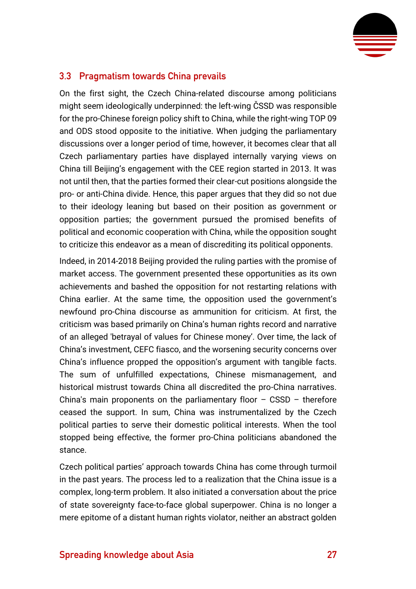

#### <span id="page-27-0"></span>**3.3 Pragmatism towards China prevails**

On the first sight, the Czech China-related discourse among politicians might seem ideologically underpinned: the left-wing ČSSD was responsible for the pro-Chinese foreign policy shift to China, while the right-wing TOP 09 and ODS stood opposite to the initiative. When judging the parliamentary discussions over a longer period of time, however, it becomes clear that all Czech parliamentary parties have displayed internally varying views on China till Beijing's engagement with the CEE region started in 2013. It was not until then, that the parties formed their clear-cut positions alongside the pro- or anti-China divide. Hence, this paper argues that they did so not due to their ideology leaning but based on their position as government or opposition parties; the government pursued the promised benefits of political and economic cooperation with China, while the opposition sought to criticize this endeavor as a mean of discrediting its political opponents.

Indeed, in 2014-2018 Beijing provided the ruling parties with the promise of market access. The government presented these opportunities as its own achievements and bashed the opposition for not restarting relations with China earlier. At the same time, the opposition used the government's newfound pro-China discourse as ammunition for criticism. At first, the criticism was based primarily on China's human rights record and narrative of an alleged 'betrayal of values for Chinese money'. Over time, the lack of China's investment, CEFC fiasco, and the worsening security concerns over China's influence propped the opposition's argument with tangible facts. The sum of unfulfilled expectations, Chinese mismanagement, and historical mistrust towards China all discredited the pro-China narratives. China's main proponents on the parliamentary floor  $-$  CSSD  $-$  therefore ceased the support. In sum, China was instrumentalized by the Czech political parties to serve their domestic political interests. When the tool stopped being effective, the former pro-China politicians abandoned the stance.

Czech political parties' approach towards China has come through turmoil in the past years. The process led to a realization that the China issue is a complex, long-term problem. It also initiated a conversation about the price of state sovereignty face-to-face global superpower. China is no longer a mere epitome of a distant human rights violator, neither an abstract golden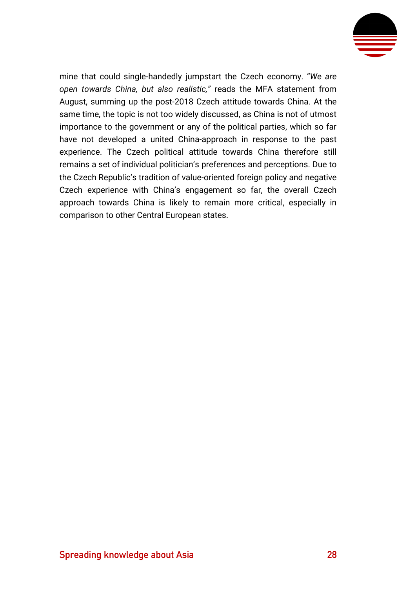

mine that could single-handedly jumpstart the Czech economy. "*We are open towards China, but also realistic,"* reads the MFA statement from August, summing up the post-2018 Czech attitude towards China. At the same time, the topic is not too widely discussed, as China is not of utmost importance to the government or any of the political parties, which so far have not developed a united China-approach in response to the past experience. The Czech political attitude towards China therefore still remains a set of individual politician's preferences and perceptions. Due to the Czech Republic's tradition of value-oriented foreign policy and negative Czech experience with China's engagement so far, the overall Czech approach towards China is likely to remain more critical, especially in comparison to other Central European states.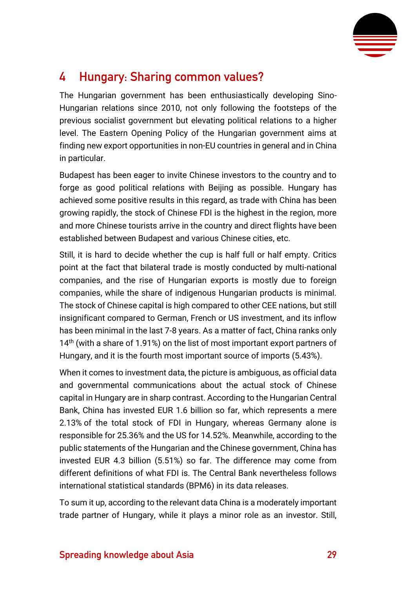

## <span id="page-29-0"></span>**4 Hungary: Sharing common values?**

The Hungarian government has been enthusiastically developing Sino-Hungarian relations since 2010, not only following the footsteps of the previous socialist government but elevating political relations to a higher level. The Eastern Opening Policy of the Hungarian government aims at finding new export opportunities in non-EU countries in general and in China in particular.

Budapest has been eager to invite Chinese investors to the country and to forge as good political relations with Beijing as possible. Hungary has achieved some positive results in this regard, as trade with China has been growing rapidly, the stock of Chinese FDI is the highest in the region, more and more Chinese tourists arrive in the country and direct flights have been established between Budapest and various Chinese cities, etc.

Still, it is hard to decide whether the cup is half full or half empty. Critics point at the fact that bilateral trade is mostly conducted by multi-national companies, and the rise of Hungarian exports is mostly due to foreign companies, while the share of indigenous Hungarian products is minimal. The stock of Chinese capital is high compared to other CEE nations, but still insignificant compared to German, French or US investment, and its inflow has been minimal in the last 7-8 years. As a matter of fact, China ranks only 14<sup>th</sup> (with a share of 1.91%) on the list of most important export partners of Hungary, and it is the fourth most important source of imports (5.43%).

When it comes to investment data, the picture is ambiguous, as official data and governmental communications about the actual stock of Chinese capital in Hungary are in sharp contrast. According to the Hungarian Central Bank, China has invested EUR 1.6 billion so far, which represents a mere 2.13% of the total stock of FDI in Hungary, whereas Germany alone is responsible for 25.36% and the US for 14.52%. Meanwhile, according to the public statements of the Hungarian and the Chinese government, China has invested EUR 4.3 billion (5.51%) so far. The difference may come from different definitions of what FDI is. The Central Bank nevertheless follows international statistical standards (BPM6) in its data releases.

To sum it up, according to the relevant data China is a moderately important trade partner of Hungary, while it plays a minor role as an investor. Still,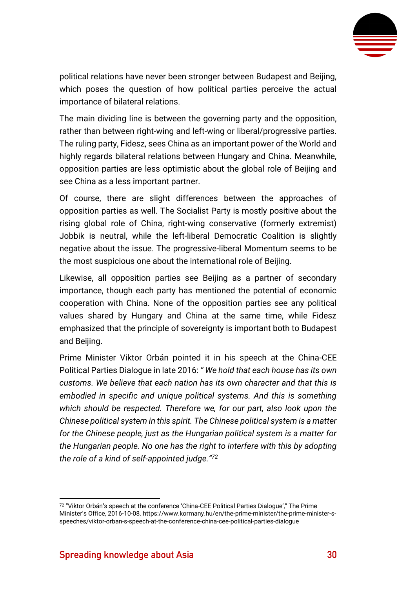

political relations have never been stronger between Budapest and Beijing, which poses the question of how political parties perceive the actual importance of bilateral relations.

The main dividing line is between the governing party and the opposition, rather than between right-wing and left-wing or liberal/progressive parties. The ruling party, Fidesz, sees China as an important power of the World and highly regards bilateral relations between Hungary and China. Meanwhile, opposition parties are less optimistic about the global role of Beijing and see China as a less important partner.

Of course, there are slight differences between the approaches of opposition parties as well. The Socialist Party is mostly positive about the rising global role of China, right-wing conservative (formerly extremist) Jobbik is neutral, while the left-liberal Democratic Coalition is slightly negative about the issue. The progressive-liberal Momentum seems to be the most suspicious one about the international role of Beijing.

Likewise, all opposition parties see Beijing as a partner of secondary importance, though each party has mentioned the potential of economic cooperation with China. None of the opposition parties see any political values shared by Hungary and China at the same time, while Fidesz emphasized that the principle of sovereignty is important both to Budapest and Beijing.

Prime Minister Viktor Orbán pointed it in his speech at the China-CEE Political Parties Dialogue in late 2016: *" We hold that each house has its own customs. We believe that each nation has its own character and that this is embodied in specific and unique political systems. And this is something which should be respected. Therefore we, for our part, also look upon the Chinese political system in this spirit. The Chinese political system is a matter for the Chinese people, just as the Hungarian political system is a matter for the Hungarian people. No one has the right to interfere with this by adopting the role of a kind of self-appointed judge."<sup>72</sup>*

 $72$  "Viktor Orbán's speech at the conference 'China-CEE Political Parties Dialogue'," The Prime Minister's Office, 2016-10-08. https://www.kormany.hu/en/the-prime-minister/the-prime-minister-sspeeches/viktor-orban-s-speech-at-the-conference-china-cee-political-parties-dialogue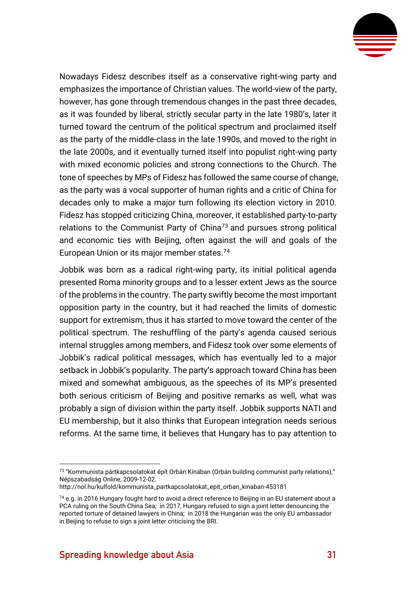

Nowadays Fidesz describes itself as a conservative right-wing party and emphasizes the importance of Christian values. The world-view of the party, however, has gone through tremendous changes in the past three decades, as it was founded by liberal, strictly secular party in the late 1980's, later it turned toward the centrum of the political spectrum and proclaimed itself as the party of the middle-class in the late 1990s, and moved to the right in the late 2000s, and it eventually turned itself into populist right-wing party with mixed economic policies and strong connections to the Church. The tone of speeches by MPs of Fidesz has followed the same course of change, as the party was a vocal supporter of human rights and a critic of China for decades only to make a major turn following its election victory in 2010. Fidesz has stopped criticizing China, moreover, it established party-to-party relations to the Communist Party of China<sup>73</sup> and pursues strong political and economic ties with Beijing, often against the will and goals of the European Union or its major member states.<sup>74</sup>

Jobbik was born as a radical right-wing party, its initial political agenda presented Roma minority groups and to a lesser extent Jews as the source of the problems in the country. The party swiftly become the most important opposition party in the country, but it had reached the limits of domestic support for extremism, thus it has started to move toward the center of the political spectrum. The reshuffling of the party's agenda caused serious internal struggles among members, and Fidesz took over some elements of Jobbik's radical political messages, which has eventually led to a major setback in Jobbik's popularity. The party's approach toward China has been mixed and somewhat ambiguous, as the speeches of its MP's presented both serious criticism of Beijing and positive remarks as well, what was probably a sign of division within the party itself. Jobbik supports NATI and EU membership, but it also thinks that European integration needs serious reforms. At the same time, it believes that Hungary has to pay attention to

<sup>73</sup> "Kommunista pártkapcsolatokat épít Orbán Kínában (Orbán building communist party relations)," Népszabadság Online, 2009-12-02.

[http://nol.hu/kulfold/kommunista\\_partkapcsolatokat\\_epit\\_orban\\_kinaban-453181](http://nol.hu/kulfold/kommunista_partkapcsolatokat_epit_orban_kinaban-453181)

 $74$  e.g. in 2016 Hungary fought hard to avoid a direct reference to Beijing in an EU statement about a PCA ruling on the South China Sea; in 2017, Hungary refused to sign a joint letter denouncing the reported torture of detained lawyers in China; in 2018 the Hungarian was the only EU ambassador in Beijing to refuse to sign a joint letter criticising the BRI.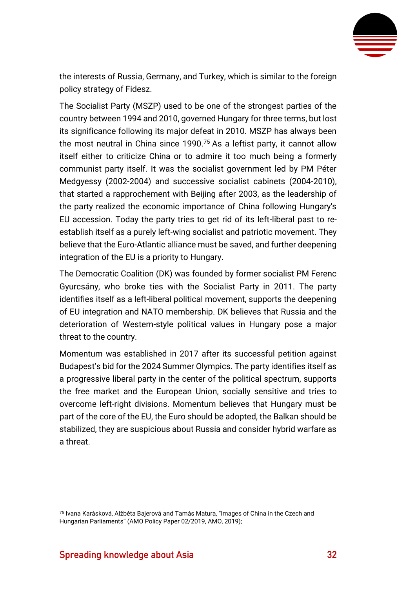

the interests of Russia, Germany, and Turkey, which is similar to the foreign policy strategy of Fidesz.

The Socialist Party (MSZP) used to be one of the strongest parties of the country between 1994 and 2010, governed Hungary for three terms, but lost its significance following its major defeat in 2010. MSZP has always been the most neutral in China since 1990.<sup>75</sup> As a leftist party, it cannot allow itself either to criticize China or to admire it too much being a formerly communist party itself. It was the socialist government led by PM Péter Medgyessy (2002-2004) and successive socialist cabinets (2004-2010), that started a rapprochement with Beijing after 2003, as the leadership of the party realized the economic importance of China following Hungary's EU accession. Today the party tries to get rid of its left-liberal past to reestablish itself as a purely left-wing socialist and patriotic movement. They believe that the Euro-Atlantic alliance must be saved, and further deepening integration of the EU is a priority to Hungary.

The Democratic Coalition (DK) was founded by former socialist PM Ferenc Gyurcsány, who broke ties with the Socialist Party in 2011. The party identifies itself as a left-liberal political movement, supports the deepening of EU integration and NATO membership. DK believes that Russia and the deterioration of Western-style political values in Hungary pose a major threat to the country.

Momentum was established in 2017 after its successful petition against Budapest's bid for the 2024 Summer Olympics. The party identifies itself as a progressive liberal party in the center of the political spectrum, supports the free market and the European Union, socially sensitive and tries to overcome left-right divisions. Momentum believes that Hungary must be part of the core of the EU, the Euro should be adopted, the Balkan should be stabilized, they are suspicious about Russia and consider hybrid warfare as a threat.

<sup>75</sup> Ivana Karásková, Alžběta Bajerová and Tamás Matura, "Images of China in the Czech and Hungarian Parliaments" (AMO Policy Paper 02/2019, AMO, 2019);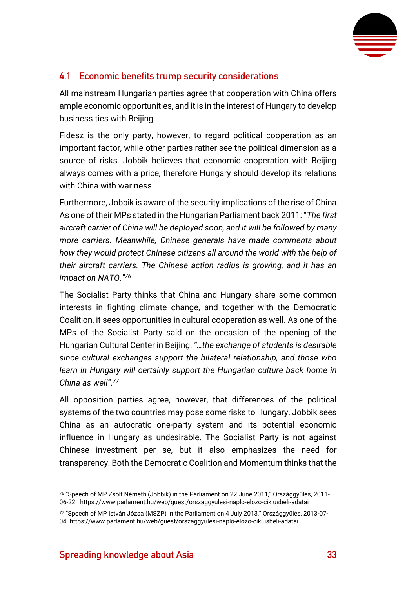

#### <span id="page-33-0"></span>**4.1 Economic benefits trump security considerations**

All mainstream Hungarian parties agree that cooperation with China offers ample economic opportunities, and it is in the interest of Hungary to develop business ties with Beijing.

Fidesz is the only party, however, to regard political cooperation as an important factor, while other parties rather see the political dimension as a source of risks. Jobbik believes that economic cooperation with Beijing always comes with a price, therefore Hungary should develop its relations with China with wariness.

Furthermore, Jobbik is aware of the security implications of the rise of China. As one of their MPs stated in the Hungarian Parliament back 2011: "*The first aircraft carrier of China will be deployed soon, and it will be followed by many more carriers. Meanwhile, Chinese generals have made comments about how they would protect Chinese citizens all around the world with the help of their aircraft carriers. The Chinese action radius is growing, and it has an impact on NATO."<sup>76</sup>*

The Socialist Party thinks that China and Hungary share some common interests in fighting climate change, and together with the Democratic Coalition, it sees opportunities in cultural cooperation as well. As one of the MPs of the Socialist Party said on the occasion of the opening of the Hungarian Cultural Center in Beijing: *"…the exchange of students is desirable since cultural exchanges support the bilateral relationship, and those who learn in Hungary will certainly support the Hungarian culture back home in China as well"*. 77

All opposition parties agree, however, that differences of the political systems of the two countries may pose some risks to Hungary. Jobbik sees China as an autocratic one-party system and its potential economic influence in Hungary as undesirable. The Socialist Party is not against Chinese investment per se, but it also emphasizes the need for transparency. Both the Democratic Coalition and Momentum thinks that the

<sup>76</sup> "Speech of MP Zsolt Németh (Jobbik) in the Parliament on 22 June 2011," Országgyűlés, 2011- 06-22.<https://www.parlament.hu/web/guest/orszaggyulesi-naplo-elozo-ciklusbeli-adatai>

<sup>77</sup> "Speech of MP István Józsa (MSZP) in the Parliament on 4 July 2013," Országgyűlés, 2013-07- 04.<https://www.parlament.hu/web/guest/orszaggyulesi-naplo-elozo-ciklusbeli-adatai>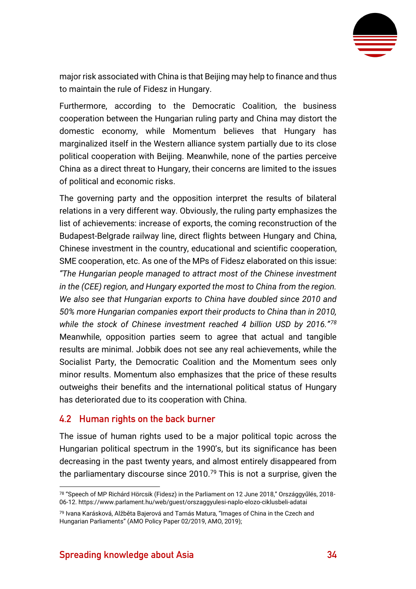

major risk associated with China is that Beijing may help to finance and thus to maintain the rule of Fidesz in Hungary.

Furthermore, according to the Democratic Coalition, the business cooperation between the Hungarian ruling party and China may distort the domestic economy, while Momentum believes that Hungary has marginalized itself in the Western alliance system partially due to its close political cooperation with Beijing. Meanwhile, none of the parties perceive China as a direct threat to Hungary, their concerns are limited to the issues of political and economic risks.

The governing party and the opposition interpret the results of bilateral relations in a very different way. Obviously, the ruling party emphasizes the list of achievements: increase of exports, the coming reconstruction of the Budapest-Belgrade railway line, direct flights between Hungary and China, Chinese investment in the country, educational and scientific cooperation, SME cooperation, etc. As one of the MPs of Fidesz elaborated on this issue: *"The Hungarian people managed to attract most of the Chinese investment in the (CEE) region, and Hungary exported the most to China from the region. We also see that Hungarian exports to China have doubled since 2010 and 50% more Hungarian companies export their products to China than in 2010, while the stock of Chinese investment reached 4 billion USD by 2016."<sup>78</sup>* Meanwhile, opposition parties seem to agree that actual and tangible results are minimal. Jobbik does not see any real achievements, while the Socialist Party, the Democratic Coalition and the Momentum sees only minor results. Momentum also emphasizes that the price of these results outweighs their benefits and the international political status of Hungary has deteriorated due to its cooperation with China.

#### <span id="page-34-0"></span>**4.2 Human rights on the back burner**

The issue of human rights used to be a major political topic across the Hungarian political spectrum in the 1990's, but its significance has been decreasing in the past twenty years, and almost entirely disappeared from the parliamentary discourse since  $2010.<sup>79</sup>$  This is not a surprise, given the

<sup>78</sup> "Speech of MP Richárd Hörcsik (Fidesz) in the Parliament on 12 June 2018," Országgyűlés, 2018- 06-12[. https://www.parlament.hu/web/guest/orszaggyulesi-naplo-elozo-ciklusbeli-adatai](https://www.parlament.hu/web/guest/orszaggyulesi-naplo-elozo-ciklusbeli-adatai)

<sup>79</sup> Ivana Karásková, Alžběta Bajerová and Tamás Matura, "Images of China in the Czech and Hungarian Parliaments" (AMO Policy Paper 02/2019, AMO, 2019);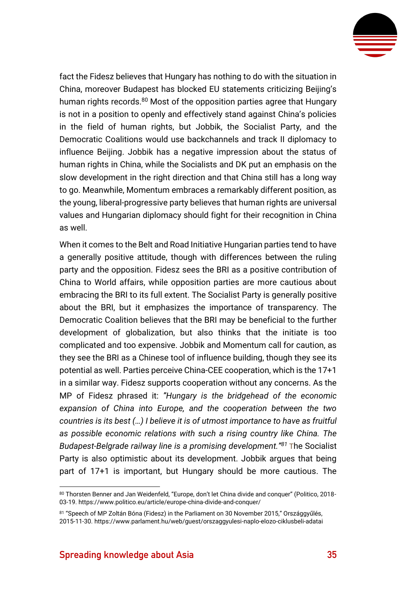

fact the Fidesz believes that Hungary has nothing to do with the situation in China, moreover Budapest has blocked EU statements criticizing Beijing's human rights records.<sup>80</sup> Most of the opposition parties agree that Hungary is not in a position to openly and effectively stand against China's policies in the field of human rights, but Jobbik, the Socialist Party, and the Democratic Coalitions would use backchannels and track II diplomacy to influence Beijing. Jobbik has a negative impression about the status of human rights in China, while the Socialists and DK put an emphasis on the slow development in the right direction and that China still has a long way to go. Meanwhile, Momentum embraces a remarkably different position, as the young, liberal-progressive party believes that human rights are universal values and Hungarian diplomacy should fight for their recognition in China as well.

When it comes to the Belt and Road Initiative Hungarian parties tend to have a generally positive attitude, though with differences between the ruling party and the opposition. Fidesz sees the BRI as a positive contribution of China to World affairs, while opposition parties are more cautious about embracing the BRI to its full extent. The Socialist Party is generally positive about the BRI, but it emphasizes the importance of transparency. The Democratic Coalition believes that the BRI may be beneficial to the further development of globalization, but also thinks that the initiate is too complicated and too expensive. Jobbik and Momentum call for caution, as they see the BRI as a Chinese tool of influence building, though they see its potential as well. Parties perceive China-CEE cooperation, which is the 17+1 in a similar way. Fidesz supports cooperation without any concerns. As the MP of Fidesz phrased it: *"Hungary is the bridgehead of the economic expansion of China into Europe, and the cooperation between the two countries is its best (…) I believe it is of utmost importance to have as fruitful as possible economic relations with such a rising country like China. The Budapest-Belgrade railway line is a promising development."<sup>81</sup>* The Socialist Party is also optimistic about its development. Jobbik argues that being part of 17+1 is important, but Hungary should be more cautious. The

<sup>80</sup> Thorsten Benner and Jan Weidenfeld, "Europe, don't let China divide and conquer" (Politico, 2018-03-19[. https://www.politico.eu/article/europe-china-divide-and-conquer/](https://www.politico.eu/article/europe-china-divide-and-conquer/)

<sup>81 &</sup>quot;Speech of MP Zoltán Bóna (Fidesz) in the Parliament on 30 November 2015," Országgyűlés, 2015-11-30.<https://www.parlament.hu/web/guest/orszaggyulesi-naplo-elozo-ciklusbeli-adatai>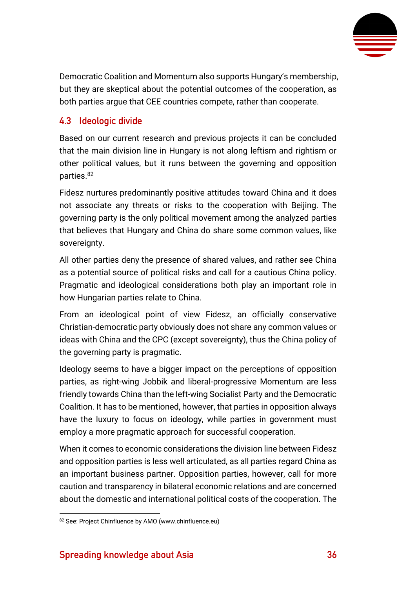

Democratic Coalition and Momentum also supports Hungary's membership, but they are skeptical about the potential outcomes of the cooperation, as both parties argue that CEE countries compete, rather than cooperate.

#### <span id="page-36-0"></span>**4.3 Ideologic divide**

Based on our current research and previous projects it can be concluded that the main division line in Hungary is not along leftism and rightism or other political values, but it runs between the governing and opposition parties.<sup>82</sup>

Fidesz nurtures predominantly positive attitudes toward China and it does not associate any threats or risks to the cooperation with Beijing. The governing party is the only political movement among the analyzed parties that believes that Hungary and China do share some common values, like sovereignty.

All other parties deny the presence of shared values, and rather see China as a potential source of political risks and call for a cautious China policy. Pragmatic and ideological considerations both play an important role in how Hungarian parties relate to China.

From an ideological point of view Fidesz, an officially conservative Christian-democratic party obviously does not share any common values or ideas with China and the CPC (except sovereignty), thus the China policy of the governing party is pragmatic.

Ideology seems to have a bigger impact on the perceptions of opposition parties, as right-wing Jobbik and liberal-progressive Momentum are less friendly towards China than the left-wing Socialist Party and the Democratic Coalition. It has to be mentioned, however, that parties in opposition always have the luxury to focus on ideology, while parties in government must employ a more pragmatic approach for successful cooperation.

When it comes to economic considerations the division line between Fidesz and opposition parties is less well articulated, as all parties regard China as an important business partner. Opposition parties, however, call for more caution and transparency in bilateral economic relations and are concerned about the domestic and international political costs of the cooperation. The

<sup>82</sup> See: Project Chinfluence by AMO (www.chinfluence.eu)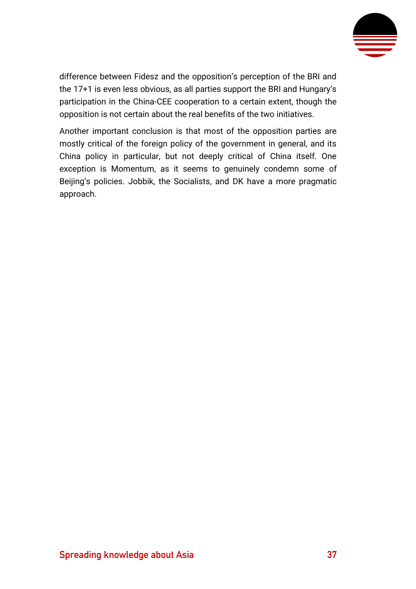

difference between Fidesz and the opposition's perception of the BRI and the 17+1 is even less obvious, as all parties support the BRI and Hungary's participation in the China-CEE cooperation to a certain extent, though the opposition is not certain about the real benefits of the two initiatives.

Another important conclusion is that most of the opposition parties are mostly critical of the foreign policy of the government in general, and its China policy in particular, but not deeply critical of China itself. One exception is Momentum, as it seems to genuinely condemn some of Beijing's policies. Jobbik, the Socialists, and DK have a more pragmatic approach.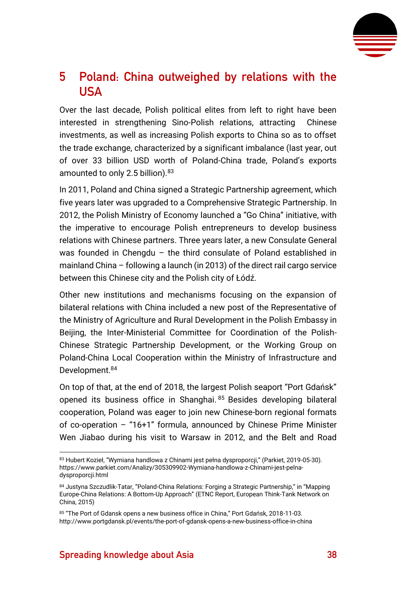

## <span id="page-38-0"></span>**5 Poland: China outweighed by relations with the USA**

Over the last decade. Polish political elites from left to right have been interested in strengthening Sino-Polish relations, attracting Chinese investments, as well as increasing Polish exports to China so as to offset the trade exchange, characterized by a significant imbalance (last year, out of over 33 billion USD worth of Poland-China trade, Poland's exports amounted to only 2.5 billion). 83

In 2011, Poland and China signed a Strategic Partnership agreement, which five years later was upgraded to a Comprehensive Strategic Partnership. In 2012, the Polish Ministry of Economy launched a "Go China" initiative, with the imperative to encourage Polish entrepreneurs to develop business relations with Chinese partners. Three years later, a new Consulate General was founded in Chengdu – the third consulate of Poland established in mainland China – following a launch (in 2013) of the direct rail cargo service between this Chinese city and the Polish city of Łódź.

Other new institutions and mechanisms focusing on the expansion of bilateral relations with China included a new post of the Representative of the Ministry of Agriculture and Rural Development in the Polish Embassy in Beijing, the Inter-Ministerial Committee for Coordination of the Polish-Chinese Strategic Partnership Development, or the Working Group on Poland-China Local Cooperation within the Ministry of Infrastructure and Development. 84

On top of that, at the end of 2018, the largest Polish seaport "Port Gdańsk" opened its business office in Shanghai. <sup>85</sup> Besides developing bilateral cooperation, Poland was eager to join new Chinese-born regional formats of co-operation – "16+1" formula, announced by Chinese Prime Minister Wen Jiabao during his visit to Warsaw in 2012, and the Belt and Road

<sup>83</sup> Hubert Kozieł, "Wymiana handlowa z Chinami jest pełna dysproporcii," (Parkiet, 2019-05-30). [https://www.parkiet.com/Analizy/305309902-Wymiana-handlowa-z-Chinami-jest-pelna](https://www.parkiet.com/Analizy/305309902-Wymiana-handlowa-z-Chinami-jest-pelna-dysproporcji.html)[dysproporcji.html](https://www.parkiet.com/Analizy/305309902-Wymiana-handlowa-z-Chinami-jest-pelna-dysproporcji.html)

<sup>84</sup> Justyna Szczudlik-Tatar, "Poland-China Relations: Forging a Strategic Partnership," in "Mapping Europe-China Relations: A Bottom-Up Approach" (ETNC Report, European Think-Tank Network on China, 2015)

<sup>85</sup> "The Port of Gdansk opens a new business office in China," Port Gdańsk, 2018-11-03. <http://www.portgdansk.pl/events/the-port-of-gdansk-opens-a-new-business-office-in-china>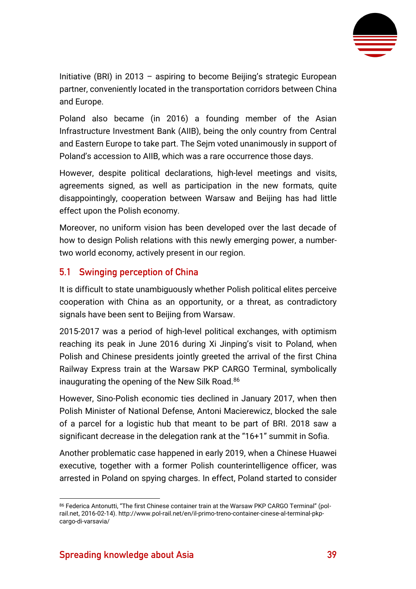

Initiative (BRI) in 2013 – aspiring to become Beijing's strategic European partner, conveniently located in the transportation corridors between China and Europe.

Poland also became (in 2016) a founding member of the Asian Infrastructure Investment Bank (AIIB), being the only country from Central and Eastern Europe to take part. The Sejm voted unanimously in support of Poland's accession to AIIB, which was a rare occurrence those days.

However, despite political declarations, high-level meetings and visits, agreements signed, as well as participation in the new formats, quite disappointingly, cooperation between Warsaw and Beijing has had little effect upon the Polish economy.

Moreover, no uniform vision has been developed over the last decade of how to design Polish relations with this newly emerging power, a numbertwo world economy, actively present in our region.

#### <span id="page-39-0"></span>**5.1 Swinging perception of China**

It is difficult to state unambiguously whether Polish political elites perceive cooperation with China as an opportunity, or a threat, as contradictory signals have been sent to Beijing from Warsaw.

2015-2017 was a period of high-level political exchanges, with optimism reaching its peak in June 2016 during Xi Jinping's visit to Poland, when Polish and Chinese presidents jointly greeted the arrival of the first China Railway Express train at the Warsaw PKP CARGO Terminal, symbolically inaugurating the opening of the New Silk Road.<sup>86</sup>

However, Sino-Polish economic ties declined in January 2017, when then Polish Minister of National Defense, Antoni Macierewicz, blocked the sale of a parcel for a logistic hub that meant to be part of BRI. 2018 saw a significant decrease in the delegation rank at the "16+1" summit in Sofia.

Another problematic case happened in early 2019, when a Chinese Huawei executive, together with a former Polish counterintelligence officer, was arrested in Poland on spying charges. In effect, Poland started to consider

<sup>86</sup> Federica Antonutti, "The first Chinese container train at the Warsaw PKP CARGO Terminal" (polrail.net, 2016-02-14)[. http://www.pol-rail.net/en/il-primo-treno-container-cinese-al-terminal-pkp](http://www.pol-rail.net/en/il-primo-treno-container-cinese-al-terminal-pkp-cargo-di-varsavia/)[cargo-di-varsavia/](http://www.pol-rail.net/en/il-primo-treno-container-cinese-al-terminal-pkp-cargo-di-varsavia/)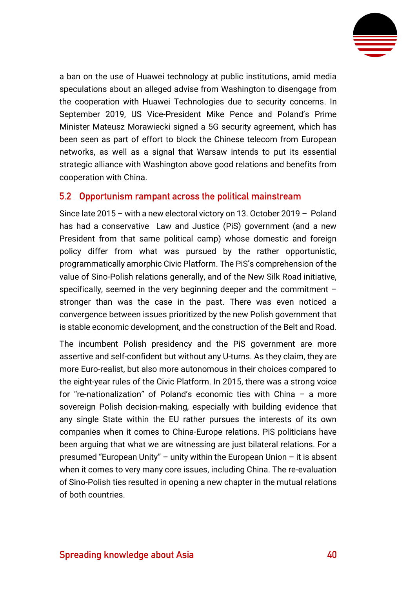

a ban on the use of Huawei technology at public institutions, amid media speculations about an alleged advise from Washington to disengage from the cooperation with Huawei Technologies due to security concerns. In September 2019, US Vice-President Mike Pence and Poland's Prime Minister Mateusz Morawiecki signed a 5G security agreement, which has been seen as part of effort to block the Chinese telecom from European networks, as well as a signal that Warsaw intends to put its essential strategic alliance with Washington above good relations and benefits from cooperation with China.

#### <span id="page-40-0"></span>**5.2 Opportunism rampant across the political mainstream**

Since late 2015 – with a new electoral victory on 13. October 2019 – Poland has had a conservative Law and Justice (PiS) government (and a new President from that same political camp) whose domestic and foreign policy differ from what was pursued by the rather opportunistic, programmatically amorphic Civic Platform. The PiS's comprehension of the value of Sino-Polish relations generally, and of the New Silk Road initiative, specifically, seemed in the very beginning deeper and the commitment – stronger than was the case in the past. There was even noticed a convergence between issues prioritized by the new Polish government that is stable economic development, and the construction of the Belt and Road.

The incumbent Polish presidency and the PiS government are more assertive and self-confident but without any U-turns. As they claim, they are more Euro-realist, but also more autonomous in their choices compared to the eight-year rules of the Civic Platform. In 2015, there was a strong voice for "re-nationalization" of Poland's economic ties with China – a more sovereign Polish decision-making, especially with building evidence that any single State within the EU rather pursues the interests of its own companies when it comes to China-Europe relations. PiS politicians have been arguing that what we are witnessing are just bilateral relations. For a presumed "European Unity" – unity within the European Union – it is absent when it comes to very many core issues, including China. The re-evaluation of Sino-Polish ties resulted in opening a new chapter in the mutual relations of both countries.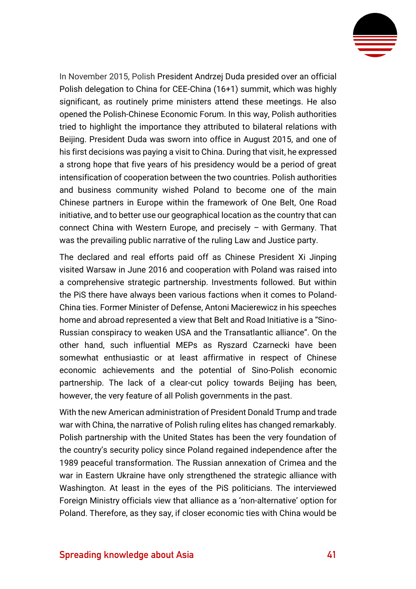

In November 2015, Polish President Andrzej Duda presided over an official Polish delegation to China for CEE-China (16+1) summit, which was highly significant, as routinely prime ministers attend these meetings. He also opened the Polish-Chinese Economic Forum. In this way, Polish authorities tried to highlight the importance they attributed to bilateral relations with Beijing. President Duda was sworn into office in August 2015, and one of his first decisions was paying a visit to China. During that visit, he expressed a strong hope that five years of his presidency would be a period of great intensification of cooperation between the two countries. Polish authorities and business community wished Poland to become one of the main Chinese partners in Europe within the framework of One Belt, One Road initiative, and to better use our geographical location as the country that can connect China with Western Europe, and precisely – with Germany. That was the prevailing public narrative of the ruling Law and Justice party.

The declared and real efforts paid off as Chinese President Xi Jinping visited Warsaw in June 2016 and cooperation with Poland was raised into a comprehensive strategic partnership. Investments followed. But within the PiS there have always been various factions when it comes to Poland-China ties. Former Minister of Defense, Antoni Macierewicz in his speeches home and abroad represented a view that Belt and Road Initiative is a "Sino-Russian conspiracy to weaken USA and the Transatlantic alliance". On the other hand, such influential MEPs as Ryszard Czarnecki have been somewhat enthusiastic or at least affirmative in respect of Chinese economic achievements and the potential of Sino-Polish economic partnership. The lack of a clear-cut policy towards Beijing has been, however, the very feature of all Polish governments in the past.

With the new American administration of President Donald Trump and trade war with China, the narrative of Polish ruling elites has changed remarkably. Polish partnership with the United States has been the very foundation of the country's security policy since Poland regained independence after the 1989 peaceful transformation. The Russian annexation of Crimea and the war in Eastern Ukraine have only strengthened the strategic alliance with Washington. At least in the eyes of the PiS politicians. The interviewed Foreign Ministry officials view that alliance as a 'non-alternative' option for Poland. Therefore, as they say, if closer economic ties with China would be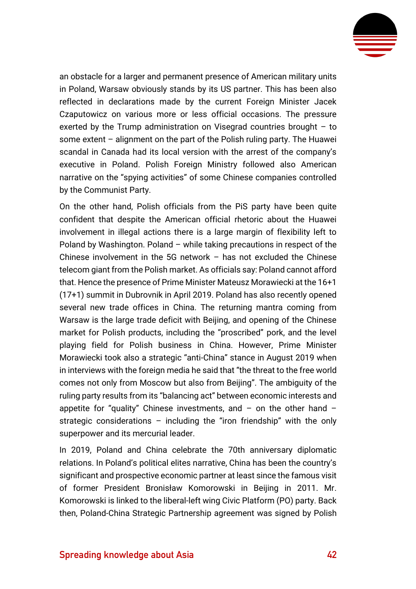

an obstacle for a larger and permanent presence of American military units in Poland, Warsaw obviously stands by its US partner. This has been also reflected in declarations made by the current Foreign Minister Jacek Czaputowicz on various more or less official occasions. The pressure exerted by the Trump administration on Visegrad countries brought – to some extent – alignment on the part of the Polish ruling party. The Huawei scandal in Canada had its local version with the arrest of the company's executive in Poland. Polish Foreign Ministry followed also American narrative on the "spying activities" of some Chinese companies controlled by the Communist Party.

On the other hand, Polish officials from the PiS party have been quite confident that despite the American official rhetoric about the Huawei involvement in illegal actions there is a large margin of flexibility left to Poland by Washington. Poland – while taking precautions in respect of the Chinese involvement in the 5G network – has not excluded the Chinese telecom giant from the Polish market. As officials say: Poland cannot afford that. Hence the presence of Prime Minister Mateusz Morawiecki at the 16+1 (17+1) summit in Dubrovnik in April 2019. Poland has also recently opened several new trade offices in China. The returning mantra coming from Warsaw is the large trade deficit with Beijing, and opening of the Chinese market for Polish products, including the "proscribed" pork, and the level playing field for Polish business in China. However, Prime Minister Morawiecki took also a strategic "anti-China" stance in August 2019 when in interviews with the foreign media he said that "the threat to the free world comes not only from Moscow but also from Beijing". The ambiguity of the ruling party results from its "balancing act" between economic interests and appetite for "quality" Chinese investments, and  $-$  on the other hand  $$ strategic considerations – including the "iron friendship" with the only superpower and its mercurial leader.

In 2019, Poland and China celebrate the 70th anniversary diplomatic relations. In Poland's political elites narrative, China has been the country's significant and prospective economic partner at least since the famous visit of former President Bronisław Komorowski in Beijing in 2011. Mr. Komorowski is linked to the liberal-left wing Civic Platform (PO) party. Back then, Poland-China Strategic Partnership agreement was signed by Polish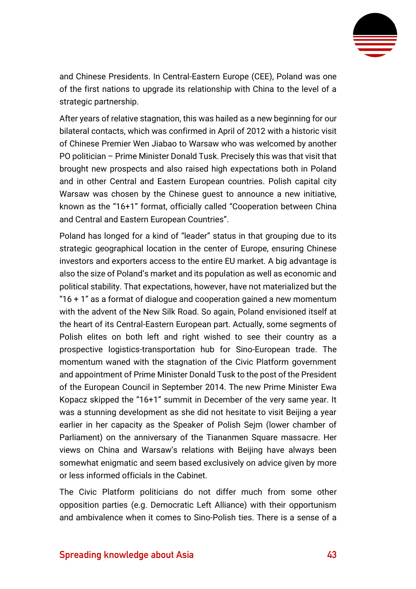

and Chinese Presidents. In Central-Eastern Europe (CEE), Poland was one of the first nations to upgrade its relationship with China to the level of a strategic partnership.

After years of relative stagnation, this was hailed as a new beginning for our bilateral contacts, which was confirmed in April of 2012 with a historic visit of Chinese Premier Wen Jiabao to Warsaw who was welcomed by another PO politician – Prime Minister Donald Tusk. Precisely this was that visit that brought new prospects and also raised high expectations both in Poland and in other Central and Eastern European countries. Polish capital city Warsaw was chosen by the Chinese guest to announce a new initiative, known as the "16+1" format, officially called "Cooperation between China and Central and Eastern European Countries".

Poland has longed for a kind of "leader" status in that grouping due to its strategic geographical location in the center of Europe, ensuring Chinese investors and exporters access to the entire EU market. A big advantage is also the size of Poland's market and its population as well as economic and political stability. That expectations, however, have not materialized but the "16 + 1" as a format of dialogue and cooperation gained a new momentum with the advent of the New Silk Road. So again, Poland envisioned itself at the heart of its Central-Eastern European part. Actually, some segments of Polish elites on both left and right wished to see their country as a prospective logistics-transportation hub for Sino-European trade. The momentum waned with the stagnation of the Civic Platform government and appointment of Prime Minister Donald Tusk to the post of the President of the European Council in September 2014. The new Prime Minister Ewa Kopacz skipped the "16+1" summit in December of the very same year. It was a stunning development as she did not hesitate to visit Beijing a year earlier in her capacity as the Speaker of Polish Sejm (lower chamber of Parliament) on the anniversary of the Tiananmen Square massacre. Her views on China and Warsaw's relations with Beijing have always been somewhat enigmatic and seem based exclusively on advice given by more or less informed officials in the Cabinet.

The Civic Platform politicians do not differ much from some other opposition parties (e.g. Democratic Left Alliance) with their opportunism and ambivalence when it comes to Sino-Polish ties. There is a sense of a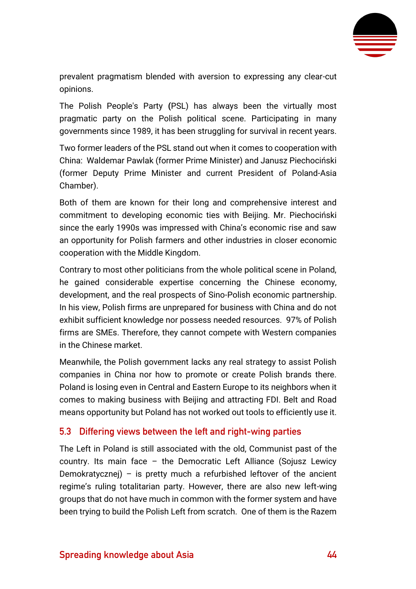

prevalent pragmatism blended with aversion to expressing any clear-cut opinions.

The Polish People's Party **(**PSL) has always been the virtually most pragmatic party on the Polish political scene. Participating in many governments since 1989, it has been struggling for survival in recent years.

Two former leaders of the PSL stand out when it comes to cooperation with China: Waldemar Pawlak (former Prime Minister) and Janusz Piechociński (former Deputy Prime Minister and current President of Poland-Asia Chamber).

Both of them are known for their long and comprehensive interest and commitment to developing economic ties with Beijing. Mr. Piechociński since the early 1990s was impressed with China's economic rise and saw an opportunity for Polish farmers and other industries in closer economic cooperation with the Middle Kingdom.

Contrary to most other politicians from the whole political scene in Poland, he gained considerable expertise concerning the Chinese economy, development, and the real prospects of Sino-Polish economic partnership. In his view, Polish firms are unprepared for business with China and do not exhibit sufficient knowledge nor possess needed resources. 97% of Polish firms are SMEs. Therefore, they cannot compete with Western companies in the Chinese market.

Meanwhile, the Polish government lacks any real strategy to assist Polish companies in China nor how to promote or create Polish brands there. Poland is losing even in Central and Eastern Europe to its neighbors when it comes to making business with Beijing and attracting FDI. Belt and Road means opportunity but Poland has not worked out tools to efficiently use it.

#### <span id="page-44-0"></span>**5.3 Differing views between the left and right-wing parties**

The Left in Poland is still associated with the old, Communist past of the country. Its main face – the Democratic Left Alliance (Sojusz Lewicy Demokratycznej) – is pretty much a refurbished leftover of the ancient regime's ruling totalitarian party. However, there are also new left-wing groups that do not have much in common with the former system and have been trying to build the Polish Left from scratch. One of them is the Razem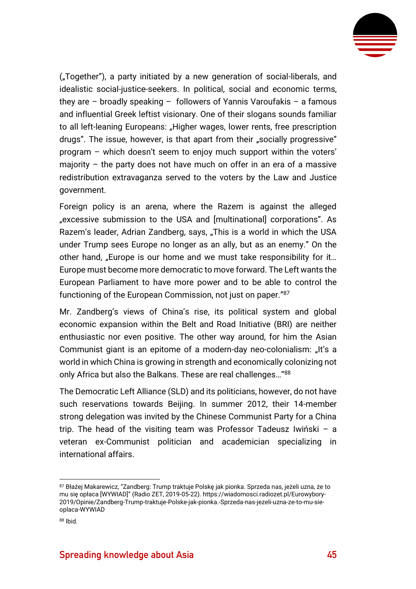

("Together"), a party initiated by a new generation of social-liberals, and idealistic social-justice-seekers. In political, social and economic terms, they are – broadly speaking – followers of Yannis Varoufakis – a famous and influential Greek leftist visionary. One of their slogans sounds familiar to all left-leaning Europeans: "Higher wages, lower rents, free prescription drugs". The issue, however, is that apart from their "socially progressive" program – which doesn't seem to enjoy much support within the voters' majority – the party does not have much on offer in an era of a massive redistribution extravaganza served to the voters by the Law and Justice government.

Foreign policy is an arena, where the Razem is against the alleged "excessive submission to the USA and [multinational] corporations". As Razem's leader, Adrian Zandberg, says, "This is a world in which the USA under Trump sees Europe no longer as an ally, but as an enemy." On the other hand, "Europe is our home and we must take responsibility for it... Europe must become more democratic to move forward. The Left wants the European Parliament to have more power and to be able to control the functioning of the European Commission, not just on paper."<sup>87</sup>

Mr. Zandberg's views of China's rise, its political system and global economic expansion within the Belt and Road Initiative (BRI) are neither enthusiastic nor even positive. The other way around, for him the Asian Communist giant is an epitome of a modern-day neo-colonialism: "It's a world in which China is growing in strength and economically colonizing not only Africa but also the Balkans. These are real challenges…"<sup>88</sup>

The Democratic Left Alliance (SLD) and its politicians, however, do not have such reservations towards Beijing. In summer 2012, their 14-member strong delegation was invited by the Chinese Communist Party for a China trip. The head of the visiting team was Professor Tadeusz Iwiński – a veteran ex-Communist politician and academician specializing in international affairs.

<sup>87</sup> Błażej Makarewicz, "Zandberg: Trump traktuje Polske jak pionka. Sprzeda nas, jeżeli uzna, że to mu się opłaca [WYWIAD]" (Radio ZET, 2019-05-22)[. https://wiadomosci.radiozet.pl/Eurowybory-](https://wiadomosci.radiozet.pl/Eurowybory-2019/Opinie/Zandberg-Trump-traktuje-Polske-jak-pionka.-Sprzeda-nas-jezeli-uzna-ze-to-mu-sie-oplaca-WYWIAD)[2019/Opinie/Zandberg-Trump-traktuje-Polske-jak-pionka.-Sprzeda-nas-jezeli-uzna-ze-to-mu-sie](https://wiadomosci.radiozet.pl/Eurowybory-2019/Opinie/Zandberg-Trump-traktuje-Polske-jak-pionka.-Sprzeda-nas-jezeli-uzna-ze-to-mu-sie-oplaca-WYWIAD)[oplaca-WYWIAD](https://wiadomosci.radiozet.pl/Eurowybory-2019/Opinie/Zandberg-Trump-traktuje-Polske-jak-pionka.-Sprzeda-nas-jezeli-uzna-ze-to-mu-sie-oplaca-WYWIAD)

<sup>88</sup> [Ibid.](https://wiadomosci.radiozet.pl/Eurowybory-2019/Opinie/Zandberg-Trump-traktuje-Polske-jak-pionka.-Sprzeda-nas-jezeli-uzna-ze-to-mu-sie-oplaca-WYWIAD)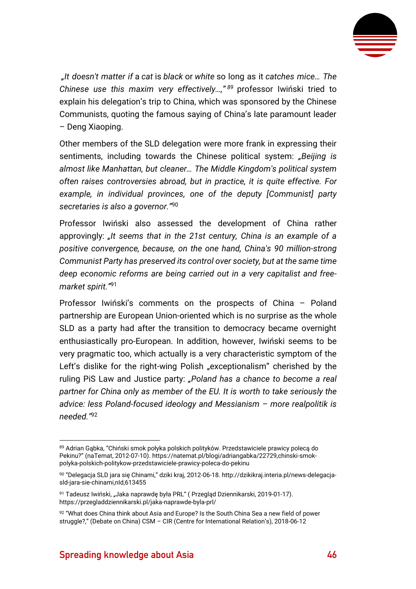

*"It doesn't matter if* a *cat* is *black* or *white* so long as it *catches mice… The Chinese use this maxim very effectively…," <sup>89</sup>* professor Iwiński tried to explain his delegation's trip to China, which was sponsored by the Chinese Communists, quoting the famous saying of China's late paramount leader – Deng Xiaoping.

Other members of the SLD delegation were more frank in expressing their sentiments, including towards the Chinese political system: *"Beijing is almost like Manhattan, but cleaner… The Middle Kingdom's political system often raises controversies abroad, but in practice, it is quite effective. For example, in individual provinces, one of the deputy [Communist] party secretaries is also a governor."* 90

Professor Iwiński also assessed the development of China rather approvingly: *"It seems that in the 21st century, China is an example of a positive convergence, because, on the one hand, China's 90 million-strong Communist Party has preserved its control over society, but at the same time deep economic reforms are being carried out in a very capitalist and freemarket spirit."* 91

Professor Iwiński's comments on the prospects of China – Poland partnership are European Union-oriented which is no surprise as the whole SLD as a party had after the transition to democracy became overnight enthusiastically pro-European. In addition, however, Iwiński seems to be very pragmatic too, which actually is a very characteristic symptom of the Left's dislike for the right-wing Polish "exceptionalism" cherished by the ruling PiS Law and Justice party: *"Poland has a chance to become a real partner for China only as member of the EU. It is worth to take seriously the advice: less Poland-focused ideology and Messianism – more realpolitik is needed."*<sup>92</sup>

<sup>89</sup> Adrian Gąbka, "Chiński smok połyka polskich polityków. Przedstawiciele prawicy poleca do Pekinu?" (naTemat, 2012-07-10). [https://natemat.pl/blogi/adriangabka/22729,chinski-smok](https://natemat.pl/blogi/adriangabka/22729,chinski-smok-polyka-polskich-politykow-przedstawiciele-prawicy-poleca-do-pekinu)[polyka-polskich-politykow-przedstawiciele-prawicy-poleca-do-pekinu](https://natemat.pl/blogi/adriangabka/22729,chinski-smok-polyka-polskich-politykow-przedstawiciele-prawicy-poleca-do-pekinu)

<sup>90</sup> "Delegacja SLD jara się Chinami," dziki kraj, 2012-06-18[. http://dzikikraj.interia.pl/news-delegacja](http://dzikikraj.interia.pl/news-delegacja-sld-jara-sie-chinami,nId,613455)[sld-jara-sie-chinami,nId,613455](http://dzikikraj.interia.pl/news-delegacja-sld-jara-sie-chinami,nId,613455)

<sup>91</sup> Tadeusz Iwiński, "Jaka naprawdę była PRL" (Przegląd Dziennikarski, 2019-01-17). <https://przegladdziennikarski.pl/jaka-naprawde-byla-prl/>

<sup>92 &</sup>quot;What does China think about Asia and Europe? Is the South China Sea a new field of power struggle?," (Debate on China) CSM – CIR (Centre for International Relation's), 2018-06-12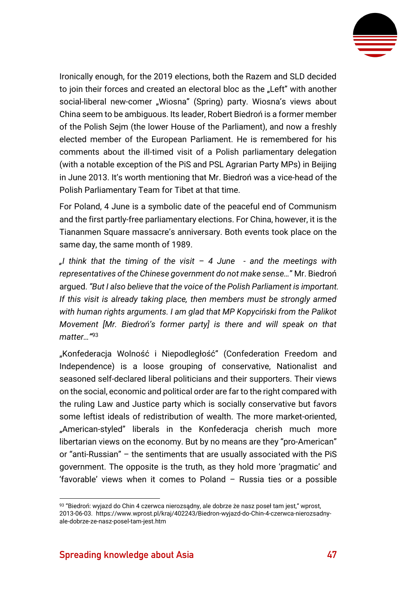

Ironically enough, for the 2019 elections, both the Razem and SLD decided to join their forces and created an electoral bloc as the "Left" with another social-liberal new-comer "Wiosna" (Spring) party. Wiosna's views about China seem to be ambiguous. Its leader, Robert Biedroń is a former member of the Polish Sejm (the lower House of the Parliament), and now a freshly elected member of the European Parliament. He is remembered for his comments about the ill-timed visit of a Polish parliamentary delegation (with a notable exception of the PiS and PSL Agrarian Party MPs) in Beijing in June 2013. It's worth mentioning that Mr. Biedroń was a vice-head of the Polish Parliamentary Team for Tibet at that time.

For Poland, 4 June is a symbolic date of the peaceful end of Communism and the first partly-free parliamentary elections. For China, however, it is the Tiananmen Square massacre's anniversary. Both events took place on the same day, the same month of 1989.

*"I think that the timing of the visit – 4 June - and the meetings with representatives of the Chinese government do not make sense…*" Mr. Biedroń argued. *"But I also believe that the voice of the Polish Parliament is important. If this visit is already taking place, then members must be strongly armed with human rights arguments. I am glad that MP Kopyciński from the Palikot Movement [Mr. Biedroń's former party] is there and will speak on that matter…"* 93

"Konfederacja Wolność i Niepodległość" (Confederation Freedom and Independence) is a loose grouping of conservative, Nationalist and seasoned self-declared liberal politicians and their supporters. Their views on the social, economic and political order are far to the right compared with the ruling Law and Justice party which is socially conservative but favors some leftist ideals of redistribution of wealth. The more market-oriented, "American-styled" liberals in the Konfederacja cherish much more libertarian views on the economy. But by no means are they "pro-American" or "anti-Russian" – the sentiments that are usually associated with the PiS government. The opposite is the truth, as they hold more 'pragmatic' and 'favorable' views when it comes to Poland – Russia ties or a possible

<sup>93 &</sup>quot;Biedroń: wyjazd do Chin 4 czerwca nierozsądny, ale dobrze że nasz poseł tam jest," wprost, 2013-06-03. [https://www.wprost.pl/kraj/402243/Biedron-wyjazd-do-Chin-4-czerwca-nierozsadny](https://www.wprost.pl/kraj/402243/Biedron-wyjazd-do-Chin-4-czerwca-nierozsadny-ale-dobrze-ze-nasz-posel-tam-jest.htm)[ale-dobrze-ze-nasz-posel-tam-jest.htm](https://www.wprost.pl/kraj/402243/Biedron-wyjazd-do-Chin-4-czerwca-nierozsadny-ale-dobrze-ze-nasz-posel-tam-jest.htm)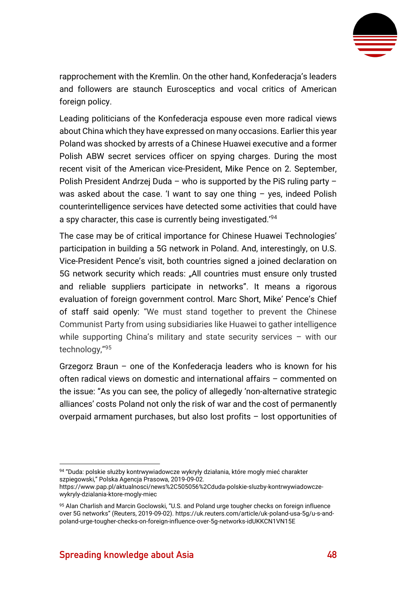

rapprochement with the Kremlin. On the other hand, Konfederacja's leaders and followers are staunch Eurosceptics and vocal critics of American foreign policy.

Leading politicians of the Konfederacja espouse even more radical views about China which they have expressed on many occasions. Earlier this year Poland was shocked by arrests of a Chinese Huawei executive and a former Polish ABW secret services officer on spying charges. During the most recent visit of the American vice-President, Mike Pence on 2. September, Polish President Andrzej Duda – who is supported by the PiS ruling party – was asked about the case. 'I want to say one thing – yes, indeed Polish counterintelligence services have detected some activities that could have a spy character, this case is currently being investigated.'94

The case may be of critical importance for Chinese Huawei Technologies' participation in building a 5G network in Poland. And, interestingly, on U.S. Vice-President Pence's visit, both countries signed a joined declaration on 5G network security which reads: "All countries must ensure only trusted and reliable suppliers participate in networks". It means a rigorous evaluation of foreign government control. Marc Short, Mike' Pence's Chief of staff said openly: "We must stand together to prevent the Chinese Communist Party from using subsidiaries like Huawei to gather intelligence while supporting China's military and state security services – with our technology,"<sup>95</sup>

Grzegorz Braun – one of the Konfederacja leaders who is known for his often radical views on domestic and international affairs – commented on the issue: "As you can see, the policy of allegedly 'non-alternative strategic alliances' costs Poland not only the risk of war and the cost of permanently overpaid armament purchases, but also lost profits – lost opportunities of

<sup>94 &</sup>quot;Duda: polskie służby kontrwywiadowcze wykryły działania, które mogły mieć charakter szpiegowski," Polska Agencja Prasowa, 2019-09-02.

[https://www.pap.pl/aktualnosci/news%2C505056%2Cduda-polskie-sluzby-kontrwywiadowcze](https://www.pap.pl/aktualnosci/news%2C505056%2Cduda-polskie-sluzby-kontrwywiadowcze-wykryly-dzialania-ktore-mogly-miec)[wykryly-dzialania-ktore-mogly-miec](https://www.pap.pl/aktualnosci/news%2C505056%2Cduda-polskie-sluzby-kontrwywiadowcze-wykryly-dzialania-ktore-mogly-miec)

<sup>95</sup> Alan Charlish and Marcin Goclowski, "U.S. and Poland urge tougher checks on foreign influence over 5G networks" (Reuters, 2019-09-02). [https://uk.reuters.com/article/uk-poland-usa-5g/u-s-and](https://uk.reuters.com/article/uk-poland-usa-5g/u-s-and-poland-urge-tougher-checks-on-foreign-influence-over-5g-networks-idUKKCN1VN15E)[poland-urge-tougher-checks-on-foreign-influence-over-5g-networks-idUKKCN1VN15E](https://uk.reuters.com/article/uk-poland-usa-5g/u-s-and-poland-urge-tougher-checks-on-foreign-influence-over-5g-networks-idUKKCN1VN15E)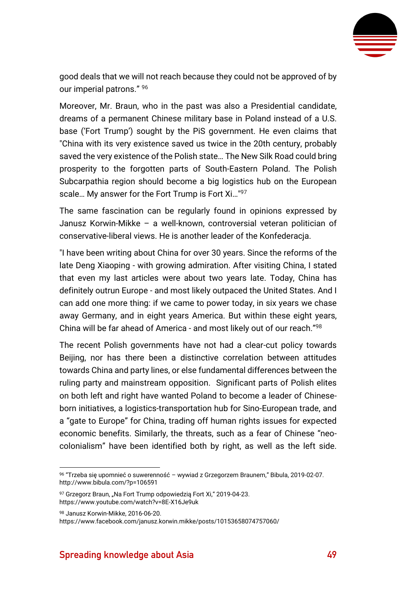

good deals that we will not reach because they could not be approved of by our imperial patrons." <sup>96</sup>

Moreover, Mr. Braun, who in the past was also a Presidential candidate, dreams of a permanent Chinese military base in Poland instead of a U.S. base ('Fort Trump') sought by the PiS government. He even claims that "China with its very existence saved us twice in the 20th century, probably saved the very existence of the Polish state… The New Silk Road could bring prosperity to the forgotten parts of South-Eastern Poland. The Polish Subcarpathia region should become a big logistics hub on the European scale... My answer for the Fort Trump is Fort Xi..."<sup>97</sup>

The same fascination can be regularly found in opinions expressed by Janusz Korwin-Mikke – a well-known, controversial veteran politician of conservative-liberal views. He is another leader of the Konfederacja.

"I have been writing about China for over 30 years. Since the reforms of the late Deng Xiaoping - with growing admiration. After visiting China, I stated that even my last articles were about two years late. Today, China has definitely outrun Europe - and most likely outpaced the United States. And I can add one more thing: if we came to power today, in six years we chase away Germany, and in eight years America. But within these eight years, China will be far ahead of America - and most likely out of our reach."<sup>98</sup>

The recent Polish governments have not had a clear-cut policy towards Beijing, nor has there been a distinctive correlation between attitudes towards China and party lines, or else fundamental differences between the ruling party and mainstream opposition. Significant parts of Polish elites on both left and right have wanted Poland to become a leader of Chineseborn initiatives, a logistics-transportation hub for Sino-European trade, and a "gate to Europe" for China, trading off human rights issues for expected economic benefits. Similarly, the threats, such as a fear of Chinese "neocolonialism" have been identified both by right, as well as the left side.

97 Grzegorz Braun, "Na Fort Trump odpowiedzią Fort Xi," 2019-04-23. <https://www.youtube.com/watch?v=8E-X16Je9uk>

<sup>98</sup> Janusz Korwin-Mikke, 2016-06-20.

<https://www.facebook.com/janusz.korwin.mikke/posts/10153658074757060/>

<sup>96</sup> "Trzeba się upomnieć o suwerenność – wywiad z Grzegorzem Braunem," Bibula, 2019-02-07. <http://www.bibula.com/?p=106591>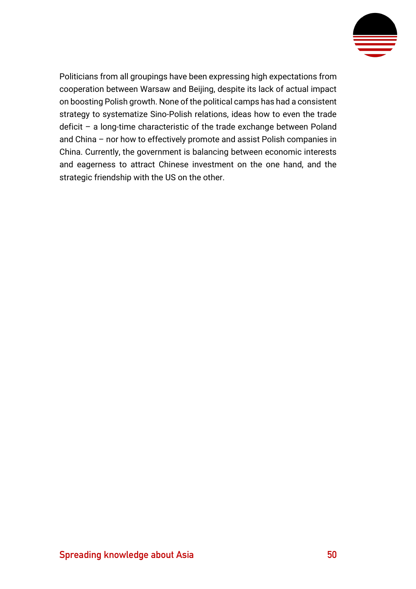

Politicians from all groupings have been expressing high expectations from cooperation between Warsaw and Beijing, despite its lack of actual impact on boosting Polish growth. None of the political camps has had a consistent strategy to systematize Sino-Polish relations, ideas how to even the trade deficit – a long-time characteristic of the trade exchange between Poland and China – nor how to effectively promote and assist Polish companies in China. Currently, the government is balancing between economic interests and eagerness to attract Chinese investment on the one hand, and the strategic friendship with the US on the other.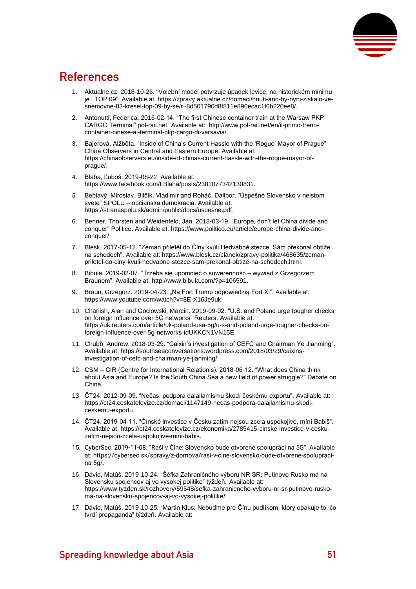

### <span id="page-51-0"></span>**References**

- 1. Aktualne.cz. 2018-10-26. "Volební model potvrzuje úpadek levice, na historickém minimu je i TOP 09". Available at[: https://zpravy.aktualne.cz/domaci/hnuti-ano-by-nyni-ziskalo-ve](https://zpravy.aktualne.cz/domaci/hnuti-ano-by-nyni-ziskalo-ve-snemovne-83-kresel-top-09-by-se/r~8d501790d8f811e890ecac1f6b220ee8/)[snemovne-83-kresel-top-09-by-se/r~8d501790d8f811e890ecac1f6b220ee8/.](https://zpravy.aktualne.cz/domaci/hnuti-ano-by-nyni-ziskalo-ve-snemovne-83-kresel-top-09-by-se/r~8d501790d8f811e890ecac1f6b220ee8/)
- 2. Antonutti, Federica. 2016-02-14. "The first Chinese container train at the Warsaw PKP CARGO Terminal" pol-rail.net. Available at: [http://www.pol-rail.net/en/il-primo-treno](http://www.pol-rail.net/en/il-primo-treno-container-cinese-al-terminal-pkp-cargo-di-varsavia/)[container-cinese-al-terminal-pkp-cargo-di-varsavia/.](http://www.pol-rail.net/en/il-primo-treno-container-cinese-al-terminal-pkp-cargo-di-varsavia/)
- 3. Bajerová, Alžběta. "Inside of China's Current Hassle with the 'Rogue' Mayor of Prague" China Observers in Central and Eastern Europe. Available at: [https://chinaobservers.eu/inside-of-chinas-current-hassle-with-the-rogue-mayor-of](https://chinaobservers.eu/inside-of-chinas-current-hassle-with-the-rogue-mayor-of-prague/)[prague/.](https://chinaobservers.eu/inside-of-chinas-current-hassle-with-the-rogue-mayor-of-prague/)
- 4. Blaha, Ľuboš. 2019-08-22. Available at: [https://www.facebook.com/LBlaha/posts/2381077342130831.](https://www.facebook.com/LBlaha/posts/2381077342130831)
- *5.* Beblavý, Miroslav, Bilčík, Vladimír and Roháč, Dalibor. "Úspešné Slovensko v neistom svete" SPOLU – občianska demokracia. Available at: [https://stranaspolu.sk/admin/public/docs/uspesne.pdf.](https://stranaspolu.sk/admin/public/docs/uspesne.pdf)
- 6. Benner, Thorsten and Weidenfeld, Jan. 2018-03-19. "Europe, don't let China divide and conquer" Politico. Available at: [https://www.politico.eu/article/europe-china-divide-and](https://www.politico.eu/article/europe-china-divide-and-conquer/)[conquer/.](https://www.politico.eu/article/europe-china-divide-and-conquer/)
- 7. Blesk. 2017-05-12. "Zeman přiletěl do Číny kvůli Hedvábné stezce. Sám překonal obtíže na schodech". Available at[: https://www.blesk.cz/clanek/zpravy-politika/468635/zeman](https://www.blesk.cz/clanek/zpravy-politika/468635/zeman-priletel-do-ciny-kvuli-hedvabne-stezce-sam-prekonal-obtize-na-schodech.html)[priletel-do-ciny-kvuli-hedvabne-stezce-sam-prekonal-obtize-na-schodech.html.](https://www.blesk.cz/clanek/zpravy-politika/468635/zeman-priletel-do-ciny-kvuli-hedvabne-stezce-sam-prekonal-obtize-na-schodech.html)
- 8. Bibula. 2019-02-07. "Trzeba się upomnieć o suwerenność wywiad z Grzegorzem Braunem". Available at: [http://www.bibula.com/?p=106591.](http://www.bibula.com/?p=106591)
- 9. Braun, Grzegorz. 2019-04-23. "Na Fort Trump odpowiedzią Fort Xi". Available at: [https://www.youtube.com/watch?v=8E-X16Je9uk.](https://www.youtube.com/watch?v=8E-X16Je9uk)
- 10. Charlish, Alan and Goclowski, Marcin. 2019-09-02. "U.S. and Poland urge tougher checks on foreign influence over 5G networks" Reuters. Available at: [https://uk.reuters.com/article/uk-poland-usa-5g/u-s-and-poland-urge-tougher-checks-on](https://uk.reuters.com/article/uk-poland-usa-5g/u-s-and-poland-urge-tougher-checks-on-foreign-influence-over-5g-networks-idUKKCN1VN15E)[foreign-influence-over-5g-networks-idUKKCN1VN15E.](https://uk.reuters.com/article/uk-poland-usa-5g/u-s-and-poland-urge-tougher-checks-on-foreign-influence-over-5g-networks-idUKKCN1VN15E)
- 11. Chubb, Andrew. 2018-03-29. "Caixin's investigation of CEFC and Chairman Ye Jianming". Available at[: https://southseaconversations.wordpress.com/2018/03/29/caixins](https://southseaconversations.wordpress.com/2018/03/29/caixins-investigation-of-cefc-and-chairman-ye-jianming/)[investigation-of-cefc-and-chairman-ye-jianming/.](https://southseaconversations.wordpress.com/2018/03/29/caixins-investigation-of-cefc-and-chairman-ye-jianming/)
- 12. CSM CIR (Centre for International Relation's). 2018-06-12. "What does China think about Asia and Europe? Is the South China Sea a new field of power struggle?" Debate on China.
- 13. ČT24. 2012-09-09. "Nečas: podpora dalailamismu škodí českému exportu". Available at: [https://ct24.ceskatelevize.cz/domaci/1147149-necas-podpora-dalajlamismu-skodi](https://ct24.ceskatelevize.cz/domaci/1147149-necas-podpora-dalajlamismu-skodi-ceskemu-exportu)[ceskemu-exportu.](https://ct24.ceskatelevize.cz/domaci/1147149-necas-podpora-dalajlamismu-skodi-ceskemu-exportu)
- 14. ČT24. 2019-04-11. "Čínské investice v Česku zatím nejsou zcela uspokojivé, míní Babiš". Available at[: https://ct24.ceskatelevize.cz/ekonomika/2785415-cinske-investice-v-cesku](https://ct24.ceskatelevize.cz/ekonomika/2785415-cinske-investice-v-cesku-zatim-nejsou-zcela-uspokojive-mini-babis)[zatim-nejsou-zcela-uspokojive-mini-babis.](https://ct24.ceskatelevize.cz/ekonomika/2785415-cinske-investice-v-cesku-zatim-nejsou-zcela-uspokojive-mini-babis)
- 15. CyberSec. 2019-11-08. "Raši v Číne: Slovensko bude otvorené spolupráci na 5G". Available at[: https://cybersec.sk/spravy/z-domova/rasi-v-cine-slovensko-bude-otvorene-spolupraci](https://cybersec.sk/spravy/z-domova/rasi-v-cine-slovensko-bude-otvorene-spolupraci-na-5g/)[na-5g/.](https://cybersec.sk/spravy/z-domova/rasi-v-cine-slovensko-bude-otvorene-spolupraci-na-5g/)
- 16. Dávid, Matúš. 2019-10-24. "Šéfka Zahraničného výboru NR SR: Putinovo Rusko má na Slovensku spojencov aj vo vysokej politike" týždeň. Available at: [https://www.tyzden.sk/rozhovory/59548/sefka-zahranicneho-vyboru-nr-sr-putinovo-rusko](https://www.tyzden.sk/rozhovory/59548/sefka-zahranicneho-vyboru-nr-sr-putinovo-rusko-ma-na-slovensku-spojencov-aj-vo-vysokej-politike/)[ma-na-slovensku-spojencov-aj-vo-vysokej-politike/.](https://www.tyzden.sk/rozhovory/59548/sefka-zahranicneho-vyboru-nr-sr-putinovo-rusko-ma-na-slovensku-spojencov-aj-vo-vysokej-politike/)
- 17. Dávid, Matúš. 2019-10-25. "Martin Klus: Nebuďme pre Čínu pudlíkom, ktorý opakuje to, čo tvrdí propaganda" týždeň. Available at: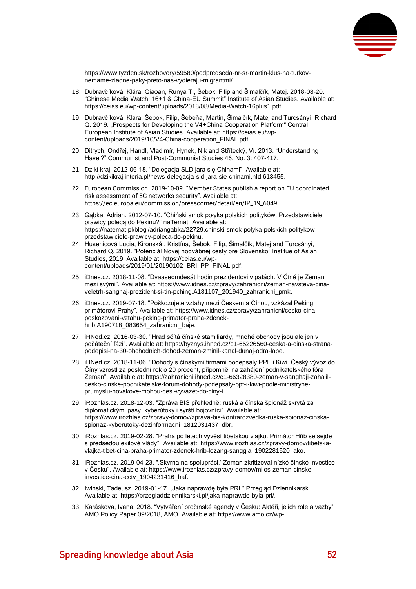

[https://www.tyzden.sk/rozhovory/59580/podpredseda-nr-sr-martin-klus-na-turkov](https://www.tyzden.sk/rozhovory/59580/podpredseda-nr-sr-martin-klus-na-turkov-nemame-ziadne-paky-preto-nas-vydieraju-migrantmi/)[nemame-ziadne-paky-preto-nas-vydieraju-migrantmi/.](https://www.tyzden.sk/rozhovory/59580/podpredseda-nr-sr-martin-klus-na-turkov-nemame-ziadne-paky-preto-nas-vydieraju-migrantmi/)

- 18. Dubravčíková, Klára, Qiaoan, Runya T., Šebok, Filip and Šimalčík, Matej. 2018-08-20. "Chinese Media Watch: 16+1 & China-EU Summit" Institute of Asian Studies. Available at: [https://ceias.eu/wp-content/uploads/2018/08/Media-Watch-16plus1.pdf.](https://ceias.eu/wp-content/uploads/2018/08/Media-Watch-16plus1.pdf)
- 19. Dubravčíková, Klára, Šebok, Filip, Šebeňa, Martin, Šimalčík, Matej and Turcsányi, Richard Q. 2019. "Prospects for Developing the V4+China Cooperation Platform" Central European Institute of Asian Studies. Available at: [https://ceias.eu/wp](https://ceias.eu/wp-content/uploads/2019/10/V4-China-cooperation_FINAL.pdf)[content/uploads/2019/10/V4-China-cooperation\\_FINAL.pdf.](https://ceias.eu/wp-content/uploads/2019/10/V4-China-cooperation_FINAL.pdf)
- 20. Ditrych, Ondřej, Handl, Vladimír, Hynek, Nik and Střítecký, Ví. 2013. "Understanding Havel?" Communist and Post-Communist Studies 46, No. 3: 407-417.
- 21. Dziki kraj. 2012-06-18. "Delegacja SLD jara się Chinami". Available at: [http://dzikikraj.interia.pl/news-delegacja-sld-jara-sie-chinami,nId,613455.](http://dzikikraj.interia.pl/news-delegacja-sld-jara-sie-chinami,nId,613455)
- 22. European Commission. 2019-10-09. "Member States publish a report on EU coordinated risk assessment of 5G networks security". Available at: [https://ec.europa.eu/commission/presscorner/detail/en/IP\\_19\\_6049.](https://ec.europa.eu/commission/presscorner/detail/en/IP_19_6049)
- 23. Gąbka, Adrian. 2012-07-10. "Chiński smok połyka polskich polityków. Przedstawiciele prawicy polecą do Pekinu?" naTemat. Available at: [https://natemat.pl/blogi/adriangabka/22729,chinski-smok-polyka-polskich-politykow](https://natemat.pl/blogi/adriangabka/22729,chinski-smok-polyka-polskich-politykow-przedstawiciele-prawicy-poleca-do-pekinu)[przedstawiciele-prawicy-poleca-do-pekinu.](https://natemat.pl/blogi/adriangabka/22729,chinski-smok-polyka-polskich-politykow-przedstawiciele-prawicy-poleca-do-pekinu)
- 24. Husenicová Lucia, Kironská , Kristína, Šebok, Filip, Šimalčík, Matej and Turcsányi, Richard Q. 2019. "Potenciál Novej hodvábnej cesty pre Slovensko" Institue of Asian Studies, 2019. Available at: [https://ceias.eu/wp](https://ceias.eu/wp-content/uploads/2019/01/20190102_BRI_PP_FINAL.pdf)[content/uploads/2019/01/20190102\\_BRI\\_PP\\_FINAL.pdf.](https://ceias.eu/wp-content/uploads/2019/01/20190102_BRI_PP_FINAL.pdf)
- 25. iDnes.cz. 2018-11-08. "Dvaasedmdesát hodin prezidentovi v patách. V Číně je Zeman mezi svými". Available at: [https://www.idnes.cz/zpravy/zahranicni/zeman-navsteva-cina](https://www.idnes.cz/zpravy/zahranicni/zeman-navsteva-cina-veletrh-sanghaj-prezident-si-tin-pching.A181107_201940_zahranicni_pmk)[veletrh-sanghaj-prezident-si-tin-pching.A181107\\_201940\\_zahranicni\\_pmk.](https://www.idnes.cz/zpravy/zahranicni/zeman-navsteva-cina-veletrh-sanghaj-prezident-si-tin-pching.A181107_201940_zahranicni_pmk)
- 26. iDnes.cz. 2019-07-18. "Poškozujete vztahy mezi Českem a Čínou, vzkázal Peking primátorovi Prahy". Available at: [https://www.idnes.cz/zpravy/zahranicni/cesko-cina](https://www.idnes.cz/zpravy/zahranicni/cesko-cina-poskozovani-vztahu-peking-primator-praha-zdenek-hrib.A190718_083654_zahranicni_baje)[poskozovani-vztahu-peking-primator-praha-zdenek](https://www.idnes.cz/zpravy/zahranicni/cesko-cina-poskozovani-vztahu-peking-primator-praha-zdenek-hrib.A190718_083654_zahranicni_baje)[hrib.A190718\\_083654\\_zahranicni\\_baje.](https://www.idnes.cz/zpravy/zahranicni/cesko-cina-poskozovani-vztahu-peking-primator-praha-zdenek-hrib.A190718_083654_zahranicni_baje)
- 27. iHNed.cz. 2016-03-30. "Hrad sčítá čínské stamiliardy, mnohé obchody jsou ale jen v počáteční fázi". Available at: [https://byznys.ihned.cz/c1-65226560-ceska-a-cinska-strana](https://byznys.ihned.cz/c1-65226560-ceska-a-cinska-strana-podepisi-na-30-obchodnich-dohod-zeman-zminil-kanal-dunaj-odra-labe)[podepisi-na-30-obchodnich-dohod-zeman-zminil-kanal-dunaj-odra-labe.](https://byznys.ihned.cz/c1-65226560-ceska-a-cinska-strana-podepisi-na-30-obchodnich-dohod-zeman-zminil-kanal-dunaj-odra-labe)
- 28. iHNed.cz. 2018-11-06. "Dohody s čínskými firmami podepsaly PPF i Kiwi. Český vývoz do Číny vzrostl za poslední rok o 20 procent, připomněl na zahájení podnikatelského fóra Zeman". Available at[: https://zahranicni.ihned.cz/c1-66328380-zeman-v-sanghaji-zahajil](https://zahranicni.ihned.cz/c1-66328380-zeman-v-sanghaji-zahajil-cesko-cinske-podnikatelske-forum-dohody-podepsaly-ppf-i-kiwi-podle-ministryne-prumyslu-novakove-mohou-cesi-vyvazet-do-ciny-i)[cesko-cinske-podnikatelske-forum-dohody-podepsaly-ppf-i-kiwi-podle-ministryne](https://zahranicni.ihned.cz/c1-66328380-zeman-v-sanghaji-zahajil-cesko-cinske-podnikatelske-forum-dohody-podepsaly-ppf-i-kiwi-podle-ministryne-prumyslu-novakove-mohou-cesi-vyvazet-do-ciny-i)[prumyslu-novakove-mohou-cesi-vyvazet-do-ciny-i.](https://zahranicni.ihned.cz/c1-66328380-zeman-v-sanghaji-zahajil-cesko-cinske-podnikatelske-forum-dohody-podepsaly-ppf-i-kiwi-podle-ministryne-prumyslu-novakove-mohou-cesi-vyvazet-do-ciny-i)
- 29. iRozhlas.cz. 2018-12-03. "Zpráva BIS přehledně: ruská a čínská špionáž skrytá za diplomatickými pasy, kyberútoky i syrští bojovníci". Available at: [https://www.irozhlas.cz/zpravy-domov/zprava-bis-kontrarozvedka-ruska-spionaz-cinska](https://www.irozhlas.cz/zpravy-domov/zprava-bis-kontrarozvedka-ruska-spionaz-cinska-spionaz-kyberutoky-dezinformacni_1812031437_dbr)[spionaz-kyberutoky-dezinformacni\\_1812031437\\_dbr.](https://www.irozhlas.cz/zpravy-domov/zprava-bis-kontrarozvedka-ruska-spionaz-cinska-spionaz-kyberutoky-dezinformacni_1812031437_dbr)
- 30. iRozhlas.cz. 2019-02-28. "Praha po letech vyvěsí tibetskou vlajku. Primátor Hřib se sejde s předsedou exilové vlády". Available at: [https://www.irozhlas.cz/zpravy-domov/tibetska](https://www.irozhlas.cz/zpravy-domov/tibetska-vlajka-tibet-cina-praha-primator-zdenek-hrib-lozang-sanggja_1902281520_ako)[vlajka-tibet-cina-praha-primator-zdenek-hrib-lozang-sanggja\\_1902281520\\_ako.](https://www.irozhlas.cz/zpravy-domov/tibetska-vlajka-tibet-cina-praha-primator-zdenek-hrib-lozang-sanggja_1902281520_ako)
- 31. iRozhlas.cz. 2019-04-23. "'Skvrna na spolupráci.' Zeman zkritizoval nízké čínské investice v Česku". Available at: [https://www.irozhlas.cz/zpravy-domov/milos-zeman-cinske](https://www.irozhlas.cz/zpravy-domov/milos-zeman-cinske-investice-cina-cctv_1904231416_haf)[investice-cina-cctv\\_1904231416\\_haf.](https://www.irozhlas.cz/zpravy-domov/milos-zeman-cinske-investice-cina-cctv_1904231416_haf)
- 32. Iwiński, Tadeusz. 2019-01-17. "Jaka naprawdę była PRL" Przegląd Dziennikarski. Available at[: https://przegladdziennikarski.pl/jaka-naprawde-byla-prl/.](https://przegladdziennikarski.pl/jaka-naprawde-byla-prl/)
- 33. Karásková, Ivana. 2018. "Vytváření pročínské agendy v Česku: Aktéři, jejich role a vazby" AMO Policy Paper 09/2018, AMO. Available at[: https://www.amo.cz/wp-](https://www.amo.cz/wp-content/uploads/2018/06/AMO_Vytv%2525C3%2525A1%2525C5%252599en%2525C3%2525AD-pro%2525C4%25258D%2525C3%2525ADnsk%2525C3%2525A9-agendy-v-%2525C4%25258Cesku-akt%2525C3%2525A9%2525C5%252599i-jejich-role-a-vazby-.pdf)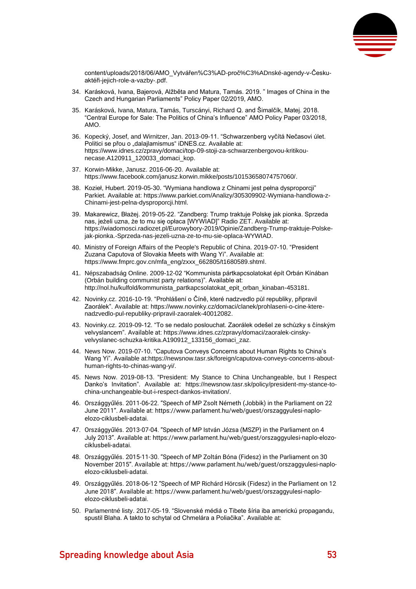

[content/uploads/2018/06/AMO\\_Vytvářen%C3%AD-proč%C3%ADnské-agendy-v-Česku](https://www.amo.cz/wp-content/uploads/2018/06/AMO_Vytv%2525C3%2525A1%2525C5%252599en%2525C3%2525AD-pro%2525C4%25258D%2525C3%2525ADnsk%2525C3%2525A9-agendy-v-%2525C4%25258Cesku-akt%2525C3%2525A9%2525C5%252599i-jejich-role-a-vazby-.pdf)[aktéři-jejich-role-a-vazby-.pdf.](https://www.amo.cz/wp-content/uploads/2018/06/AMO_Vytv%2525C3%2525A1%2525C5%252599en%2525C3%2525AD-pro%2525C4%25258D%2525C3%2525ADnsk%2525C3%2525A9-agendy-v-%2525C4%25258Cesku-akt%2525C3%2525A9%2525C5%252599i-jejich-role-a-vazby-.pdf)

- 34. Karásková, Ivana, Bajerová, Alžběta and Matura, Tamás. 2019. " Images of China in the Czech and Hungarian Parliaments" Policy Paper 02/2019, AMO.
- 35. Karásková, Ivana, Matura, Tamás, Turscányi, Richard Q. and Šimalčík, Matej. 2018. "Central Europe for Sale: The Politics of China's Influence" AMO Policy Paper 03/2018, AMO.
- 36. Kopecký, Josef, and Wirnitzer, Jan. 2013-09-11. "Schwarzenberg vyčítá Nečasovi úlet. Politici se přou o "dalajlamismus" iDNES.cz. Available at: [https://www.idnes.cz/zpravy/domaci/top-09-stoji-za-schwarzenbergovou-kritikou](https://www.idnes.cz/zpravy/domaci/top-09-stoji-za-schwarzenbergovou-kritikou-necase.A120911_120033_domaci_kop)[necase.A120911\\_120033\\_domaci\\_kop.](https://www.idnes.cz/zpravy/domaci/top-09-stoji-za-schwarzenbergovou-kritikou-necase.A120911_120033_domaci_kop)
- 37. Korwin-Mikke, Janusz. 2016-06-20. Available at: [https://www.facebook.com/janusz.korwin.mikke/posts/10153658074757060/.](https://www.facebook.com/janusz.korwin.mikke/posts/10153658074757060/)
- 38. Kozieł, Hubert. 2019-05-30. "Wymiana handlowa z Chinami jest pełna dysproporcji" Parkiet. Available at[: https://www.parkiet.com/Analizy/305309902-Wymiana-handlowa-z-](https://www.parkiet.com/Analizy/305309902-Wymiana-handlowa-z-Chinami-jest-pelna-dysproporcji.html)[Chinami-jest-pelna-dysproporcji.html.](https://www.parkiet.com/Analizy/305309902-Wymiana-handlowa-z-Chinami-jest-pelna-dysproporcji.html)
- 39. Makarewicz, Błażej. 2019-05-22. "Zandberg: Trump traktuje Polskę jak pionka. Sprzeda nas, jeżeli uzna, że to mu się opłaca [WYWIAD]" Radio ZET. Available at: [https://wiadomosci.radiozet.pl/Eurowybory-2019/Opinie/Zandberg-Trump-traktuje-Polske](https://wiadomosci.radiozet.pl/Eurowybory-2019/Opinie/Zandberg-Trump-traktuje-Polske-jak-pionka.-Sprzeda-nas-jezeli-uzna-ze-to-mu-sie-oplaca-WYWIAD)[jak-pionka.-Sprzeda-nas-jezeli-uzna-ze-to-mu-sie-oplaca-WYWIAD.](https://wiadomosci.radiozet.pl/Eurowybory-2019/Opinie/Zandberg-Trump-traktuje-Polske-jak-pionka.-Sprzeda-nas-jezeli-uzna-ze-to-mu-sie-oplaca-WYWIAD)
- 40. Ministry of Foreign Affairs of the People's Republic of China. 2019-07-10. "President Zuzana Caputova of Slovakia Meets with Wang Yi". Available at: [https://www.fmprc.gov.cn/mfa\\_eng/zxxx\\_662805/t1680589.shtml.](https://www.fmprc.gov.cn/mfa_eng/zxxx_662805/t1680589.shtml)
- 41. Népszabadság Online. 2009-12-02 "Kommunista pártkapcsolatokat épít Orbán Kínában (Orbán building communist party relations)". Available at: [http://nol.hu/kulfold/kommunista\\_partkapcsolatokat\\_epit\\_orban\\_kinaban-453181.](http://nol.hu/kulfold/kommunista_partkapcsolatokat_epit_orban_kinaban-453181)
- 42. Novinky.cz. 2016-10-19. "Prohlášení o Číně, které nadzvedlo půl republiky, připravil Zaorálek". Available at[: https://www.novinky.cz/domaci/clanek/prohlaseni-o-cine-ktere](https://www.novinky.cz/domaci/clanek/prohlaseni-o-cine-ktere-nadzvedlo-pul-republiky-pripravil-zaoralek-40012082)[nadzvedlo-pul-republiky-pripravil-zaoralek-40012082.](https://www.novinky.cz/domaci/clanek/prohlaseni-o-cine-ktere-nadzvedlo-pul-republiky-pripravil-zaoralek-40012082)
- 43. Novinky.cz. 2019-09-12. "To se nedalo poslouchat. Zaorálek odešel ze schůzky s čínským velvyslancem". Available at: [https://www.idnes.cz/zpravy/domaci/zaoralek-cinsky](https://www.idnes.cz/zpravy/domaci/zaoralek-cinsky-velvyslanec-schuzka-kritika.A190912_133156_domaci_zaz)[velvyslanec-schuzka-kritika.A190912\\_133156\\_domaci\\_zaz.](https://www.idnes.cz/zpravy/domaci/zaoralek-cinsky-velvyslanec-schuzka-kritika.A190912_133156_domaci_zaz)
- 44. News Now. 2019-07-10. "Caputova Conveys Concerns about Human Rights to China's Wang Yi". Available at[:https://newsnow.tasr.sk/foreign/caputova-conveys-concerns-about](https://newsnow.tasr.sk/foreign/caputova-conveys-concerns-about-human-rights-to-chinas-wang-yi/)[human-rights-to-chinas-wang-yi/.](https://newsnow.tasr.sk/foreign/caputova-conveys-concerns-about-human-rights-to-chinas-wang-yi/)
- 45. News Now. 2019-08-13. "President: My Stance to China Unchangeable, but I Respect Danko's Invitation". Available at: [https://newsnow.tasr.sk/policy/president-my-stance-to](https://newsnow.tasr.sk/policy/president-my-stance-to-china-unchangeable-but-i-respect-dankos-invitation/)[china-unchangeable-but-i-respect-dankos-invitation/.](https://newsnow.tasr.sk/policy/president-my-stance-to-china-unchangeable-but-i-respect-dankos-invitation/)
- 46. Országgyűlés. 2011-06-22. "Speech of MP Zsolt Németh (Jobbik) in the Parliament on 22 June 2011". Available at: [https://www.parlament.hu/web/guest/orszaggyulesi-naplo](https://www.parlament.hu/web/guest/orszaggyulesi-naplo-elozo-ciklusbeli-adatai)[elozo-ciklusbeli-adatai.](https://www.parlament.hu/web/guest/orszaggyulesi-naplo-elozo-ciklusbeli-adatai)
- 47. Országgyűlés. 2013-07-04. "Speech of MP István Józsa (MSZP) in the Parliament on 4 July 2013". Available at: [https://www.parlament.hu/web/guest/orszaggyulesi-naplo-elozo](https://www.parlament.hu/web/guest/orszaggyulesi-naplo-elozo-ciklusbeli-adatai)[ciklusbeli-adatai.](https://www.parlament.hu/web/guest/orszaggyulesi-naplo-elozo-ciklusbeli-adatai)
- 48. Országgyűlés. 2015-11-30. "Speech of MP Zoltán Bóna (Fidesz) in the Parliament on 30 November 2015". Available at: [https://www.parlament.hu/web/guest/orszaggyulesi-naplo](https://www.parlament.hu/web/guest/orszaggyulesi-naplo-elozo-ciklusbeli-adatai)[elozo-ciklusbeli-adatai.](https://www.parlament.hu/web/guest/orszaggyulesi-naplo-elozo-ciklusbeli-adatai)
- 49. Országgyűlés. 2018-06-12 "Speech of MP Richárd Hörcsik (Fidesz) in the Parliament on 12 June 2018". Available at: [https://www.parlament.hu/web/guest/orszaggyulesi-naplo](https://www.parlament.hu/web/guest/orszaggyulesi-naplo-elozo-ciklusbeli-adatai)[elozo-ciklusbeli-adatai.](https://www.parlament.hu/web/guest/orszaggyulesi-naplo-elozo-ciklusbeli-adatai)
- 50. Parlamentné listy. 2017-05-19. "Slovenské médiá o Tibete šíria iba americkú propagandu, spustil Blaha. A takto to schytal od Chmelára a Poliačika". Available at: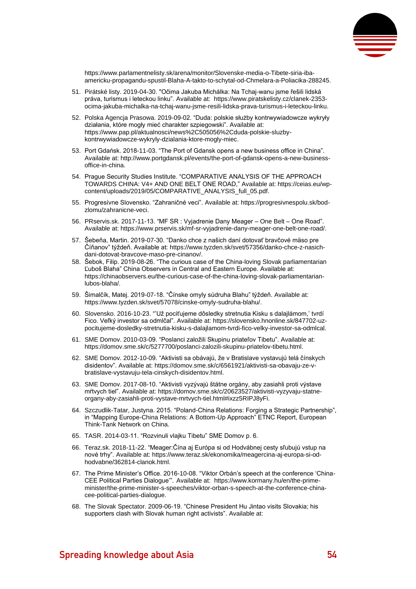

[https://www.parlamentnelisty.sk/arena/monitor/Slovenske-media-o-Tibete-siria-iba](https://www.parlamentnelisty.sk/arena/monitor/Slovenske-media-o-Tibete-siria-iba-americku-propagandu-spustil-Blaha-A-takto-to-schytal-od-Chmelara-a-Poliacika-288245)[americku-propagandu-spustil-Blaha-A-takto-to-schytal-od-Chmelara-a-Poliacika-288245.](https://www.parlamentnelisty.sk/arena/monitor/Slovenske-media-o-Tibete-siria-iba-americku-propagandu-spustil-Blaha-A-takto-to-schytal-od-Chmelara-a-Poliacika-288245)

- 51. Pirátské listy. 2019-04-30. "Očima Jakuba Michálka: Na Tchaj-wanu jsme řešili lidská práva, turismus i leteckou linku". Available at: [https://www.piratskelisty.cz/clanek-2353](https://www.piratskelisty.cz/clanek-2353-ocima-jakuba-michalka-na-tchaj-wanu-jsme-resili-lidska-prava-turismus-i-leteckou-linku) [ocima-jakuba-michalka-na-tchaj-wanu-jsme-resili-lidska-prava-turismus-i-leteckou-linku.](https://www.piratskelisty.cz/clanek-2353-ocima-jakuba-michalka-na-tchaj-wanu-jsme-resili-lidska-prava-turismus-i-leteckou-linku)
- 52. Polska Agencja Prasowa. 2019-09-02. "Duda: polskie służby kontrwywiadowcze wykryły działania, które mogły mieć charakter szpiegowski". Available at: [https://www.pap.pl/aktualnosci/news%2C505056%2Cduda-polskie-sluzby](https://www.pap.pl/aktualnosci/news%2C505056%2Cduda-polskie-sluzby-kontrwywiadowcze-wykryly-dzialania-ktore-mogly-miec)[kontrwywiadowcze-wykryly-dzialania-ktore-mogly-miec.](https://www.pap.pl/aktualnosci/news%2C505056%2Cduda-polskie-sluzby-kontrwywiadowcze-wykryly-dzialania-ktore-mogly-miec)
- 53. Port Gdańsk. 2018-11-03. "The Port of Gdansk opens a new business office in China". Available at: [http://www.portgdansk.pl/events/the-port-of-gdansk-opens-a-new-business](http://www.portgdansk.pl/events/the-port-of-gdansk-opens-a-new-business-office-in-china)[office-in-china.](http://www.portgdansk.pl/events/the-port-of-gdansk-opens-a-new-business-office-in-china)
- 54. Prague Security Studies Institute. "COMPARATIVE ANALYSIS OF THE APPROACH TOWARDS CHINA: V4+ AND ONE BELT ONE ROAD," Available at[: https://ceias.eu/wp](https://ceias.eu/wp-content/uploads/2019/05/COMPARATIVE_ANALYSIS_full_05.pdf)[content/uploads/2019/05/COMPARATIVE\\_ANALYSIS\\_full\\_05.pdf.](https://ceias.eu/wp-content/uploads/2019/05/COMPARATIVE_ANALYSIS_full_05.pdf)
- 55. Progresívne Slovensko. "Zahraničné veci". Available at[: https://progresivnespolu.sk/bod](https://progresivnespolu.sk/bod-zlomu/zahranicne-veci)[zlomu/zahranicne-veci.](https://progresivnespolu.sk/bod-zlomu/zahranicne-veci)
- 56. PRservis.sk. 2017-11-13. "MF SR : Vyjadrenie Dany Meager One Belt One Road". Available at[: https://www.prservis.sk/mf-sr-vyjadrenie-dany-meager-one-belt-one-road/.](https://www.prservis.sk/mf-sr-vyjadrenie-dany-meager-one-belt-one-road/)
- 57. Šebeňa, Martin. 2019-07-30. "Danko chce z našich daní dotovať bravčové mäso pre Číňanov" týždeň. Available at: [https://www.tyzden.sk/svet/57356/danko-chce-z-nasich](https://www.tyzden.sk/svet/57356/danko-chce-z-nasich-dani-dotovat-bravcove-maso-pre-cinanov/)[dani-dotovat-bravcove-maso-pre-cinanov/.](https://www.tyzden.sk/svet/57356/danko-chce-z-nasich-dani-dotovat-bravcove-maso-pre-cinanov/)
- 58. Šebok, Filip. 2019-08-26. "The curious case of the China-loving Slovak parliamentarian Ľuboš Blaha" China Observers in Central and Eastern Europe. Available at: [https://chinaobservers.eu/the-curious-case-of-the-china-loving-slovak-parliamentarian](https://chinaobservers.eu/the-curious-case-of-the-china-loving-slovak-parliamentarian-lubos-blaha/)[lubos-blaha/.](https://chinaobservers.eu/the-curious-case-of-the-china-loving-slovak-parliamentarian-lubos-blaha/)
- 59. Šimalčík, Matej. 2019-07-18. "Čínske omyly súdruha Blahu" týždeň. Available at: [https://www.tyzden.sk/svet/57078/cinske-omyly-sudruha-blahu/.](https://www.tyzden.sk/svet/57078/cinske-omyly-sudruha-blahu/)
- 60. Slovensko. 2016-10-23. "'Už pociťujeme dôsledky stretnutia Kisku s dalajlámom,' tvrdí Fico. Veľký investor sa odmlčal". Available at[: https://slovensko.hnonline.sk/847702-uz](https://slovensko.hnonline.sk/847702-uz-pocitujeme-dosledky-stretnutia-kisku-s-dalajlamom-tvrdi-fico-velky-investor-sa-odmlcal)[pocitujeme-dosledky-stretnutia-kisku-s-dalajlamom-tvrdi-fico-velky-investor-sa-odmlcal.](https://slovensko.hnonline.sk/847702-uz-pocitujeme-dosledky-stretnutia-kisku-s-dalajlamom-tvrdi-fico-velky-investor-sa-odmlcal)
- 61. SME Domov. 2010-03-09. "Poslanci založili Skupinu priateľov Tibetu". Available at: [https://domov.sme.sk/c/5277700/poslanci-zalozili-skupinu-priatelov-tibetu.html.](https://domov.sme.sk/c/5277700/poslanci-zalozili-skupinu-priatelov-tibetu.html)
- 62. SME Domov. 2012-10-09. "Aktivisti sa obávajú, že v Bratislave vystavujú telá čínskych disidentov". Available at: [https://domov.sme.sk/c/6561921/aktivisti-sa-obavaju-ze-v](https://domov.sme.sk/c/6561921/aktivisti-sa-obavaju-ze-v-bratislave-vystavuju-tela-cinskych-disidentov.html)[bratislave-vystavuju-tela-cinskych-disidentov.html.](https://domov.sme.sk/c/6561921/aktivisti-sa-obavaju-ze-v-bratislave-vystavuju-tela-cinskych-disidentov.html)
- 63. SME Domov. 2017-08-10. "Aktivisti vyzývajú štátne orgány, aby zasiahli proti výstave mŕtvych tiel". Available at: [https://domov.sme.sk/c/20623527/aktivisti-vyzyvaju-statne](https://domov.sme.sk/c/20623527/aktivisti-vyzyvaju-statne-organy-aby-zasiahli-proti-vystave-mrtvych-tiel.html#ixzz5RIPJ8yFi)[organy-aby-zasiahli-proti-vystave-mrtvych-tiel.html#ixzz5RIPJ8yFi.](https://domov.sme.sk/c/20623527/aktivisti-vyzyvaju-statne-organy-aby-zasiahli-proti-vystave-mrtvych-tiel.html#ixzz5RIPJ8yFi)
- 64. Szczudlik-Tatar, Justyna. 2015. "Poland-China Relations: Forging a Strategic Partnership", in "Mapping Europe-China Relations: A Bottom-Up Approach" ETNC Report, European Think-Tank Network on China.
- 65. TASR. 2014-03-11. "Rozvinuli vlajku Tibetu" SME Domov p. 6.
- 66. Teraz.sk. 2018-11-22. "Meager:Čína aj Európa si od Hodvábnej cesty sľubujú vstup na nové trhy". Available at[: https://www.teraz.sk/ekonomika/meagercina-aj-europa-si-od](https://www.teraz.sk/ekonomika/meagercina-aj-europa-si-od-hodvabne/362814-clanok.html)[hodvabne/362814-clanok.html.](https://www.teraz.sk/ekonomika/meagercina-aj-europa-si-od-hodvabne/362814-clanok.html)
- 67. The Prime Minister's Office. 2016-10-08. "Viktor Orbán's speech at the conference 'China-CEE Political Parties Dialogue'". Available at: [https://www.kormany.hu/en/the-prime](https://www.kormany.hu/en/the-prime-minister/the-prime-minister-s-speeches/viktor-orban-s-speech-at-the-conference-china-cee-political-parties-dialogue)[minister/the-prime-minister-s-speeches/viktor-orban-s-speech-at-the-conference-china](https://www.kormany.hu/en/the-prime-minister/the-prime-minister-s-speeches/viktor-orban-s-speech-at-the-conference-china-cee-political-parties-dialogue)[cee-political-parties-dialogue.](https://www.kormany.hu/en/the-prime-minister/the-prime-minister-s-speeches/viktor-orban-s-speech-at-the-conference-china-cee-political-parties-dialogue)
- 68. The Slovak Spectator. 2009-06-19. "Chinese President Hu Jintao visits Slovakia; his supporters clash with Slovak human right activists". Available at: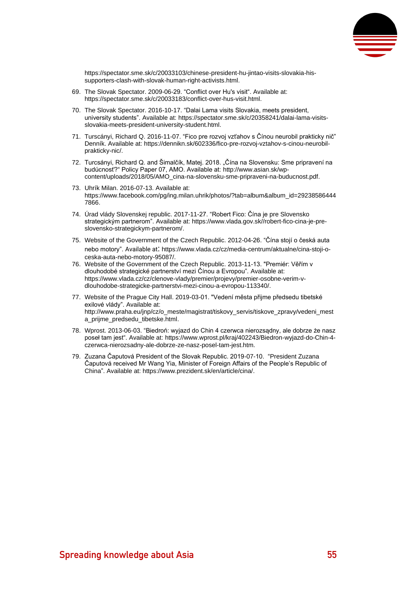

[https://spectator.sme.sk/c/20033103/chinese-president-hu-jintao-visits-slovakia-his](https://spectator.sme.sk/c/20033103/chinese-president-hu-jintao-visits-slovakia-his-supporters-clash-with-slovak-human-right-activists.html)[supporters-clash-with-slovak-human-right-activists.html.](https://spectator.sme.sk/c/20033103/chinese-president-hu-jintao-visits-slovakia-his-supporters-clash-with-slovak-human-right-activists.html)

- 69. The Slovak Spectator. 2009-06-29. "Conflict over Hu's visit". Available at: [https://spectator.sme.sk/c/20033183/conflict-over-hus-visit.html.](https://spectator.sme.sk/c/20033183/conflict-over-hus-visit.html)
- 70. The Slovak Spectator. 2016-10-17. "Dalai Lama visits Slovakia, meets president, university students". Available at: [https://spectator.sme.sk/c/20358241/dalai-lama-visits](https://spectator.sme.sk/c/20358241/dalai-lama-visits-slovakia-meets-president-university-student.html)[slovakia-meets-president-university-student.html.](https://spectator.sme.sk/c/20358241/dalai-lama-visits-slovakia-meets-president-university-student.html)
- 71. Turscányi, Richard Q. 2016-11-07. "Fico pre rozvoj vzťahov s Čínou neurobil prakticky nič" Denník. Available at: [https://dennikn.sk/602336/fico-pre-rozvoj-vztahov-s-cinou-neurobil](https://dennikn.sk/602336/fico-pre-rozvoj-vztahov-s-cinou-neurobil-prakticky-nic/)[prakticky-nic/.](https://dennikn.sk/602336/fico-pre-rozvoj-vztahov-s-cinou-neurobil-prakticky-nic/)
- 72. Turcsányi, Richard Q. and Šimalčík, Matej. 2018. "Čína na Slovensku: Sme pripravení na budúcnosť?" Policy Paper 07, AMO. Available at: [http://www.asian.sk/wp](http://www.asian.sk/wp-content/uploads/2018/05/AMO_cina-na-slovensku-sme-pripraveni-na-buducnost.pdf)[content/uploads/2018/05/AMO\\_cina-na-slovensku-sme-pripraveni-na-buducnost.pdf.](http://www.asian.sk/wp-content/uploads/2018/05/AMO_cina-na-slovensku-sme-pripraveni-na-buducnost.pdf)
- 73. Uhrík Milan. 2016-07-13. Available at: [https://www.facebook.com/pg/ing.milan.uhrik/photos/?tab=album&album\\_id=29238586444](https://www.facebook.com/pg/ing.milan.uhrik/photos/?tab=album&album_id=292385864447866) [7866.](https://www.facebook.com/pg/ing.milan.uhrik/photos/?tab=album&album_id=292385864447866)
- 74. Úrad vlády Slovenskej republic. 2017-11-27. "Robert Fico: Čína je pre Slovensko strategickým partnerom". Available at[: https://www.vlada.gov.sk//robert-fico-cina-je-pre](https://www.vlada.gov.sk/robert-fico-cina-je-pre-slovensko-strategickym-partnerom/)[slovensko-strategickym-partnerom/.](https://www.vlada.gov.sk/robert-fico-cina-je-pre-slovensko-strategickym-partnerom/)
- 75. Website of the Government of the Czech Republic. 2012-04-26. "Čína stojí o česká auta nebo motory". Available at: [https://www.vlada.cz/cz/media-centrum/aktualne/cina-stoji-o](https://www.vlada.cz/cz/media-centrum/aktualne/cina-stoji-o-ceska-auta-nebo-motory-95087/)[ceska-auta-nebo-motory-95087/.](https://www.vlada.cz/cz/media-centrum/aktualne/cina-stoji-o-ceska-auta-nebo-motory-95087/)
- 76. Website of the Government of the Czech Republic. 2013-11-13. "Premiér: Věřím v dlouhodobé strategické partnerství mezi Čínou a Evropou". Available at: [https://www.vlada.cz/cz/clenove-vlady/premier/projevy/premier-osobne-verim-v](https://www.vlada.cz/cz/clenove-vlady/premier/projevy/premier-osobne-verim-v-dlouhodobe-strategicke-partnerstvi-mezi-cinou-a-evropou-113340/)[dlouhodobe-strategicke-partnerstvi-mezi-cinou-a-evropou-113340/.](https://www.vlada.cz/cz/clenove-vlady/premier/projevy/premier-osobne-verim-v-dlouhodobe-strategicke-partnerstvi-mezi-cinou-a-evropou-113340/)
- 77. Website of the Prague City Hall. 2019-03-01. "Vedení města přijme předsedu tibetské exilové vlády". Available at: [http://www.praha.eu/jnp/cz/o\\_meste/magistrat/tiskovy\\_servis/tiskove\\_zpravy/vedeni\\_mest](http://www.praha.eu/jnp/cz/o_meste/magistrat/tiskovy_servis/tiskove_zpravy/vedeni_mesta_prijme_predsedu_tibetske.html) [a\\_prijme\\_predsedu\\_tibetske.html.](http://www.praha.eu/jnp/cz/o_meste/magistrat/tiskovy_servis/tiskove_zpravy/vedeni_mesta_prijme_predsedu_tibetske.html)
- 78. Wprost. 2013-06-03. "Biedroń: wyjazd do Chin 4 czerwca nierozsądny, ale dobrze że nasz poseł tam jest". Available at: [https://www.wprost.pl/kraj/402243/Biedron-wyjazd-do-Chin-4](https://www.wprost.pl/kraj/402243/Biedron-wyjazd-do-Chin-4-czerwca-nierozsadny-ale-dobrze-ze-nasz-posel-tam-jest.htm) [czerwca-nierozsadny-ale-dobrze-ze-nasz-posel-tam-jest.htm.](https://www.wprost.pl/kraj/402243/Biedron-wyjazd-do-Chin-4-czerwca-nierozsadny-ale-dobrze-ze-nasz-posel-tam-jest.htm)
- 79. Zuzana Čaputová President of the Slovak Republic. 2019-07-10. "President Zuzana Čaputová received Mr Wang Yia, Minister of Foreign Affairs of the People's Republic of China". Available at: [https://www.prezident.sk/en/article/cina/.](https://www.prezident.sk/en/article/cina/)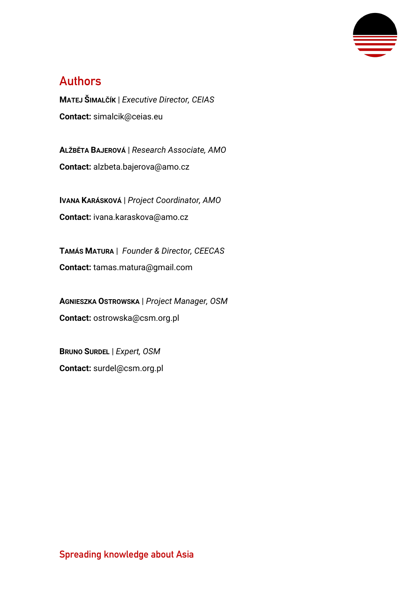

## **Authors**

**MATEJ ŠIMALČÍK** | *Executive Director, CEIAS* **Contact:** [simalcik@ceias.eu](mailto:simalcik@ceias.eu)

**ALŽBĚTA BAJEROVÁ** | *Research Associate, AMO* **Contact:** alzbeta.bajerova@amo.cz

**IVANA KARÁSKOVÁ** | *Project Coordinator, AMO* **Contact:** [ivana.karaskova@amo.cz](mailto:ivana.karaskova@amo.cz)

**TAMÁS MATURA** | *Founder & Director, CEECAS* **Contact:** tamas.matura@gmail.com

**AGNIESZKA OSTROWSKA** | *Project Manager, OSM* **Contact:** ostrowska@csm.org.pl

**BRUNO SURDEL** | *Expert, OSM* **Contact:** surdel@csm.org.pl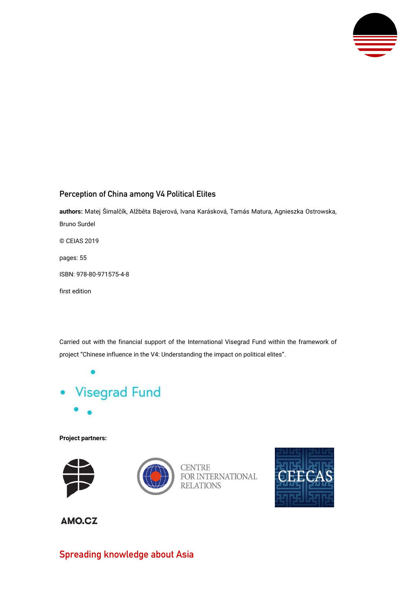

#### **Perception of China among V4 Political Elites**

**authors:** Matej Šimalčík, Alžběta Bajerová, Ivana Karásková, Tamás Matura, Agnieszka Ostrowska, Bruno Surdel © CEIAS 2019 pages: 55 ISBN: 978-80-971575-4-8 first edition

Carried out with the financial support of the International Visegrad Fund within the framework of project "Chinese influence in the V4: Understanding the impact on political elites".



**Project partners:**





**CENTRE** FOR INTERNATIONAL **RELATIONS** 



AMO.CZ